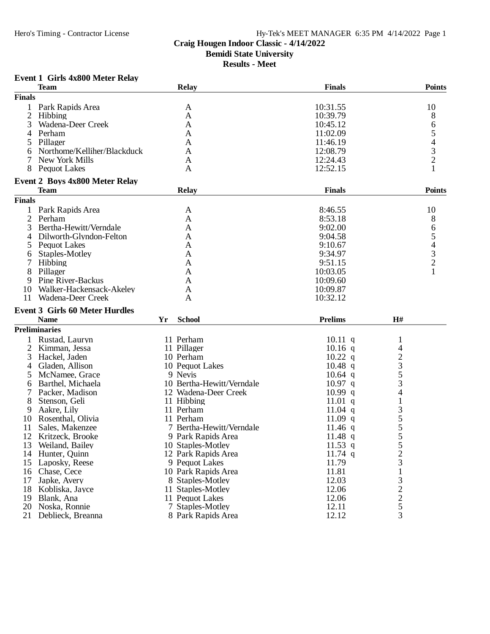# **Craig Hougen Indoor Classic - 4/14/2022**

**Bemidi State University**

**Results - Meet**

# **Event 1 Girls 4x800 Meter Relay**

|                | <b>Team</b>                           |    | <b>Relay</b>              | <b>Finals</b>  |                                                 | <b>Points</b>                              |
|----------------|---------------------------------------|----|---------------------------|----------------|-------------------------------------------------|--------------------------------------------|
| <b>Finals</b>  |                                       |    |                           |                |                                                 |                                            |
|                | Park Rapids Area                      |    | A                         | 10:31.55       |                                                 | 10                                         |
| $\mathfrak{2}$ | Hibbing                               |    | A                         | 10:39.79       |                                                 | 8                                          |
| 3              | Wadena-Deer Creek                     |    | A                         | 10:45.12       |                                                 | 6                                          |
| 4              | Perham                                |    | A                         | 11:02.09       |                                                 | 5                                          |
|                | Pillager                              |    | A                         | 11:46.19       |                                                 | $\overline{\mathcal{A}}$                   |
| 6              | Northome/Kelliher/Blackduck           |    | A                         | 12:08.79       |                                                 |                                            |
|                | New York Mills                        |    | A                         | 12:24.43       |                                                 | $\frac{3}{2}$                              |
| 8              | <b>Pequot Lakes</b>                   |    | A                         | 12:52.15       |                                                 |                                            |
|                |                                       |    |                           |                |                                                 |                                            |
|                | <b>Event 2 Boys 4x800 Meter Relay</b> |    |                           |                |                                                 |                                            |
|                | <b>Team</b>                           |    | <b>Relay</b>              | <b>Finals</b>  |                                                 | <b>Points</b>                              |
| <b>Finals</b>  |                                       |    |                           |                |                                                 |                                            |
|                | Park Rapids Area                      |    | A                         | 8:46.55        |                                                 | 10                                         |
| 2              | Perham                                |    | A                         | 8:53.18        |                                                 | 8                                          |
| 3              | Bertha-Hewitt/Verndale                |    | $\mathbf{A}$              | 9:02.00        |                                                 | 6                                          |
| 4              | Dilworth-Glyndon-Felton               |    | A                         | 9:04.58        |                                                 | 5                                          |
| 5              | <b>Pequot Lakes</b>                   |    | A                         | 9:10.67        |                                                 | $\begin{array}{c} 4 \\ 3 \\ 2 \end{array}$ |
| 6              | Staples-Motley                        |    | A                         | 9:34.97        |                                                 |                                            |
|                | Hibbing                               |    | A                         | 9:51.15        |                                                 |                                            |
| 8              | Pillager                              |    | A                         | 10:03.05       |                                                 |                                            |
| 9              | Pine River-Backus                     |    | A                         | 10:09.60       |                                                 |                                            |
| 10             | Walker-Hackensack-Akeley              |    | A                         | 10:09.87       |                                                 |                                            |
| 11             | Wadena-Deer Creek                     |    | A                         | 10:32.12       |                                                 |                                            |
|                | <b>Event 3 Girls 60 Meter Hurdles</b> |    |                           |                |                                                 |                                            |
|                | <b>Name</b>                           | Yr | <b>School</b>             | <b>Prelims</b> | H#                                              |                                            |
|                | <b>Preliminaries</b>                  |    |                           |                |                                                 |                                            |
|                | Rustad, Lauryn                        |    | 11 Perham                 | $10.11$ q      | 1                                               |                                            |
| 2              | Kimman, Jessa                         |    | 11 Pillager               | $10.16$ q      | 4                                               |                                            |
| 3              | Hackel, Jaden                         |    | 10 Perham                 | $10.22$ q      |                                                 |                                            |
| 4              | Gladen, Allison                       |    | 10 Pequot Lakes           | $10.48$ q      | $\frac{2}{3}$<br>$\frac{5}{4}$                  |                                            |
| 5              | McNamee, Grace                        |    | 9 Nevis                   | $10.64$ q      |                                                 |                                            |
|                | Barthel, Michaela                     |    | 10 Bertha-Hewitt/Verndale | $10.97$ q      |                                                 |                                            |
| 6              | Packer, Madison                       |    | 12 Wadena-Deer Creek      | 10.99 q        |                                                 |                                            |
| 8              | Stenson, Geli                         |    | 11 Hibbing                | $11.01$ q      | $\mathbf{1}$                                    |                                            |
|                |                                       |    | 11 Perham                 | 11.04 q        |                                                 |                                            |
| 9              | Aakre, Lily                           |    |                           |                |                                                 |                                            |
| 10             | Rosenthal, Olivia                     |    | 11 Perham                 | 11.09 $q$      | $355$<br>$55$                                   |                                            |
| 11             | Sales, Makenzee                       |    | 7 Bertha-Hewitt/Verndale  | $11.46$ q      |                                                 |                                            |
| 12             | Kritzeck, Brooke                      |    | 9 Park Rapids Area        | 11.48 $q$      |                                                 |                                            |
| 13             | Weiland, Bailey                       |    | 10 Staples-Motley         | 11.53 q        | $\mathcal{L}$                                   |                                            |
| 14             | Hunter, Ouinn                         |    | 12 Park Rapids Area       | $11.74$ q      | $\frac{2}{3}$                                   |                                            |
| 15             | Laposky, Reese                        |    | 9 Pequot Lakes            | 11.79          |                                                 |                                            |
| 16             | Chase, Cece                           |    | 10 Park Rapids Area       | 11.81          | $\,1$                                           |                                            |
| 17             | Japke, Avery                          |    | 8 Staples-Motley          | 12.03          |                                                 |                                            |
| 18             | Kobliska, Jayce                       |    | 11 Staples-Motley         | 12.06          | $\frac{3}{2}$<br>$\frac{2}{5}$<br>$\frac{5}{3}$ |                                            |
| 19             | Blank, Ana                            |    | 11 Pequot Lakes           | 12.06          |                                                 |                                            |
| 20             | Noska, Ronnie                         |    | 7 Staples-Motley          | 12.11          |                                                 |                                            |
| 21             | Deblieck, Breanna                     |    | 8 Park Rapids Area        | 12.12          |                                                 |                                            |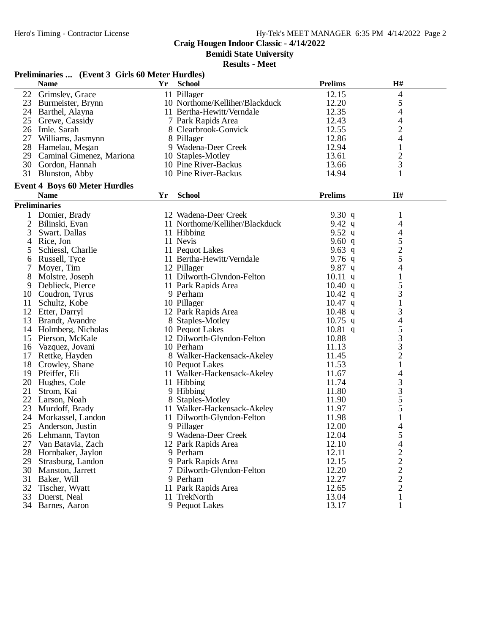**Bemidi State University**

|                | Preliminaries  (Event 3 Girls 60 Meter Hurdles) |    |                                |                |                |  |
|----------------|-------------------------------------------------|----|--------------------------------|----------------|----------------|--|
|                | <b>Name</b>                                     | Yr | <b>School</b>                  | <b>Prelims</b> | H#             |  |
| 22             | Grimsley, Grace                                 |    | 11 Pillager                    | 12.15          | $\overline{4}$ |  |
|                | 23 Burmeister, Brynn                            |    | 10 Northome/Kelliher/Blackduck | 12.20          | 5              |  |
|                | 24 Barthel, Alayna                              |    | 11 Bertha-Hewitt/Verndale      | 12.35          | 4              |  |
|                | 25 Grewe, Cassidy                               |    | 7 Park Rapids Area             | 12.43          | 4              |  |
|                | 26 Imle, Sarah                                  |    | 8 Clearbrook-Gonvick           | 12.55          | $\overline{c}$ |  |
| 27             | Williams, Jasmynn                               |    | 8 Pillager                     | 12.86          | 4              |  |
|                | 28 Hamelau, Megan                               |    | 9 Wadena-Deer Creek            | 12.94          | $\mathbf{1}$   |  |
|                | 29 Caminal Gimenez, Mariona                     |    | 10 Staples-Motley              | 13.61          | $\overline{c}$ |  |
|                | 30 Gordon, Hannah                               |    | 10 Pine River-Backus           | 13.66          | 3              |  |
|                | 31 Blunston, Abby                               |    | 10 Pine River-Backus           | 14.94          | 1              |  |
|                | <b>Event 4 Boys 60 Meter Hurdles</b>            |    |                                |                |                |  |
|                | <b>Name</b>                                     | Yr | <b>School</b>                  | <b>Prelims</b> | H#             |  |
|                | <b>Preliminaries</b>                            |    |                                |                |                |  |
|                | Domier, Brady                                   |    | 12 Wadena-Deer Creek           | 9.30 $q$       | 1              |  |
| $\overline{c}$ | Bilinski, Evan                                  |    | 11 Northome/Kelliher/Blackduck | 9.42 $q$       | 4              |  |
| 3              | Swart, Dallas                                   |    | 11 Hibbing                     | 9.52 $q$       | 4              |  |
| 4              | Rice, Jon                                       |    | 11 Nevis                       | 9.60 $q$       |                |  |
| 5              | Schiessl, Charlie                               |    | 11 Pequot Lakes                | 9.63 $q$       | $\frac{5}{2}$  |  |
| 6              | Russell, Tyce                                   |    | 11 Bertha-Hewitt/Verndale      | 9.76 $q$       |                |  |
|                | Moyer, Tim                                      |    | 12 Pillager                    | 9.87 $q$       | 4              |  |
| 8              | Molstre, Joseph                                 |    | 11 Dilworth-Glyndon-Felton     | $10.11$ q      | $\mathbf{1}$   |  |
| 9              | Deblieck, Pierce                                |    | 11 Park Rapids Area            | 10.40 q        | 5              |  |
|                | 10 Coudron, Tyrus                               |    | 9 Perham                       | $10.42$ q      | 3              |  |
| 11             | Schultz, Kobe                                   |    | 10 Pillager                    | $10.47$ q      | $\mathbf{1}$   |  |
|                | 12 Etter, Darryl                                |    | 12 Park Rapids Area            | $10.48$ q      | 3              |  |
|                | 13 Brandt, Avandre                              |    | 8 Staples-Motley               | $10.75$ q      | $\overline{4}$ |  |
|                | 14 Holmberg, Nicholas                           |    | 10 Pequot Lakes                | $10.81$ q      | 5              |  |
|                | 15 Pierson, McKale                              |    | 12 Dilworth-Glyndon-Felton     | 10.88          | 3              |  |
|                | 16 Vazquez, Jovani                              |    | 10 Perham                      | 11.13          | 3              |  |
|                | 17 Rettke, Hayden                               |    | 8 Walker-Hackensack-Akeley     | 11.45          | $\overline{c}$ |  |
|                | 18 Crowley, Shane                               |    | 10 Pequot Lakes                | 11.53          | 1              |  |
|                | 19 Pfeiffer, Eli                                |    | 11 Walker-Hackensack-Akeley    | 11.67          | 4              |  |
| 20             | Hughes, Cole                                    |    | 11 Hibbing                     | 11.74          | 3              |  |
| 21             | Strom, Kai                                      |    | 9 Hibbing                      | 11.80          | 3              |  |
|                | 22 Larson, Noah                                 |    | 8 Staples-Motley               | 11.90          | $\frac{5}{5}$  |  |
| 23             | Murdoff, Brady                                  |    | 11 Walker-Hackensack-Akeley    | 11.97          |                |  |
| 24             | Morkassel, Landon                               |    | 11 Dilworth-Glyndon-Felton     | 11.98          | $\mathbf{1}$   |  |
|                | 25 Anderson, Justin                             |    | 9 Pillager                     | 12.00          | 4              |  |
|                | 26 Lehmann, Tayton                              |    | 9 Wadena-Deer Creek            | 12.04          | 5              |  |
| 27             | Van Batavia, Zach                               |    | 12 Park Rapids Area            | 12.10          | 4              |  |
|                | 28 Hornbaker, Jaylon                            |    | 9 Perham                       | 12.11          | $\overline{c}$ |  |
|                | 29 Strasburg, Landon                            |    | 9 Park Rapids Area             | 12.15          | $\overline{c}$ |  |
|                | 30 Manston, Jarrett                             |    | 7 Dilworth-Glyndon-Felton      | 12.20          | $\overline{c}$ |  |
| 31             | Baker, Will                                     |    | 9 Perham                       | 12.27          | $\overline{c}$ |  |
|                | 32 Tischer, Wyatt                               |    | 11 Park Rapids Area            | 12.65          | $\overline{2}$ |  |
|                | 33 Duerst, Neal                                 |    | 11 TrekNorth                   | 13.04          | 1              |  |
|                | 34 Barnes, Aaron                                |    | 9 Pequot Lakes                 | 13.17          | 1              |  |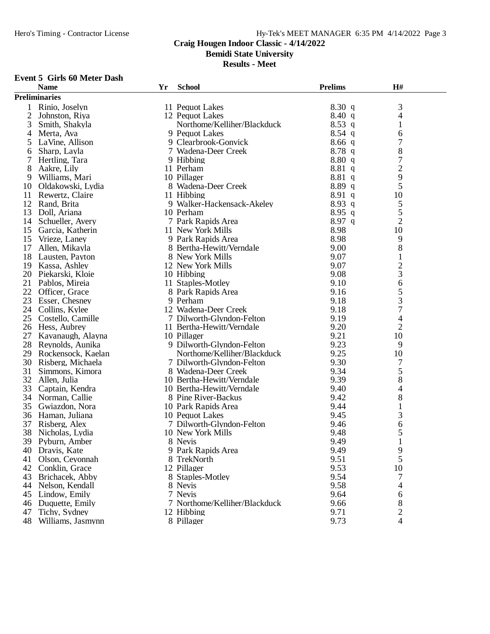**Bemidi State University**

**Results - Meet**

#### **Event 5 Girls 60 Meter Dash**

|                | <b>Name</b>          | Yr | <b>School</b>                 | <b>Prelims</b> | H#                       |  |
|----------------|----------------------|----|-------------------------------|----------------|--------------------------|--|
|                | <b>Preliminaries</b> |    |                               |                |                          |  |
| 1              | Rinio, Joselyn       |    | 11 Pequot Lakes               | 8.30q          | 3                        |  |
| $\overline{2}$ | Johnston, Riya       |    | 12 Pequot Lakes               | 8.40 q         | 4                        |  |
| 3              | Smith, Shakyla       |    | Northome/Kelliher/Blackduck   | $8.53$ q       | $\mathbf 1$              |  |
| 4              | Merta, Ava           |    | 9 Pequot Lakes                | $8.54$ q       | 6                        |  |
| 5              | LaVine, Allison      |    | 9 Clearbrook-Gonvick          | 8.66q          | 7                        |  |
| 6              | Sharp, Layla         |    | 7 Wadena-Deer Creek           | 8.78q          | 8                        |  |
| 7              | Hertling, Tara       |    | 9 Hibbing                     | 8.80q          | 7                        |  |
| 8              | Aakre, Lily          |    | 11 Perham                     | 8.81q          | $\overline{c}$           |  |
| 9              | Williams, Mari       |    | 10 Pillager                   | 8.81q          | 9                        |  |
| 10             | Oldakowski, Lydia    |    | 8 Wadena-Deer Creek           | 8.89q          | 5                        |  |
| 11             | Rewertz, Claire      |    | 11 Hibbing                    | $8.91\ q$      | 10                       |  |
| 12             | Rand, Brita          |    | 9 Walker-Hackensack-Akeley    | 8.93 q         | 5                        |  |
| 13             |                      |    | 10 Perham                     | $8.95$ q       | 5                        |  |
|                | Doll, Ariana         |    |                               | 8.97 q         | $\overline{2}$           |  |
| 14             | Schueller, Avery     |    | 7 Park Rapids Area            |                |                          |  |
| 15             | Garcia, Katherin     |    | 11 New York Mills             | 8.98           | 10                       |  |
| 15             | Vrieze, Laney        |    | 9 Park Rapids Area            | 8.98           | 9                        |  |
| 17             | Allen, Mikayla       |    | 8 Bertha-Hewitt/Verndale      | 9.00           | 8                        |  |
| 18             | Lausten, Payton      |    | 8 New York Mills              | 9.07           | $\mathbf{1}$             |  |
| 19             | Kassa, Ashley        |    | 12 New York Mills             | 9.07           | $\overline{c}$           |  |
| 20             | Piekarski, Kloie     |    | 10 Hibbing                    | 9.08           | 3                        |  |
| 21             | Pablos, Mireia       |    | 11 Staples-Motley             | 9.10           | 6                        |  |
| 22             | Officer, Grace       |    | 8 Park Rapids Area            | 9.16           | 5                        |  |
| 23             | Esser, Chesney       |    | 9 Perham                      | 9.18           | 3                        |  |
| 24             | Collins, Kylee       |    | 12 Wadena-Deer Creek          | 9.18           | $\tau$                   |  |
| 25             | Costello, Camille    |    | 7 Dilworth-Glyndon-Felton     | 9.19           | $\overline{\mathcal{A}}$ |  |
|                | 26 Hess, Aubrey      |    | 11 Bertha-Hewitt/Verndale     | 9.20           | $\overline{2}$           |  |
| 27             | Kavanaugh, Alayna    |    | 10 Pillager                   | 9.21           | 10                       |  |
| 28             | Reynolds, Aunika     |    | 9 Dilworth-Glyndon-Felton     | 9.23           | 9                        |  |
| 29             | Rockensock, Kaelan   |    | Northome/Kelliher/Blackduck   | 9.25           | 10                       |  |
| 30             | Risberg, Michaela    |    | 7 Dilworth-Glyndon-Felton     | 9.30           | 7                        |  |
| 31             | Simmons, Kimora      |    | 8 Wadena-Deer Creek           | 9.34           | 5                        |  |
| 32             | Allen, Julia         |    | 10 Bertha-Hewitt/Verndale     | 9.39           | 8                        |  |
| 33             | Captain, Kendra      |    | 10 Bertha-Hewitt/Verndale     | 9.40           | 4                        |  |
| 34             | Norman, Callie       |    | 8 Pine River-Backus           | 9.42           | 8                        |  |
| 35             | Gwiazdon, Nora       |    | 10 Park Rapids Area           | 9.44           | $\mathbf{1}$             |  |
| 36             | Haman, Juliana       |    | 10 Pequot Lakes               | 9.45           | 3                        |  |
| 37             | Risberg, Alex        |    | 7 Dilworth-Glyndon-Felton     | 9.46           | 6                        |  |
| 38             | Nicholas, Lydia      |    | 10 New York Mills             | 9.48           | 5                        |  |
|                | 39 Pyburn, Amber     |    | 8 Nevis                       | 9.49           |                          |  |
| 40             | Dravis, Kate         |    | 9 Park Rapids Area            | 9.49           | 9                        |  |
| 41             | Olson, Ceyonnah      |    | 8 TrekNorth                   | 9.51           | 5                        |  |
| 42             | Conklin, Grace       |    | 12 Pillager                   | 9.53           | 10                       |  |
| 43             | Brichacek, Abby      |    | 8 Staples-Motley              | 9.54           | 7                        |  |
| 44             | Nelson, Kendall      |    | 8 Nevis                       | 9.58           | 4                        |  |
| 45             | Lindow, Emily        |    | 7 Nevis                       | 9.64           | 6                        |  |
| 46             | Duquette, Emily      |    | 7 Northome/Kelliher/Blackduck | 9.66           | 8                        |  |
| 47             | Tichy, Sydney        |    | 12 Hibbing                    | 9.71           | $\overline{2}$           |  |
| 48             | Williams, Jasmynn    |    | 8 Pillager                    | 9.73           | 4                        |  |
|                |                      |    |                               |                |                          |  |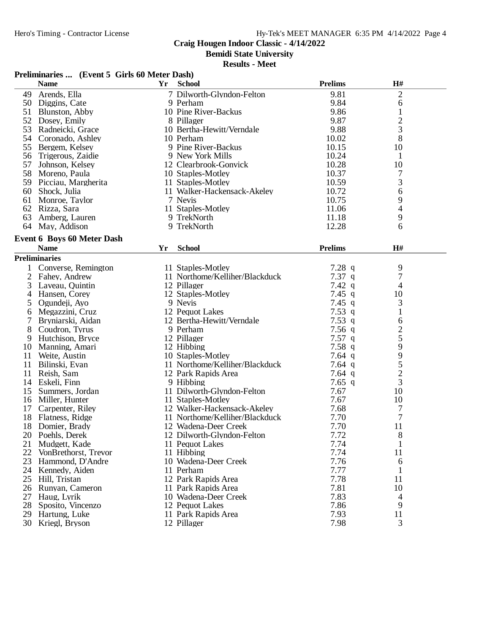**Bemidi State University**

| Preliminaries  (Event 5 Girls 60 Meter Dash) |                                   |    |                                |                  |                |  |
|----------------------------------------------|-----------------------------------|----|--------------------------------|------------------|----------------|--|
|                                              | <b>Name</b>                       | Yr | <b>School</b>                  | <b>Prelims</b>   | H#             |  |
| 49                                           | Arends, Ella                      |    | 7 Dilworth-Glyndon-Felton      | 9.81             | $\mathbf{2}$   |  |
|                                              | 50 Diggins, Cate                  |    | 9 Perham                       | 9.84             | 6              |  |
|                                              | 51 Blunston, Abby                 |    | 10 Pine River-Backus           | 9.86             | $\mathbf{1}$   |  |
|                                              | 52 Dosey, Emily                   |    | 8 Pillager                     | 9.87             | $\overline{c}$ |  |
|                                              | 53 Radneicki, Grace               |    | 10 Bertha-Hewitt/Verndale      | 9.88             | 3              |  |
|                                              | 54 Coronado, Ashley               |    | 10 Perham                      | 10.02            | 8              |  |
|                                              | 55 Bergem, Kelsey                 |    | 9 Pine River-Backus            | 10.15            | 10             |  |
|                                              | 56 Trigerous, Zaidie              |    | 9 New York Mills               | 10.24            | 1              |  |
|                                              | 57 Johnson, Kelsey                |    | 12 Clearbrook-Gonvick          | 10.28            | 10             |  |
|                                              | 58 Moreno, Paula                  |    | 10 Staples-Motley              | 10.37            | 7              |  |
|                                              | 59 Picciau, Margherita            |    | 11 Staples-Motley              | 10.59            | 3              |  |
|                                              | 60 Shock, Julia                   |    | 11 Walker-Hackensack-Akeley    | 10.72            | 6              |  |
| 61                                           | Monroe, Taylor                    |    | 7 Nevis                        | 10.75            | 9              |  |
| 62                                           | Rizza, Sara                       |    | 11 Staples-Motley              | 11.06            | $\overline{4}$ |  |
| 63                                           | Amberg, Lauren                    |    | 9 TrekNorth                    | 11.18            | 9              |  |
|                                              | 64 May, Addison                   |    | 9 TrekNorth                    | 12.28            | 6              |  |
|                                              |                                   |    |                                |                  |                |  |
|                                              | <b>Event 6 Boys 60 Meter Dash</b> |    |                                |                  |                |  |
|                                              | <b>Name</b>                       | Yr | <b>School</b>                  | <b>Prelims</b>   | H#             |  |
|                                              | <b>Preliminaries</b>              |    |                                |                  |                |  |
| 1                                            | Converse, Remington               |    | 11 Staples-Motley              | $7.28$ q         | 9              |  |
| 2                                            | Fahey, Andrew                     |    | 11 Northome/Kelliher/Blackduck | $7.37$ q         | 7              |  |
| 3                                            | Laveau, Ouintin                   |    | 12 Pillager                    | $7.42 \text{ q}$ | $\overline{4}$ |  |
| 4                                            | Hansen, Corey                     |    | 12 Staples-Motley              | 7.45 q           | 10             |  |
| 5                                            | Ogundeji, Ayo                     |    | 9 Nevis                        | 7.45 q           | 3              |  |
| 6                                            | Megazzini, Cruz                   |    | 12 Pequot Lakes                | 7.53q            | 1              |  |
| 7                                            | Bryniarski, Aidan                 |    | 12 Bertha-Hewitt/Verndale      | $7.53$ q         | 6              |  |
| 8                                            | Coudron, Tyrus                    |    | 9 Perham                       | $7.56$ q         | $\overline{c}$ |  |
| 9                                            | Hutchison, Bryce                  |    | 12 Pillager                    | $7.57$ q         | 5              |  |
|                                              | 10 Manning, Amari                 |    | 12 Hibbing                     | 7.58q            | 9              |  |
| 11                                           | Weite, Austin                     |    | 10 Staples-Motley              | 7.64 $q$         | $\frac{9}{5}$  |  |
| 11                                           | Bilinski, Evan                    |    | 11 Northome/Kelliher/Blackduck | 7.64 $q$         |                |  |
| 11                                           | Reish, Sam                        |    | 12 Park Rapids Area            | 7.64 q           | $\overline{c}$ |  |
| 14                                           | Eskeli, Finn                      |    | 9 Hibbing                      | 7.65 q           | 3              |  |
| 15                                           | Summers, Jordan                   |    | 11 Dilworth-Glyndon-Felton     | 7.67             | 10             |  |
|                                              | 16 Miller, Hunter                 |    | 11 Staples-Motley              | 7.67             | 10             |  |
|                                              | 17 Carpenter, Riley               |    | 12 Walker-Hackensack-Akeley    | 7.68             | $\overline{7}$ |  |
|                                              | 18 Flatness, Ridge                |    | 11 Northome/Kelliher/Blackduck | 7.70             | $\overline{7}$ |  |
|                                              | 18 Domier, Brady                  |    | 12 Wadena-Deer Creek           | 7.70             | 11             |  |
|                                              | 20 Poehls, Derek                  |    | 12 Dilworth-Glyndon-Felton     | 7.72             | 8              |  |
| 21                                           | Mudgett, Kade                     |    | 11 Pequot Lakes                | 7.74             | 1              |  |
| 22                                           | VonBrethorst, Trevor              |    | 11 Hibbing                     | 7.74             | 11             |  |
|                                              | 23 Hammond, D'Andre               |    | 10 Wadena-Deer Creek           | 7.76             | 6              |  |
|                                              | 24 Kennedy, Aiden                 |    | 11 Perham                      | 7.77             | 1              |  |
|                                              | 25 Hill, Tristan                  |    | 12 Park Rapids Area            | 7.78             | 11             |  |
| 26                                           | Runyan, Cameron                   |    | 11 Park Rapids Area            | 7.81             | 10             |  |
| 27                                           | Haug, Lyrik                       |    | 10 Wadena-Deer Creek           | 7.83             | 4              |  |
|                                              | 28 Sposito, Vincenzo              |    | 12 Pequot Lakes                | 7.86             | 9              |  |
|                                              | 29 Hartung, Luke                  |    | 11 Park Rapids Area            | 7.93             | 11             |  |
|                                              | 30 Kriegl, Bryson                 |    | 12 Pillager                    | 7.98             | 3              |  |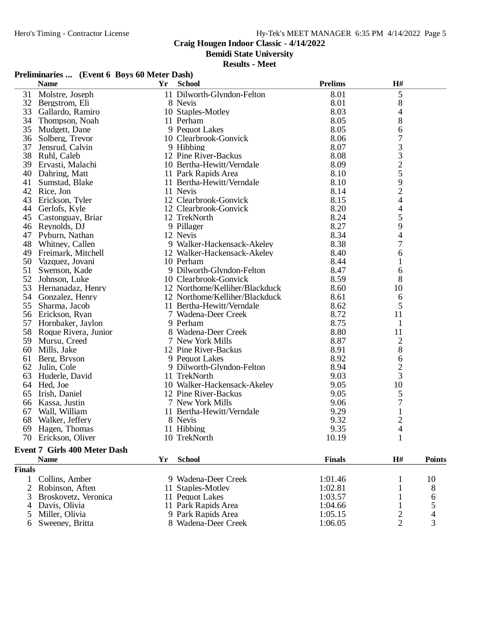**Bemidi State University**

|    | Preliminaries  (Event 6 Boys 60 Meter Dash) |    |                                |                |                |               |
|----|---------------------------------------------|----|--------------------------------|----------------|----------------|---------------|
|    | <b>Name</b>                                 | Yr | <b>School</b>                  | <b>Prelims</b> | $\mathbf{H}$ # |               |
| 31 | Molstre, Joseph                             |    | 11 Dilworth-Glyndon-Felton     | 8.01           | 5              |               |
| 32 | Bergstrom, Eli                              |    | 8 Nevis                        | 8.01           | 8              |               |
| 33 | Gallardo, Ramiro                            |    | 10 Staples-Motley              | 8.03           | 4              |               |
| 34 | Thompson, Noah                              |    | 11 Perham                      | 8.05           | 8              |               |
| 35 | Mudgett, Dane                               |    | 9 Pequot Lakes                 | 8.05           | 6              |               |
| 36 | Solberg, Trevor                             |    | 10 Clearbrook-Gonvick          | 8.06           | 7              |               |
| 37 | Jensrud, Calvin                             |    | 9 Hibbing                      | 8.07           |                |               |
| 38 | Ruhl, Caleb                                 |    | 12 Pine River-Backus           | 8.08           |                |               |
|    | 39 Ervasti, Malachi                         |    | 10 Bertha-Hewitt/Verndale      | 8.09           | 33259          |               |
| 40 | Dahring, Matt                               |    | 11 Park Rapids Area            | 8.10           |                |               |
| 41 | Sumstad, Blake                              |    | 11 Bertha-Hewitt/Verndale      | 8.10           |                |               |
| 42 | Rice, Jon                                   |    | 11 Nevis                       | 8.14           | $\overline{c}$ |               |
| 43 | Erickson, Tyler                             |    | 12 Clearbrook-Gonvick          | 8.15           | 4              |               |
| 44 | Gerlofs, Kyle                               |    | 12 Clearbrook-Gonvick          | 8.20           | 4              |               |
|    | 45 Castonguay, Briar                        |    | 12 TrekNorth                   | 8.24           | 5              |               |
|    | 46 Reynolds, DJ                             |    | 9 Pillager                     | 8.27           | 9              |               |
|    | 47 Pyburn, Nathan                           |    | 12 Nevis                       | 8.34           | 4              |               |
| 48 | Whitney, Callen                             |    | 9 Walker-Hackensack-Akeley     | 8.38           | $\overline{7}$ |               |
|    | 49 Freimark, Mitchell                       |    | 12 Walker-Hackensack-Akeley    | 8.40           | 6              |               |
|    | 50 Vazquez, Jovani                          |    | 10 Perham                      | 8.44           | 1              |               |
| 51 | Swenson, Kade                               |    | 9 Dilworth-Glyndon-Felton      | 8.47           | 6              |               |
|    | 52 Johnson, Luke                            |    | 10 Clearbrook-Gonvick          | 8.59           | 8              |               |
| 53 | Hernanadaz, Henry                           |    | 12 Northome/Kelliher/Blackduck | 8.60           | 10             |               |
|    | 54 Gonzalez, Henry                          |    | 12 Northome/Kelliher/Blackduck | 8.61           | 6              |               |
| 55 | Sharma, Jacob                               |    | 11 Bertha-Hewitt/Verndale      | 8.62           | 5              |               |
|    | 56 Erickson, Ryan                           |    | 7 Wadena-Deer Creek            | 8.72           | 11             |               |
|    | 57 Hornbaker, Jaylon                        |    | 9 Perham                       | 8.75           | $\mathbf{1}$   |               |
|    | 58 Roque Rivera, Junior                     |    | 8 Wadena-Deer Creek            | 8.80           | 11             |               |
|    | 59 Mursu, Creed                             |    | 7 New York Mills               | 8.87           | 2              |               |
| 60 | Mills, Jake                                 |    | 12 Pine River-Backus           | 8.91           | 8              |               |
| 61 | Berg, Bryson                                |    | 9 Pequot Lakes                 | 8.92           | 6              |               |
|    | 62 Julin, Cole                              |    | 9 Dilworth-Glyndon-Felton      | 8.94           | $\overline{c}$ |               |
| 63 | Huderle, David                              |    | 11 TrekNorth                   | 9.03           | $\overline{3}$ |               |
|    | 64 Hed, Joe                                 |    | 10 Walker-Hackensack-Akeley    | 9.05           | 10             |               |
| 65 | Irish, Daniel                               |    | 12 Pine River-Backus           | 9.05           | 5              |               |
| 66 | Kassa, Justin                               |    | 7 New York Mills               | 9.06           | 7              |               |
| 67 | Wall, William                               |    | 11 Bertha-Hewitt/Verndale      | 9.29           | $\mathbf{1}$   |               |
| 68 | Walker, Jeffery                             |    | 8 Nevis                        | 9.32           | $\overline{c}$ |               |
| 69 | Hagen, Thomas                               |    | 11 Hibbing                     | 9.35           | 4              |               |
| 70 | Erickson, Oliver                            |    | 10 TrekNorth                   | 10.19          | $\mathbf{1}$   |               |
|    | Event 7 Girls 400 Meter Dash                |    |                                |                |                |               |
|    | <b>Name</b>                                 | Yr | <b>School</b>                  | <b>Finals</b>  | H#             | <b>Points</b> |
|    |                                             |    |                                |                |                |               |

| <b>Finals</b> |                        |                     |         |   |                |
|---------------|------------------------|---------------------|---------|---|----------------|
|               | 1 Collins, Amber       | 9 Wadena-Deer Creek | 1:01.46 |   | 10             |
|               | 2 Robinson, Aften      | 11 Staples-Motley   | 1:02.81 |   | 8              |
|               | 3 Broskovetz, Veronica | 11 Pequot Lakes     | 1:03.57 |   | 6              |
|               | 4 Davis, Olivia        | 11 Park Rapids Area | 1:04.66 |   |                |
|               | 5 Miller, Olivia       | 9 Park Rapids Area  | 1:05.15 |   | $\overline{4}$ |
|               | 6 Sweeney, Britta      | 8 Wadena-Deer Creek | 1:06.05 | ∍ | $\mathbf{R}$   |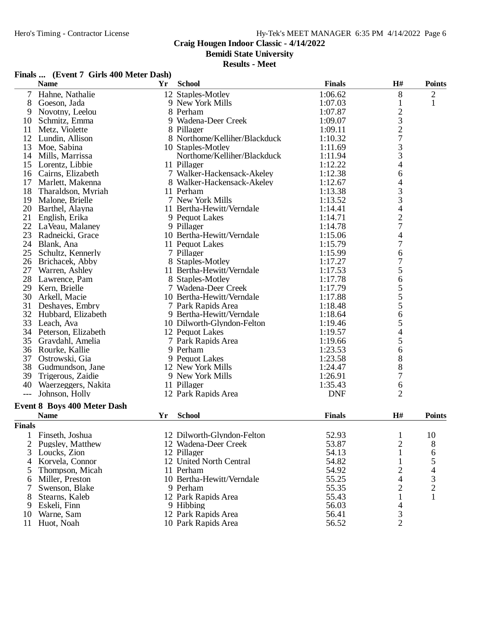**Bemidi State University**

#### **Results - Meet**

# **Finals ... (Event 7 Girls 400 Meter Dash)**

|               | <b>Name</b>                        | Yr | <b>School</b>                  | <b>Finals</b>      | H#                            | <b>Points</b>  |
|---------------|------------------------------------|----|--------------------------------|--------------------|-------------------------------|----------------|
| 7             | Hahne, Nathalie                    |    | 12 Staples-Motley              | 1:06.62            | 8                             | $\overline{c}$ |
| 8             | Goeson, Jada                       |    | 9 New York Mills               | 1:07.03            | $\mathbf{1}$                  | $\mathbf{1}$   |
| 9             | Novotny, Leelou                    |    | 8 Perham                       | 1:07.87            |                               |                |
| 10            | Schmitz, Emma                      |    | 9 Wadena-Deer Creek            | 1:09.07            | $\frac{2}{3}$                 |                |
| 11            | Metz, Violette                     |    | 8 Pillager                     | 1:09.11            | $\overline{c}$                |                |
| 12            | Lundin, Allison                    |    | 8 Northome/Kelliher/Blackduck  | 1:10.32            | $\boldsymbol{7}$              |                |
| 13            | Moe, Sabina                        |    | 10 Staples-Motley              | 1:11.69            | 3                             |                |
| 14            | Mills, Marrissa                    |    | Northome/Kelliher/Blackduck    | 1:11.94            | 3                             |                |
| 15            | Lorentz, Libbie                    |    | 11 Pillager                    | 1:12.22            | 4                             |                |
|               | 16 Cairns, Elizabeth               |    | 7 Walker-Hackensack-Akeley     | 1:12.38            | 6                             |                |
| 17            | Marlett, Makenna                   |    | 8 Walker-Hackensack-Akeley     | 1:12.67            | 4                             |                |
| 18            | Tharaldson, Myriah                 |    | 11 Perham                      | 1:13.38            |                               |                |
| 19            | Malone, Brielle                    |    | 7 New York Mills               | 1:13.52            | $\frac{3}{3}$                 |                |
| 20            | Barthel, Alayna                    |    | 11 Bertha-Hewitt/Verndale      | 1:14.41            | $\overline{4}$                |                |
| 21            | English, Erika                     |    | 9 Pequot Lakes                 | 1:14.71            | $\overline{c}$                |                |
|               | 22 LaVeau, Malaney                 |    | 9 Pillager                     | 1:14.78            | $\boldsymbol{7}$              |                |
| 23            | Radneicki, Grace                   |    | 10 Bertha-Hewitt/Verndale      | 1:15.06            | $\overline{4}$                |                |
| 24            | Blank, Ana                         |    | 11 Pequot Lakes                | 1:15.79            | $\tau$                        |                |
| 25            | Schultz, Kennerly                  |    | 7 Pillager                     | 1:15.99            | 6                             |                |
|               | 26 Brichacek, Abby                 |    | 8 Staples-Motley               | 1:17.27            | 7                             |                |
| 27            | Warren, Ashley                     |    | 11 Bertha-Hewitt/Verndale      | 1:17.53            | 5                             |                |
| 28            | Lawrence, Pam                      |    | 8 Staples-Motley               | 1:17.78            | 6                             |                |
| 29            | Kern, Brielle                      |    | 7 Wadena-Deer Creek            | 1:17.79            | 5                             |                |
| 30            | Arkell, Macie                      |    | 10 Bertha-Hewitt/Verndale      | 1:17.88            | 5                             |                |
| 31            | Deshayes, Embry                    |    | 7 Park Rapids Area             | 1:18.48            | 5                             |                |
| 32            | Hubbard, Elizabeth                 |    | 9 Bertha-Hewitt/Verndale       | 1:18.64            | $\sqrt{6}$                    |                |
| 33            | Leach, Ava                         |    | 10 Dilworth-Glyndon-Felton     | 1:19.46            | 5                             |                |
|               | 34 Peterson, Elizabeth             |    | 12 Pequot Lakes                |                    |                               |                |
| 35            | Gravdahl, Amelia                   |    |                                | 1:19.57<br>1:19.66 | $\overline{\mathcal{L}}$<br>5 |                |
| 36            |                                    |    | 7 Park Rapids Area<br>9 Perham | 1:23.53            | 6                             |                |
|               | Rourke, Kallie                     |    |                                |                    |                               |                |
| 37            | Ostrowski, Gia                     |    | 9 Pequot Lakes                 | 1:23.58            | $8\,$                         |                |
|               | 38 Gudmundson, Jane                |    | 12 New York Mills              | 1:24.47            | $8\,$                         |                |
| 39            | Trigerous, Zaidie                  |    | 9 New York Mills               | 1:26.91            | 7                             |                |
| 40            | Waerzeggers, Nakita                |    | 11 Pillager                    | 1:35.43            | 6                             |                |
| $---$         | Johnson, Holly                     |    | 12 Park Rapids Area            | <b>DNF</b>         | $\overline{2}$                |                |
|               | <b>Event 8 Boys 400 Meter Dash</b> |    |                                |                    |                               |                |
|               | <b>Name</b>                        | Yr | <b>School</b>                  | <b>Finals</b>      | H#                            | <b>Points</b>  |
| <b>Finals</b> |                                    |    |                                |                    |                               |                |
|               | Finseth, Joshua                    |    | 12 Dilworth-Glyndon-Felton     | 52.93              | 1                             | 10             |
|               | Pugsley, Matthew                   |    | 12 Wadena-Deer Creek           | 53.87              | $\overline{c}$                | 8              |
| 3             | Loucks, Zion                       |    | 12 Pillager                    | 54.13              | 1                             | 6              |
| 4             | Korvela, Connor                    |    | 12 United North Central        | 54.82              |                               | 5              |
| 5             | Thompson, Micah                    |    | 11 Perham                      | 54.92              | 2                             | 4              |
| 6             | Miller, Preston                    |    | 10 Bertha-Hewitt/Verndale      | 55.25              | 4                             |                |
| 7             | Swenson, Blake                     |    | 9 Perham                       | 55.35              | $\overline{c}$                | $\frac{3}{2}$  |
| 8             | Stearns, Kaleb                     |    | 12 Park Rapids Area            | 55.43              | $\mathbf{1}$                  | $\mathbf{1}$   |
| 9             | Eskeli, Finn                       |    | 9 Hibbing                      | 56.03              | $\overline{4}$                |                |
| 10            | Warne, Sam                         |    | 12 Park Rapids Area            | 56.41              | $\mathfrak{Z}$                |                |
| 11            | Huot, Noah                         |    | 10 Park Rapids Area            | 56.52              | $\overline{2}$                |                |
|               |                                    |    |                                |                    |                               |                |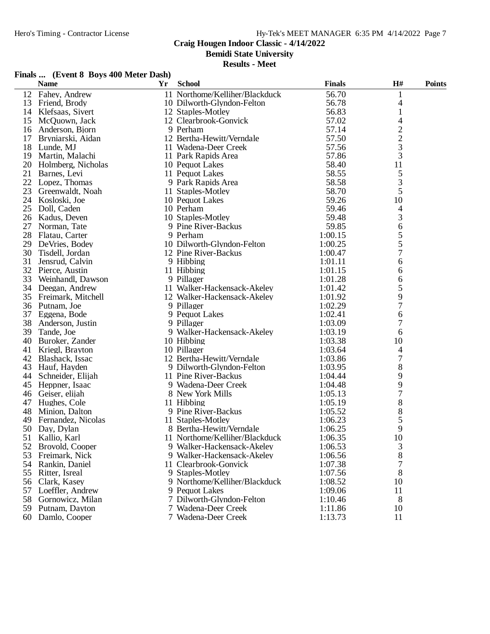**Bemidi State University**

| Finals  (Event 8 Boys 400 Meter Dash) |  |  |  |
|---------------------------------------|--|--|--|
|---------------------------------------|--|--|--|

|    | <b>Name</b>           | $\mathbf{Y}\mathbf{r}$ | <b>School</b>                  | <b>Finals</b> | H#            | <b>Points</b> |
|----|-----------------------|------------------------|--------------------------------|---------------|---------------|---------------|
|    | 12 Fahey, Andrew      |                        | 11 Northome/Kelliher/Blackduck | 56.70         | 1             |               |
| 13 | Friend, Brody         |                        | 10 Dilworth-Glyndon-Felton     | 56.78         | 4             |               |
| 14 | Klefsaas, Sivert      |                        | 12 Staples-Motley              | 56.83         | $\mathbf{1}$  |               |
| 15 | McQuown, Jack         |                        | 12 Clearbrook-Gonvick          | 57.02         | 4             |               |
| 16 | Anderson, Bjorn       |                        | 9 Perham                       | 57.14         |               |               |
| 17 | Bryniarski, Aidan     |                        | 12 Bertha-Hewitt/Verndale      | 57.50         | $\frac{2}{2}$ |               |
| 18 | Lunde, MJ             |                        | 11 Wadena-Deer Creek           | 57.56         | 3             |               |
| 19 | Martin, Malachi       |                        | 11 Park Rapids Area            | 57.86         | 3             |               |
|    | 20 Holmberg, Nicholas |                        | 10 Pequot Lakes                | 58.40         | 11            |               |
| 21 | Barnes, Levi          |                        | 11 Pequot Lakes                | 58.55         | 5             |               |
|    | 22 Lopez, Thomas      |                        | 9 Park Rapids Area             | 58.58         | 3             |               |
| 23 | Greenwaldt, Noah      |                        | 11 Staples-Motley              | 58.70         | 5             |               |
| 24 | Kosloski, Joe         |                        | 10 Pequot Lakes                | 59.26         | 10            |               |
| 25 | Doll, Caden           |                        | 10 Perham                      | 59.46         | 4             |               |
|    | 26 Kadus, Deven       |                        | 10 Staples-Motley              | 59.48         | 3             |               |
| 27 | Norman, Tate          |                        | 9 Pine River-Backus            | 59.85         | 6             |               |
|    | 28 Flatau, Carter     |                        | 9 Perham                       | 1:00.15       | 5             |               |
| 29 | DeVries, Bodey        |                        | 10 Dilworth-Glyndon-Felton     | 1:00.25       | 5             |               |
| 30 | Tisdell, Jordan       |                        | 12 Pine River-Backus           | 1:00.47       | 7             |               |
| 31 | Jensrud, Calvin       |                        | 9 Hibbing                      | 1:01.11       | 6             |               |
|    | 32 Pierce, Austin     |                        | 11 Hibbing                     | 1:01.15       | 6             |               |
| 33 | Weinhandl, Dawson     |                        | 9 Pillager                     | 1:01.28       | 6             |               |
|    | 34 Deegan, Andrew     |                        | 11 Walker-Hackensack-Akeley    | 1:01.42       | 5             |               |
| 35 | Freimark, Mitchell    |                        | 12 Walker-Hackensack-Akeley    | 1:01.92       | 9             |               |
| 36 | Putnam, Joe           |                        | 9 Pillager                     | 1:02.29       | 7             |               |
| 37 | Eggena, Bode          |                        | 9 Pequot Lakes                 | 1:02.41       | 6             |               |
| 38 | Anderson, Justin      |                        | 9 Pillager                     | 1:03.09       | 7             |               |
| 39 | Tande, Joe            |                        | 9 Walker-Hackensack-Akeley     | 1:03.19       | 6             |               |
| 40 | Buroker, Zander       |                        | 10 Hibbing                     | 1:03.38       | 10            |               |
| 41 | Kriegl, Brayton       |                        | 10 Pillager                    | 1:03.64       | 4             |               |
| 42 | Blashack, Issac       |                        | 12 Bertha-Hewitt/Verndale      | 1:03.86       | 7             |               |
| 43 | Hauf, Hayden          |                        | 9 Dilworth-Glyndon-Felton      | 1:03.95       | 8             |               |
| 44 | Schneider, Elijah     |                        | 11 Pine River-Backus           | 1:04.44       | 9             |               |
| 45 | Heppner, Isaac        |                        | 9 Wadena-Deer Creek            | 1:04.48       | 9             |               |
| 46 | Geiser, elijah        |                        | 8 New York Mills               | 1:05.13       | 7             |               |
| 47 | Hughes, Cole          |                        | 11 Hibbing                     | 1:05.19       | 8             |               |
| 48 | Minion, Dalton        |                        | 9 Pine River-Backus            | 1:05.52       | 8             |               |
| 49 | Fernandez, Nicolas    |                        | 11 Staples-Motley              | 1:06.23       | 5             |               |
|    | 50 Day, Dylan         |                        | 8 Bertha-Hewitt/Verndale       | 1:06.25       | 9             |               |
|    | 51 Kallio, Karl       |                        | 11 Northome/Kelliher/Blackduck | 1:06.35       | 10            |               |
|    | 52 Brovold, Cooper    |                        | 9 Walker-Hackensack-Akeley     | 1:06.53       | 3             |               |
| 53 | Freimark, Nick        |                        | 9 Walker-Hackensack-Akeley     | 1:06.56       | 8             |               |
| 54 | Rankin, Daniel        |                        | 11 Clearbrook-Gonvick          | 1:07.38       | 7             |               |
| 55 | Ritter, Isreal        |                        | 9 Staples-Motley               | 1:07.56       | 8             |               |
| 56 | Clark, Kasey          |                        | 9 Northome/Kelliher/Blackduck  | 1:08.52       | 10            |               |
| 57 | Loeffler, Andrew      |                        | 9 Pequot Lakes                 | 1:09.06       | 11            |               |
| 58 | Gornowicz, Milan      |                        | 7 Dilworth-Glyndon-Felton      | 1:10.46       | 8             |               |
| 59 | Putnam, Dayton        |                        | 7 Wadena-Deer Creek            | 1:11.86       | 10            |               |
| 60 | Damlo, Cooper         |                        | 7 Wadena-Deer Creek            | 1:13.73       | 11            |               |
|    |                       |                        |                                |               |               |               |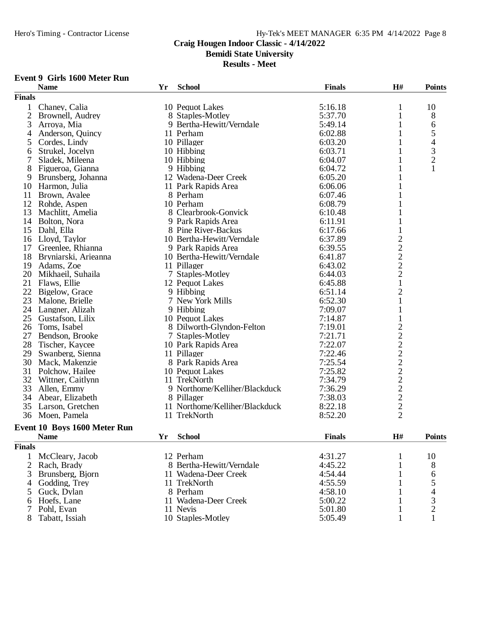**Bemidi State University**

**Results - Meet**

#### **Event 9 Girls 1600 Meter Run**

|                | <b>Name</b>                  | Yr | <b>School</b>                  | <b>Finals</b> | H#                                         | <b>Points</b>  |
|----------------|------------------------------|----|--------------------------------|---------------|--------------------------------------------|----------------|
| <b>Finals</b>  |                              |    |                                |               |                                            |                |
| 1              | Chaney, Calia                |    | 10 Pequot Lakes                | 5:16.18       | 1                                          | 10             |
| $\mathfrak{2}$ | Brownell, Audrey             |    | 8 Staples-Motley               | 5:37.70       | 1                                          | 8              |
| 3              | Arroya, Mia                  |    | 9 Bertha-Hewitt/Verndale       | 5:49.14       | 1                                          | 6              |
| 4              | Anderson, Quincy             |    | 11 Perham                      | 6:02.88       | 1                                          | 5              |
| 5              | Cordes, Lindy                |    | 10 Pillager                    | 6:03.20       | 1                                          | 4              |
| 6              | Strukel, Jocelyn             |    | 10 Hibbing                     | 6:03.71       | 1                                          | 3              |
| 7              | Sladek, Mileena              |    | 10 Hibbing                     | 6:04.07       | 1                                          | $\overline{c}$ |
| 8              | Figueroa, Gianna             |    | 9 Hibbing                      | 6:04.72       | 1                                          | $\mathbf{1}$   |
| 9              | Brunsberg, Johanna           |    | 12 Wadena-Deer Creek           | 6:05.20       |                                            |                |
| 10             | Harmon, Julia                |    | 11 Park Rapids Area            | 6:06.06       | 1                                          |                |
| 11             | Brown, Avalee                |    | 8 Perham                       | 6:07.46       | 1                                          |                |
| 12             | Rohde, Aspen                 |    | 10 Perham                      | 6:08.79       |                                            |                |
| 13             | Machlitt, Amelia             |    | 8 Clearbrook-Gonvick           | 6:10.48       |                                            |                |
| 14             | Bolton, Nora                 |    | 9 Park Rapids Area             | 6:11.91       | 1                                          |                |
| 15             | Dahl, Ella                   |    | 8 Pine River-Backus            | 6:17.66       |                                            |                |
| 16             | Lloyd, Taylor                |    | 10 Bertha-Hewitt/Verndale      | 6:37.89       | $\overline{c}$                             |                |
| 17             | Greenlee, Rhianna            |    | 9 Park Rapids Area             | 6:39.55       |                                            |                |
| 18             | Bryniarski, Arieanna         |    | 10 Bertha-Hewitt/Verndale      | 6:41.87       |                                            |                |
| 19             | Adams, Zoe                   |    | 11 Pillager                    | 6:43.02       | $\begin{array}{c} 2 \\ 2 \\ 2 \end{array}$ |                |
| 20             | Mikhaeil, Suhaila            |    | 7 Staples-Motley               | 6:44.03       |                                            |                |
| 21             | Flaws, Ellie                 |    | 12 Pequot Lakes                | 6:45.88       | $\mathbf{1}$                               |                |
| 22             | Bigelow, Grace               |    | 9 Hibbing                      | 6:51.14       | $\overline{c}$                             |                |
| 23             | Malone, Brielle              |    | 7 New York Mills               | 6:52.30       | $\mathbf{1}$                               |                |
| 24             | Langner, Alizah              |    | 9 Hibbing                      | 7:09.07       | $\mathbf{1}$                               |                |
| 25             | Gustafson, Lilix             |    | 10 Pequot Lakes                | 7:14.87       | $\mathbf{1}$                               |                |
| 26             | Toms, Isabel                 |    | 8 Dilworth-Glyndon-Felton      | 7:19.01       |                                            |                |
| 27             | Bendson, Brooke              |    | 7 Staples-Motley               | 7:21.71       |                                            |                |
| 28             | Tischer, Kaycee              |    | 10 Park Rapids Area            | 7:22.07       |                                            |                |
| 29             | Swanberg, Sienna             |    | 11 Pillager                    | 7:22.46       |                                            |                |
| 30             | Mack, Makenzie               |    | 8 Park Rapids Area             | 7:25.54       |                                            |                |
| 31             | Polchow, Hailee              |    | 10 Pequot Lakes                | 7:25.82       |                                            |                |
| 32             | Wittner, Caitlynn            |    | 11 TrekNorth                   | 7:34.79       |                                            |                |
| 33             | Allen, Emmy                  |    | 9 Northome/Kelliher/Blackduck  | 7:36.29       |                                            |                |
| 34             | Abear, Elizabeth             |    | 8 Pillager                     | 7:38.03       |                                            |                |
| 35             | Larson, Gretchen             |    | 11 Northome/Kelliher/Blackduck | 8:22.18       |                                            |                |
| 36             | Moen, Pamela                 |    | 11 TrekNorth                   | 8:52.20       | 2222222222                                 |                |
|                | Event 10 Boys 1600 Meter Run |    |                                |               |                                            |                |
|                | <b>Name</b>                  | Yr | <b>School</b>                  | <b>Finals</b> | $\mathbf{H}$ #                             | <b>Points</b>  |
|                |                              |    |                                |               |                                            |                |
| <b>Finals</b>  |                              |    |                                |               |                                            |                |
| 1              | McCleary, Jacob              |    | 12 Perham                      | 4:31.27       | 1                                          | 10             |
| $\overline{2}$ | Rach, Brady                  |    | 8 Bertha-Hewitt/Verndale       | 4:45.22       | 1                                          | 8              |
| 3              | Brunsberg, Bjorn             |    | 11 Wadena-Deer Creek           | 4:54.44       | 1                                          | 6              |
| 4              | Godding, Trey                |    | 11 TrekNorth                   | 4:55.59       | 1                                          | 5              |
| 5              | Guck, Dylan                  |    | 8 Perham                       | 4:58.10       | 1                                          | 4              |
| 6              | Hoefs, Lane                  |    | 11 Wadena-Deer Creek           | 5:00.22       | 1                                          | 3              |
| 7              | Pohl, Evan                   |    | 11 Nevis                       | 5:01.80       | 1                                          | $\overline{c}$ |
| 8              | Tabatt, Issiah               |    | 10 Staples-Motley              | 5:05.49       | 1                                          |                |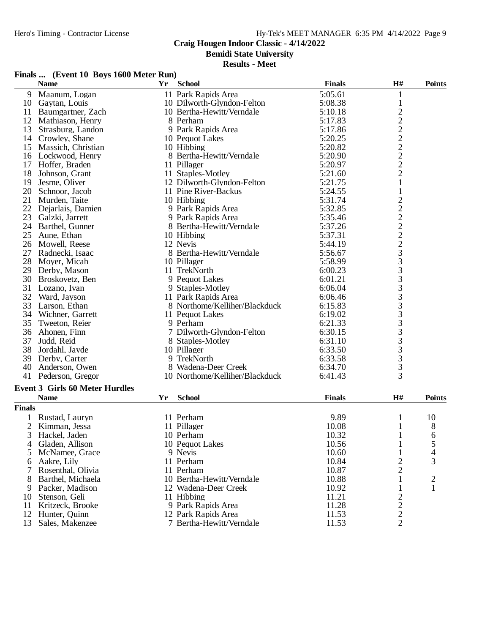**Bemidi State University**

| Finals  (Event 10 Boys 1600 Meter Run) |  |  |
|----------------------------------------|--|--|
|                                        |  |  |

|                | <b>Name</b>                           | Yr | <b>School</b>                  | <b>Finals</b> | H#             | <b>Points</b>           |
|----------------|---------------------------------------|----|--------------------------------|---------------|----------------|-------------------------|
| 9              | Maanum, Logan                         |    | 11 Park Rapids Area            | 5:05.61       | $\mathbf{1}$   |                         |
| 10             | Gaytan, Louis                         |    | 10 Dilworth-Glyndon-Felton     | 5:08.38       | $\mathbf{1}$   |                         |
| 11             | Baumgartner, Zach                     |    | 10 Bertha-Hewitt/Verndale      | 5:10.18       |                |                         |
| 12             | Mathiason, Henry                      |    | 8 Perham                       | 5:17.83       | 22222222       |                         |
| 13             | Strasburg, Landon                     |    | 9 Park Rapids Area             | 5:17.86       |                |                         |
| 14             | Crowley, Shane                        |    | 10 Pequot Lakes                | 5:20.25       |                |                         |
| 15             | Massich, Christian                    |    | 10 Hibbing                     | 5:20.82       |                |                         |
| 16             | Lockwood, Henry                       |    | 8 Bertha-Hewitt/Verndale       | 5:20.90       |                |                         |
| 17             | Hoffer, Braden                        |    | 11 Pillager                    | 5:20.97       |                |                         |
| 18             | Johnson, Grant                        |    | 11 Staples-Motley              | 5:21.60       |                |                         |
| 19             | Jesme, Oliver                         |    | 12 Dilworth-Glyndon-Felton     | 5:21.75       | $\mathbf{1}$   |                         |
| 20             | Schnoor, Jacob                        |    | 11 Pine River-Backus           | 5:24.55       | $\,1$          |                         |
| 21             | Murden, Taite                         |    | 10 Hibbing                     | 5:31.74       |                |                         |
| 22             | Dejarlais, Damien                     |    | 9 Park Rapids Area             | 5:32.85       |                |                         |
| 23             | Galzki, Jarrett                       |    | 9 Park Rapids Area             | 5:35.46       |                |                         |
| 24             | Barthel, Gunner                       |    | 8 Bertha-Hewitt/Verndale       | 5:37.26       |                |                         |
| 25             | Aune, Ethan                           |    | 10 Hibbing                     | 5:37.31       |                |                         |
| 26             | Mowell, Reese                         |    | 12 Nevis                       | 5:44.19       |                |                         |
| 27             | Radnecki, Isaac                       |    | 8 Bertha-Hewitt/Verndale       | 5:56.67       |                |                         |
| 28             | Moyer, Micah                          |    | 10 Pillager                    | 5:58.99       |                |                         |
| 29             | Derby, Mason                          |    | 11 TrekNorth                   | 6:00.23       |                |                         |
| 30             | Broskovetz, Ben                       |    | 9 Pequot Lakes                 | 6:01.21       |                |                         |
| 31             | Lozano, Ivan                          |    | 9 Staples-Motley               | 6:06.04       |                |                         |
| 32             | Ward, Jayson                          |    | 11 Park Rapids Area            | 6:06.46       |                |                         |
| 33             | Larson, Ethan                         |    | 8 Northome/Kelliher/Blackduck  | 6:15.83       |                |                         |
| 34             | Wichner, Garrett                      |    | 11 Pequot Lakes                | 6:19.02       |                |                         |
| 35             | Tweeton, Reier                        |    | 9 Perham                       | 6:21.33       |                |                         |
| 36             | Ahonen, Finn                          |    | 7 Dilworth-Glyndon-Felton      | 6:30.15       |                |                         |
| 37             | Judd, Reid                            |    | 8 Staples-Motley               | 6:31.10       |                |                         |
| 38             | Jordahl, Jayde                        |    | 10 Pillager                    | 6:33.50       |                |                         |
| 39             | Derby, Carter                         |    | 9 TrekNorth                    | 6:33.58       |                |                         |
| 40             | Anderson, Owen                        |    | 8 Wadena-Deer Creek            | 6:34.70       |                |                         |
|                | 41 Pederson, Gregor                   |    | 10 Northome/Kelliher/Blackduck | 6:41.43       |                |                         |
|                |                                       |    |                                |               |                |                         |
|                | <b>Event 3 Girls 60 Meter Hurdles</b> |    |                                |               |                |                         |
|                | <b>Name</b>                           | Yr | <b>School</b>                  | <b>Finals</b> | H#             | <b>Points</b>           |
| <b>Finals</b>  |                                       |    |                                |               |                |                         |
|                | Rustad, Lauryn                        |    | 11 Perham                      | 9.89          | $\mathbf{1}$   | 10                      |
| $\mathbf{2}$   | Kimman, Jessa                         |    | 11 Pillager                    | 10.08         | $\mathbf{1}$   | 8                       |
| $\overline{3}$ | Hackel, Jaden                         |    | 10 Perham                      | 10.32         | $\mathbf{1}$   | 6                       |
| 4              | Gladen, Allison                       |    | 10 Pequot Lakes                | 10.56         | $\mathbf{1}$   | 5                       |
| 5              | McNamee, Grace                        |    | 9 Nevis                        | 10.60         | 1              | 4                       |
| 6              | Aakre, Lily                           |    | 11 Perham                      | 10.84         | 2              | 3                       |
| 7              | Rosenthal, Olivia                     |    | 11 Perham                      | 10.87         | $\overline{2}$ |                         |
| 8              | Barthel, Michaela                     |    | 10 Bertha-Hewitt/Verndale      | 10.88         | $\mathbf{1}$   | $\overline{\mathbf{c}}$ |
| 9              | Packer, Madison                       |    | 12 Wadena-Deer Creek           | 10.92         | $\mathbf{1}$   | $\mathbf{1}$            |
| 10             | Stenson, Geli                         |    | 11 Hibbing                     | 11.21         |                |                         |
| 11             | Kritzeck, Brooke                      |    | 9 Park Rapids Area             | 11.28         | $\frac{2}{2}$  |                         |
| 12             | Hunter, Quinn                         |    | 12 Park Rapids Area            | 11.53         | $\frac{2}{2}$  |                         |
| 13             | Sales, Makenzee                       |    | 7 Bertha-Hewitt/Verndale       | 11.53         |                |                         |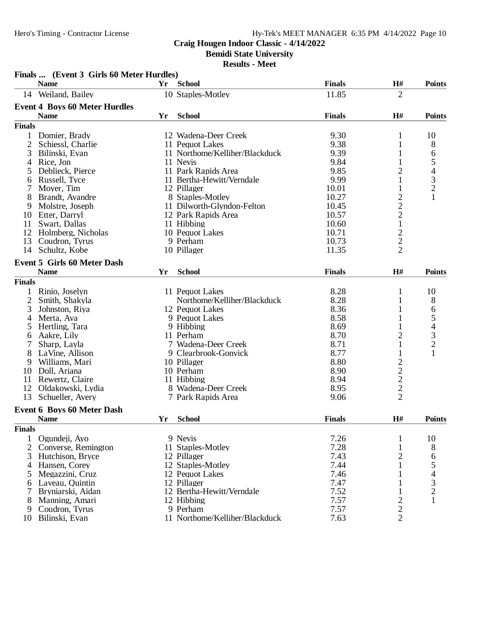# Hy-Tek's MEET MANAGER 6:35 PM 4/14/2022 Page 10

# **Craig Hougen Indoor Classic - 4/14/2022**

**Bemidi State University**

|                | Finals  (Event 3 Girls 60 Meter Hurdles) |    |                                |               |                         |                                |
|----------------|------------------------------------------|----|--------------------------------|---------------|-------------------------|--------------------------------|
|                | <b>Name</b>                              | Yr | <b>School</b>                  | <b>Finals</b> | H#                      | <b>Points</b>                  |
|                | 14 Weiland, Bailey                       |    | 10 Staples-Motley              | 11.85         | $\overline{2}$          |                                |
|                | <b>Event 4 Boys 60 Meter Hurdles</b>     |    |                                |               |                         |                                |
|                | <b>Name</b>                              | Yr | <b>School</b>                  | <b>Finals</b> | H#                      | <b>Points</b>                  |
| <b>Finals</b>  |                                          |    |                                |               |                         |                                |
| 1              | Domier, Brady                            |    | 12 Wadena-Deer Creek           | 9.30          | 1                       | 10                             |
| 2              | Schiessl, Charlie                        |    | 11 Pequot Lakes                | 9.38          | 1                       | 8                              |
| 3              | Bilinski, Evan                           |    | 11 Northome/Kelliher/Blackduck | 9.39          | 1                       | 6                              |
| 4              | Rice, Jon                                |    | 11 Nevis                       | 9.84          | 1                       |                                |
| 5              | Deblieck, Pierce                         |    | 11 Park Rapids Area            | 9.85          | $\overline{c}$          |                                |
| 6              | Russell, Tyce                            |    | 11 Bertha-Hewitt/Verndale      | 9.99          | 1                       | $\frac{5}{4}$<br>$\frac{3}{2}$ |
| 7              | Moyer, Tim                               |    | 12 Pillager                    | 10.01         | 1                       |                                |
| 8              | Brandt, Avandre                          |    | 8 Staples-Motley               | 10.27         | $\overline{c}$          | $\mathbf{1}$                   |
| 9              | Molstre, Joseph                          |    | 11 Dilworth-Glyndon-Felton     | 10.45         | $\overline{c}$          |                                |
| 10             | Etter, Darryl                            |    | 12 Park Rapids Area            | 10.57         | $\overline{c}$          |                                |
| 11             | Swart, Dallas                            |    | 11 Hibbing                     | 10.60         | $\,1\,$                 |                                |
| 12             | Holmberg, Nicholas                       |    | 10 Pequot Lakes                | 10.71         |                         |                                |
| 13             | Coudron, Tyrus                           |    | 9 Perham                       | 10.73         | $\frac{2}{2}$           |                                |
| 14             | Schultz, Kobe                            |    | 10 Pillager                    | 11.35         |                         |                                |
|                | <b>Event 5 Girls 60 Meter Dash</b>       |    |                                |               |                         |                                |
|                | <b>Name</b>                              | Yr | <b>School</b>                  | <b>Finals</b> | $\mathbf{H}$ #          | <b>Points</b>                  |
| <b>Finals</b>  |                                          |    |                                |               |                         |                                |
|                | Rinio, Joselyn                           |    | 11 Pequot Lakes                | 8.28          | $\mathbf{1}$            | 10                             |
| $\overline{2}$ | Smith, Shakyla                           |    | Northome/Kelliher/Blackduck    | 8.28          | $\mathbf{1}$            | 8                              |
| 3              | Johnston, Riya                           |    | 12 Pequot Lakes                | 8.36          | $\mathbf{1}$            |                                |
| 4              | Merta, Ava                               |    | 9 Pequot Lakes                 | 8.58          | 1                       | 65432                          |
| 5              | Hertling, Tara                           |    | 9 Hibbing                      | 8.69          | 1                       |                                |
| 6              | Aakre, Lily                              |    | 11 Perham                      | 8.70          | $\overline{c}$          |                                |
| 7              | Sharp, Layla                             |    | 7 Wadena-Deer Creek            | 8.71          | 1                       |                                |
| 8              | LaVine, Allison                          |    | 9 Clearbrook-Gonvick           | 8.77          | $\mathbf{1}$            | $\mathbf{1}$                   |
| 9              | Williams, Mari                           |    | 10 Pillager                    | 8.80          | $\overline{\mathbf{c}}$ |                                |
| 10             | Doll, Ariana                             |    | 10 Perham                      | 8.90          |                         |                                |
| 11             | Rewertz, Claire                          |    | 11 Hibbing                     | 8.94          |                         |                                |
| 12             | Oldakowski, Lydia                        |    | 8 Wadena-Deer Creek            | 8.95          | $\frac{2}{2}$           |                                |
| 13             | Schueller, Avery                         |    | 7 Park Rapids Area             | 9.06          | $\overline{2}$          |                                |
|                | <b>Event 6 Boys 60 Meter Dash</b>        |    |                                |               |                         |                                |
|                | <b>Name</b>                              | Yr | <b>School</b>                  | <b>Finals</b> | H#                      | <b>Points</b>                  |
| <b>Finals</b>  |                                          |    |                                |               |                         |                                |
| 1              | Ogundeji, Ayo                            |    | 9 Nevis                        | 7.26          | $\mathbf{1}$            | 10                             |
| $\overline{2}$ | Converse, Remington                      |    | 11 Staples-Motley              | 7.28          | 1                       | 8                              |
| 3              | Hutchison, Bryce                         |    | 12 Pillager                    | 7.43          | $\overline{c}$          | 6                              |
| 4              | Hansen, Corey                            |    | 12 Staples-Motley              | 7.44          | 1                       |                                |
| 5              | Megazzini, Cruz                          |    | 12 Pequot Lakes                | 7.46          | 1                       | $\frac{5}{4}$<br>$\frac{3}{2}$ |
| 6              | Laveau, Ouintin                          |    | 12 Pillager                    | 7.47          | 1                       |                                |
| 7              | Bryniarski, Aidan                        |    | 12 Bertha-Hewitt/Verndale      | 7.52          | 1                       |                                |
| 8              | Manning, Amari                           |    | 12 Hibbing                     | 7.57          | $\overline{c}$          | 1                              |
| 9              | Coudron, Tyrus                           |    | 9 Perham                       | 7.57          | $\overline{c}$          |                                |
| 10             | Bilinski, Evan                           |    | 11 Northome/Kelliher/Blackduck | 7.63          | $\overline{2}$          |                                |
|                |                                          |    |                                |               |                         |                                |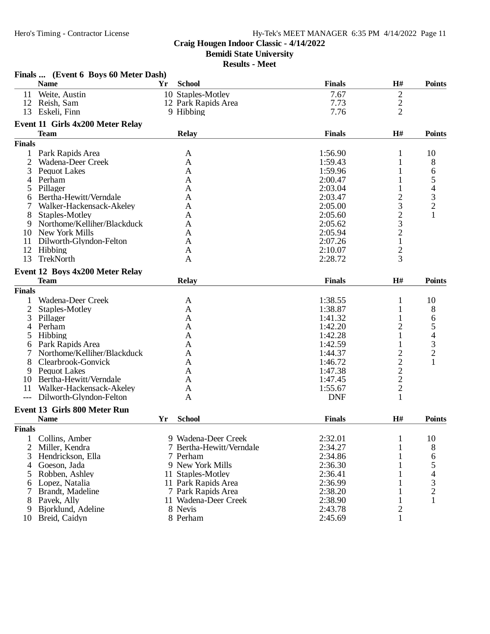# **Craig Hougen Indoor Classic - 4/14/2022**

**Bemidi State University**

|                | Finals  (Event 6 Boys 60 Meter Dash) |    |                          |               |                |                                                 |
|----------------|--------------------------------------|----|--------------------------|---------------|----------------|-------------------------------------------------|
|                | <b>Name</b>                          | Yr | <b>School</b>            | <b>Finals</b> | H#             | <b>Points</b>                                   |
| 11             | Weite, Austin                        |    | 10 Staples-Motley        | 7.67          | $\overline{2}$ |                                                 |
| 12             | Reish, Sam                           |    | 12 Park Rapids Area      | 7.73          | $\overline{c}$ |                                                 |
| 13             | Eskeli, Finn                         |    | 9 Hibbing                | 7.76          | $\overline{2}$ |                                                 |
|                | Event 11 Girls 4x200 Meter Relay     |    |                          |               |                |                                                 |
|                | <b>Team</b>                          |    | <b>Relay</b>             | <b>Finals</b> | H#             | <b>Points</b>                                   |
| <b>Finals</b>  |                                      |    |                          |               |                |                                                 |
| $\mathbf{1}$   | Park Rapids Area                     |    | A                        | 1:56.90       | 1              | 10                                              |
| 2              | Wadena-Deer Creek                    |    | A                        | 1:59.43       | 1              | 8                                               |
| 3              | Pequot Lakes                         |    | A                        | 1:59.96       | 1              | 6                                               |
|                | Perham                               |    | A                        | 2:00.47       | 1              |                                                 |
| 5              | Pillager                             |    | A                        | 2:03.04       | 1              |                                                 |
| 6              | Bertha-Hewitt/Verndale               |    | A                        | 2:03.47       | $\overline{c}$ | $\begin{array}{c} 5 \\ 4 \\ 3 \\ 2 \end{array}$ |
|                | Walker-Hackensack-Akeley             |    | A                        | 2:05.00       | 3              |                                                 |
| 8              | Staples-Motley                       |    | A                        | 2:05.60       | $\overline{c}$ | 1                                               |
| 9              | Northome/Kelliher/Blackduck          |    | A                        | 2:05.62       | 3              |                                                 |
| 10             | <b>New York Mills</b>                |    | A                        | 2:05.94       | $\overline{c}$ |                                                 |
| 11             | Dilworth-Glyndon-Felton              |    | A                        | 2:07.26       | $\mathbf{1}$   |                                                 |
| 12             | Hibbing                              |    | A                        | 2:10.07       | $\overline{c}$ |                                                 |
| 13             | TrekNorth                            |    | $\mathbf{A}$             | 2:28.72       | 3              |                                                 |
|                |                                      |    |                          |               |                |                                                 |
|                | Event 12 Boys 4x200 Meter Relay      |    |                          |               |                |                                                 |
|                | <b>Team</b>                          |    | <b>Relay</b>             | <b>Finals</b> | H#             | <b>Points</b>                                   |
| <b>Finals</b>  |                                      |    |                          |               |                |                                                 |
|                | Wadena-Deer Creek                    |    | A                        | 1:38.55       | $\mathbf{1}$   | 10                                              |
| $\mathbf{2}$   | Staples-Motley                       |    | A                        | 1:38.87       | $\mathbf{1}$   | 8                                               |
| 3              | Pillager                             |    | A                        | 1:41.32       | 1              | 6                                               |
| 4              | Perham                               |    | A                        | 1:42.20       | $\overline{2}$ | 5<br>4<br>3<br>2                                |
| 5              | Hibbing                              |    | A                        | 1:42.28       |                |                                                 |
| 6              | Park Rapids Area                     |    | A                        | 1:42.59       |                |                                                 |
|                | Northome/Kelliher/Blackduck          |    | A                        | 1:44.37       | $\overline{c}$ |                                                 |
| 8              | Clearbrook-Gonvick                   |    | A                        | 1:46.72       | $\overline{c}$ | $\mathbf{1}$                                    |
| 9              | <b>Pequot Lakes</b>                  |    | A                        | 1:47.38       | $\overline{c}$ |                                                 |
| 10             | Bertha-Hewitt/Verndale               |    | A                        | 1:47.45       | $\frac{2}{2}$  |                                                 |
| 11             | Walker-Hackensack-Akeley             |    | A                        | 1:55.67       |                |                                                 |
| $---$          | Dilworth-Glyndon-Felton              |    | A                        | <b>DNF</b>    | 1              |                                                 |
|                | <b>Event 13 Girls 800 Meter Run</b>  |    |                          |               |                |                                                 |
|                | <b>Name</b>                          | Yr | <b>School</b>            | <b>Finals</b> | H#             | <b>Points</b>                                   |
| <b>Finals</b>  |                                      |    |                          |               |                |                                                 |
| 1              | Collins, Amber                       |    | 9 Wadena-Deer Creek      | 2:32.01       | $\mathbf{1}$   | 10                                              |
| $\overline{2}$ | Miller, Kendra                       |    | 7 Bertha-Hewitt/Verndale | 2:34.27       | $\mathbf{1}$   | 8                                               |
| 3              | Hendrickson, Ella                    |    | 7 Perham                 | 2:34.86       | 1              | 6                                               |
| 4              | Goeson, Jada                         |    | 9 New York Mills         | 2:36.30       | 1              | 5                                               |
| 5              | Robben, Ashley                       |    | 11 Staples-Motley        | 2:36.41       | 1              | $\overline{\mathcal{A}}$                        |
| 6              | Lopez, Natalia                       |    | 11 Park Rapids Area      | 2:36.99       | 1              |                                                 |
| 7              | Brandt, Madeline                     |    | 7 Park Rapids Area       | 2:38.20       | 1              | $\frac{3}{2}$                                   |
| 8              | Pavek, Ally                          |    | 11 Wadena-Deer Creek     | 2:38.90       | $\mathbf{1}$   | $\mathbf{1}$                                    |
| 9              | Bjorklund, Adeline                   |    | 8 Nevis                  | 2:43.78       | $\overline{c}$ |                                                 |
|                | 10 Breid, Caidyn                     |    | 8 Perham                 | 2:45.69       | $\mathbf{1}$   |                                                 |
|                |                                      |    |                          |               |                |                                                 |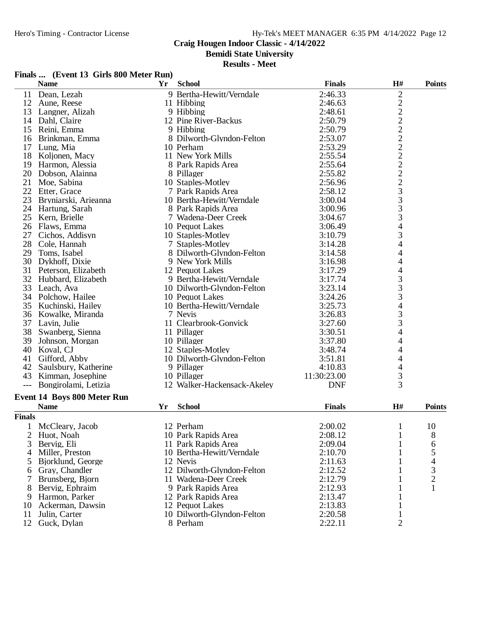**Bemidi State University**

#### **Results - Meet**

|  | Finals  (Event 13 Girls 800 Meter Run) |  |  |  |
|--|----------------------------------------|--|--|--|
|--|----------------------------------------|--|--|--|

|                     | <b>Name</b>                 | Yr | <b>School</b>                            | <b>Finals</b>          | H#                                         | <b>Points</b>  |
|---------------------|-----------------------------|----|------------------------------------------|------------------------|--------------------------------------------|----------------|
| 11                  | Dean, Lezah                 |    | 9 Bertha-Hewitt/Verndale                 | 2:46.33                | $\overline{c}$                             |                |
|                     | 12 Aune, Reese              |    | 11 Hibbing                               | 2:46.63                | 222222222333                               |                |
| 13                  | Langner, Alizah             |    | 9 Hibbing                                | 2:48.61                |                                            |                |
|                     | 14 Dahl, Claire             |    | 12 Pine River-Backus                     | 2:50.79                |                                            |                |
| 15                  | Reini, Emma                 |    | 9 Hibbing                                | 2:50.79                |                                            |                |
| 16                  | Brinkman, Emma              |    | 8 Dilworth-Glyndon-Felton                | 2:53.07                |                                            |                |
| 17                  | Lung, Mia                   |    | 10 Perham                                | 2:53.29                |                                            |                |
| 18                  | Koljonen, Macy              |    | 11 New York Mills                        | 2:55.54                |                                            |                |
|                     | 19 Harmon, Alessia          |    | 8 Park Rapids Area                       | 2:55.64                |                                            |                |
| 20                  | Dobson, Alainna             |    | 8 Pillager                               | 2:55.82                |                                            |                |
| 21                  | Moe, Sabina                 |    | 10 Staples-Motley                        | 2:56.96                |                                            |                |
|                     | 22 Etter, Grace             |    | 7 Park Rapids Area                       | 2:58.12                |                                            |                |
| 23                  | Bryniarski, Arieanna        |    | 10 Bertha-Hewitt/Verndale                | 3:00.04                |                                            |                |
|                     | 24 Hartung, Sarah           |    | 8 Park Rapids Area                       | 3:00.96                |                                            |                |
|                     | 25 Kern, Brielle            |    | 7 Wadena-Deer Creek                      | 3:04.67                |                                            |                |
| 26                  | Flaws, Emma                 |    | 10 Pequot Lakes                          | 3:06.49                | $\overline{\mathcal{A}}$                   |                |
| 27                  | Cichos, Addisyn             |    | 10 Staples-Motley                        | 3:10.79                | 3                                          |                |
| 28                  | Cole, Hannah                |    | 7 Staples-Motley                         | 3:14.28                | $\overline{\mathcal{A}}$                   |                |
| 29                  | Toms, Isabel                |    | 8 Dilworth-Glyndon-Felton                | 3:14.58                | 4                                          |                |
| 30                  | Dykhoff, Dixie              |    | 9 New York Mills                         | 3:16.98                | $\overline{4}$                             |                |
|                     | 31 Peterson, Elizabeth      |    | 12 Pequot Lakes                          | 3:17.29                | $\overline{\mathcal{L}}$                   |                |
| 32                  | Hubbard, Elizabeth          |    | 9 Bertha-Hewitt/Verndale                 | 3:17.74                |                                            |                |
| 33                  | Leach, Ava                  |    | 10 Dilworth-Glyndon-Felton               | 3:23.14                |                                            |                |
|                     | 34 Polchow, Hailee          |    | 10 Pequot Lakes                          | 3:24.26                | $\begin{array}{c} 3 \\ 3 \\ 3 \end{array}$ |                |
| 35                  | Kuchinski, Hailey           |    | 10 Bertha-Hewitt/Verndale                | 3:25.73                |                                            |                |
| 36                  | Kowalke, Miranda            |    | 7 Nevis                                  | 3:26.83                | $\frac{4}{3}$                              |                |
|                     | 37 Lavin, Julie             |    | 11 Clearbrook-Gonvick                    | 3:27.60                |                                            |                |
| 38                  | Swanberg, Sienna            |    | 11 Pillager                              | 3:30.51                | $\overline{\mathcal{A}}$                   |                |
| 39                  | Johnson, Morgan             |    | 10 Pillager                              | 3:37.80                | 4                                          |                |
| 40                  | Koval, CJ                   |    | 12 Staples-Motley                        | 3:48.74                | 4                                          |                |
| 41                  | Gifford, Abby               |    |                                          | 3:51.81                |                                            |                |
|                     | 42 Saulsbury, Katherine     |    | 10 Dilworth-Glyndon-Felton<br>9 Pillager |                        | $\overline{4}$                             |                |
| 43                  |                             |    |                                          | 4:10.83<br>11:30:23.00 | $\overline{4}$                             |                |
|                     | Kimman, Josephine           |    | 10 Pillager                              |                        | 3<br>$\overline{3}$                        |                |
| $\qquad \qquad - -$ | Bongirolami, Letizia        |    | 12 Walker-Hackensack-Akeley              | <b>DNF</b>             |                                            |                |
|                     | Event 14 Boys 800 Meter Run |    |                                          |                        |                                            |                |
|                     | <b>Name</b>                 | Yr | <b>School</b>                            | <b>Finals</b>          | $\mathbf{H}$ #                             | <b>Points</b>  |
| <b>Finals</b>       |                             |    |                                          |                        |                                            |                |
|                     | McCleary, Jacob             |    | 12 Perham                                | 2:00.02                | $\mathbf 1$                                | 10             |
|                     | 2 Huot, Noah                |    | 10 Park Rapids Area                      | 2:08.12                | $\mathbf{1}$                               | 8              |
| 3                   | Bervig, Eli                 |    | 11 Park Rapids Area                      | 2:09.04                | 1                                          | 6              |
| 4                   | Miller, Preston             |    | 10 Bertha-Hewitt/Verndale                | 2:10.70                | 1                                          | 5              |
| 5                   | Bjorklund, George           |    | 12 Nevis                                 | 2:11.63                |                                            | 4              |
| 6                   | Gray, Chandler              |    | 12 Dilworth-Glyndon-Felton               | 2:12.52                | 1                                          | 3              |
|                     | Brunsberg, Bjorn            |    | 11 Wadena-Deer Creek                     | 2:12.79                |                                            | $\overline{2}$ |
| 8                   | Bervig, Ephraim             |    | 9 Park Rapids Area                       | 2:12.93                | 1                                          | 1              |
| 9                   | Harmon, Parker              |    | 12 Park Rapids Area                      | 2:13.47                |                                            |                |
| 10                  | Ackerman, Dawsin            |    | 12 Pequot Lakes                          | 2:13.83                |                                            |                |
| 11                  | Julin, Carter               |    | 10 Dilworth-Glyndon-Felton               | 2:20.58                |                                            |                |
|                     |                             |    |                                          |                        |                                            |                |

10 Dilworth-Glyndon-Felton 2:20.58 1<br>8 Perham 2:22.11 2

- 
- 
- 12 Guck, Dylan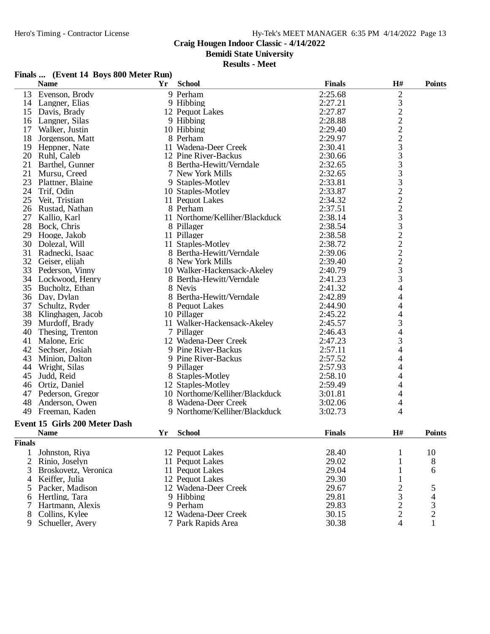# Hy-Tek's MEET MANAGER 6:35 PM 4/14/2022 Page 13

# **Craig Hougen Indoor Classic - 4/14/2022**

**Bemidi State University**

#### **Results - Meet**

#### **Finals ... (Event 14 Boys 800 Meter Run)**

|                | <b>Name</b>                   | Yr | <b>School</b>                  | <b>Finals</b> | H#                      | <b>Points</b>  |
|----------------|-------------------------------|----|--------------------------------|---------------|-------------------------|----------------|
| 13             | Evenson, Brody                |    | 9 Perham                       | 2:25.68       | $\overline{\mathbf{c}}$ |                |
| 14             | Langner, Elias                |    | 9 Hibbing                      | 2:27.21       |                         |                |
| 15             | Davis, Brady                  |    | 12 Pequot Lakes                | 2:27.87       | 3222233332223322223     |                |
| 16             | Langner, Silas                |    | 9 Hibbing                      | 2:28.88       |                         |                |
| 17             | Walker, Justin                |    | 10 Hibbing                     | 2:29.40       |                         |                |
| 18             | Jorgenson, Matt               |    | 8 Perham                       | 2:29.97       |                         |                |
| 19             | Heppner, Nate                 |    | 11 Wadena-Deer Creek           | 2:30.41       |                         |                |
| 20             | Ruhl, Caleb                   |    | 12 Pine River-Backus           | 2:30.66       |                         |                |
| 21             | Barthel, Gunner               |    | 8 Bertha-Hewitt/Verndale       | 2:32.65       |                         |                |
| 21             | Mursu, Creed                  |    | 7 New York Mills               | 2:32.65       |                         |                |
| 23             | Plattner, Blaine              |    | 9 Staples-Motley               | 2:33.81       |                         |                |
| 24             | Trif, Odin                    |    | 10 Staples-Motley              | 2:33.87       |                         |                |
| 25             | Veit, Tristian                |    | 11 Pequot Lakes                | 2:34.32       |                         |                |
| 26             | Rustad, Nathan                |    | 8 Perham                       | 2:37.51       |                         |                |
| 27             | Kallio, Karl                  |    | 11 Northome/Kelliher/Blackduck | 2:38.14       |                         |                |
| 28             | Bock, Chris                   |    | 8 Pillager                     | 2:38.54       |                         |                |
| 29             | Hooge, Jakob                  |    | 11 Pillager                    | 2:38.58       |                         |                |
| 30             | Dolezal, Will                 |    | 11 Staples-Motley              | 2:38.72       |                         |                |
| 31             | Radnecki, Isaac               |    | 8 Bertha-Hewitt/Verndale       | 2:39.06       |                         |                |
| 32             | Geiser, elijah                |    | 8 New York Mills               | 2:39.40       |                         |                |
| 33             | Pederson, Vinny               |    | 10 Walker-Hackensack-Akeley    | 2:40.79       |                         |                |
| 34             | Lockwood, Henry               |    | 8 Bertha-Hewitt/Verndale       | 2:41.23       | 3                       |                |
|                | 35 Bucholtz, Ethan            |    | 8 Nevis                        | 2:41.32       | 4                       |                |
| 36             | Day, Dylan                    |    | 8 Bertha-Hewitt/Verndale       | 2:42.89       | 4                       |                |
| 37             | Schultz, Ryder                |    | 8 Pequot Lakes                 | 2:44.90       | 4                       |                |
| 38             | Klinghagen, Jacob             |    | 10 Pillager                    | 2:45.22       | 4                       |                |
| 39             | Murdoff, Brady                |    | 11 Walker-Hackensack-Akeley    | 2:45.57       | 3                       |                |
| 40             | Thesing, Trenton              |    | 7 Pillager                     | 2:46.43       | 4                       |                |
| 41             | Malone, Eric                  |    | 12 Wadena-Deer Creek           | 2:47.23       | 3                       |                |
| 42             | Sechser, Josiah               |    | 9 Pine River-Backus            | 2:57.11       | 4                       |                |
| 43             | Minion, Dalton                |    | 9 Pine River-Backus            | 2:57.52       | 4                       |                |
| 44             | Wright, Silas                 |    | 9 Pillager                     | 2:57.93       | 4                       |                |
| 45             | Judd, Reid                    |    | 8 Staples-Motley               | 2:58.10       | 4                       |                |
| 46             | Ortiz, Daniel                 |    | 12 Staples-Motley              | 2:59.49       | 4                       |                |
| 47             | Pederson, Gregor              |    | 10 Northome/Kelliher/Blackduck | 3:01.81       | 4                       |                |
| 48             | Anderson, Owen                |    | 8 Wadena-Deer Creek            | 3:02.06       | 4                       |                |
| 49             | Freeman, Kaden                |    | 9 Northome/Kelliher/Blackduck  | 3:02.73       | 4                       |                |
|                | Event 15 Girls 200 Meter Dash |    |                                |               |                         |                |
|                | <b>Name</b>                   | Yr | <b>School</b>                  | <b>Finals</b> | H#                      | <b>Points</b>  |
|                |                               |    |                                |               |                         |                |
| <b>Finals</b>  |                               |    |                                |               |                         |                |
| 1              | Johnston, Riya                |    | 12 Pequot Lakes                | 28.40         | 1                       | 10             |
| $\overline{2}$ | Rinio, Joselyn                |    | 11 Pequot Lakes                | 29.02         | 1                       | 8              |
| 3              | Broskovetz, Veronica          |    | 11 Pequot Lakes                | 29.04         | 1                       | 6              |
| 4              | Keiffer, Julia                |    | 12 Pequot Lakes                | 29.30         | 1                       |                |
| 5              | Packer, Madison               |    | 12 Wadena-Deer Creek           | 29.67         | $\overline{\mathbf{c}}$ | 5              |
| 6              | Hertling, Tara                |    | 9 Hibbing                      | 29.81         | $\frac{3}{2}$           | 4              |
| 7              | Hartmann, Alexis              |    | 9 Perham                       | 29.83         |                         | 3              |
| 8              | Collins, Kylee                |    | 12 Wadena-Deer Creek           | 30.15         |                         | $\overline{c}$ |
| 9              | Schueller, Avery              |    | 7 Park Rapids Area             | 30.38         | 4                       |                |

- 
-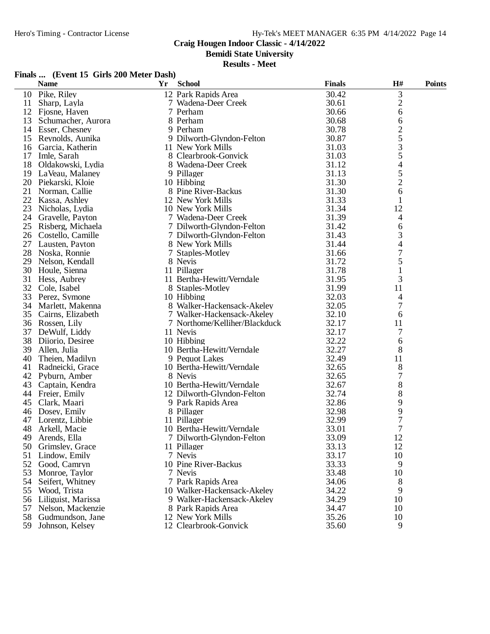**Bemidi State University**

|  | Finals  (Event 15 Girls 200 Meter Dash) |
|--|-----------------------------------------|
|--|-----------------------------------------|

|    | <b>Name</b>          | Yr | <b>School</b>                 | <b>Finals</b> | H#               | <b>Points</b> |
|----|----------------------|----|-------------------------------|---------------|------------------|---------------|
| 10 | Pike, Riley          |    | 12 Park Rapids Area           | 30.42         | 3                |               |
| 11 | Sharp, Layla         |    | 7 Wadena-Deer Creek           | 30.61         | $\overline{c}$   |               |
| 12 | Fjosne, Haven        |    | 7 Perham                      | 30.66         | 6                |               |
| 13 | Schumacher, Aurora   |    | 8 Perham                      | 30.68         | 6                |               |
|    | 14 Esser, Chesney    |    | 9 Perham                      | 30.78         |                  |               |
| 15 | Reynolds, Aunika     |    | 9 Dilworth-Glyndon-Felton     | 30.87         | $rac{2}{5}$      |               |
| 16 | Garcia, Katherin     |    | 11 New York Mills             | 31.03         | 3                |               |
| 17 | Imle, Sarah          |    | 8 Clearbrook-Gonvick          | 31.03         | 5                |               |
| 18 | Oldakowski, Lydia    |    | 8 Wadena-Deer Creek           | 31.12         | 4                |               |
| 19 | LaVeau, Malaney      |    | 9 Pillager                    | 31.13         |                  |               |
|    | 20 Piekarski, Kloie  |    | 10 Hibbing                    | 31.30         | $\frac{5}{2}$    |               |
| 21 | Norman, Callie       |    | 8 Pine River-Backus           | 31.30         | 6                |               |
| 22 | Kassa, Ashley        |    | 12 New York Mills             | 31.33         | 1                |               |
| 23 | Nicholas, Lydia      |    | 10 New York Mills             | 31.34         | 12               |               |
| 24 | Gravelle, Payton     |    | 7 Wadena-Deer Creek           | 31.39         | 4                |               |
| 25 | Risberg, Michaela    |    | 7 Dilworth-Glyndon-Felton     | 31.42         | 6                |               |
|    | 26 Costello, Camille |    | 7 Dilworth-Glyndon-Felton     | 31.43         | 3                |               |
| 27 | Lausten, Payton      |    | 8 New York Mills              | 31.44         | 4                |               |
| 28 | Noska, Ronnie        |    | 7 Staples-Motley              | 31.66         | $\boldsymbol{7}$ |               |
| 29 | Nelson, Kendall      |    | 8 Nevis                       | 31.72         | 5                |               |
| 30 | Houle, Sienna        |    | 11 Pillager                   | 31.78         | 1                |               |
| 31 | Hess, Aubrey         |    | 11 Bertha-Hewitt/Verndale     | 31.95         | 3                |               |
|    | 32 Cole, Isabel      |    | 8 Staples-Motley              | 31.99         | 11               |               |
| 33 | Perez, Symone        |    | 10 Hibbing                    | 32.03         | 4                |               |
| 34 | Marlett, Makenna     |    | 8 Walker-Hackensack-Akeley    | 32.05         | 7                |               |
| 35 | Cairns, Elizabeth    |    | 7 Walker-Hackensack-Akeley    | 32.10         | 6                |               |
| 36 | Rossen, Lily         |    | 7 Northome/Kelliher/Blackduck | 32.17         | 11               |               |
| 37 | DeWulf, Liddy        |    | 11 Nevis                      | 32.17         | 7                |               |
| 38 | Diiorio, Desiree     |    | 10 Hibbing                    | 32.22         | 6                |               |
| 39 | Allen, Julia         |    | 10 Bertha-Hewitt/Verndale     | 32.27         | 8                |               |
| 40 | Theien, Madilyn      |    | 9 Pequot Lakes                | 32.49         | 11               |               |
| 41 | Radneicki, Grace     |    | 10 Bertha-Hewitt/Verndale     | 32.65         | 8                |               |
| 42 | Pyburn, Amber        |    | 8 Nevis                       | 32.65         | 7                |               |
| 43 | Captain, Kendra      |    | 10 Bertha-Hewitt/Verndale     | 32.67         | 8                |               |
|    | 44 Freier, Emily     |    | 12 Dilworth-Glyndon-Felton    | 32.74         | 8                |               |
| 45 | Clark, Maari         |    | 9 Park Rapids Area            | 32.86         | 9                |               |
| 46 | Dosey, Emily         |    | 8 Pillager                    | 32.98         | 9                |               |
| 47 | Lorentz, Libbie      |    | 11 Pillager                   | 32.99         | $\sqrt{ }$       |               |
| 48 | Arkell, Macie        |    | 10 Bertha-Hewitt/Verndale     | 33.01         | $\overline{7}$   |               |
|    | 49 Arends, Ella      |    | 7 Dilworth-Glyndon-Felton     | 33.09         | 12               |               |
|    | 50 Grimsley, Grace   |    | 11 Pillager                   | 33.13         | 12               |               |
| 51 | Lindow, Emily        |    | 7 Nevis                       | 33.17         | 10               |               |
| 52 | Good, Camryn         |    | 10 Pine River-Backus          | 33.33         | 9                |               |
| 53 | Monroe, Taylor       |    | 7 Nevis                       | 33.48         | 10               |               |
| 54 | Seifert, Whitney     |    | 7 Park Rapids Area            | 34.06         | 8                |               |
| 55 | Wood, Trista         |    | 10 Walker-Hackensack-Akeley   | 34.22         | 9                |               |
| 56 | Liliguist, Marissa   |    | 9 Walker-Hackensack-Akeley    | 34.29         | 10               |               |
| 57 | Nelson, Mackenzie    |    | 8 Park Rapids Area            | 34.47         | 10               |               |
| 58 | Gudmundson, Jane     |    | 12 New York Mills             | 35.26         | 10               |               |
| 59 | Johnson, Kelsey      |    | 12 Clearbrook-Gonvick         | 35.60         | 9                |               |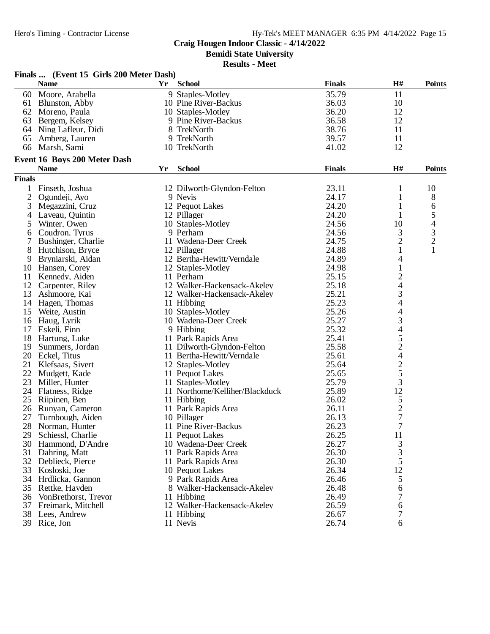**Bemidi State University**

|                | Finals  (Event 15 Girls 200 Meter Dash) |    |                                |               |                          |                |
|----------------|-----------------------------------------|----|--------------------------------|---------------|--------------------------|----------------|
|                | <b>Name</b>                             | Yr | <b>School</b>                  | <b>Finals</b> | H#                       | <b>Points</b>  |
|                | 60 Moore, Arabella                      |    | 9 Staples-Motley               | 35.79         | 11                       |                |
|                | 61 Blunston, Abby                       |    | 10 Pine River-Backus           | 36.03         | 10                       |                |
|                | 62 Moreno, Paula                        |    | 10 Staples-Motley              | 36.20         | 12                       |                |
|                | 63 Bergem, Kelsey                       |    | 9 Pine River-Backus            | 36.58         | 12                       |                |
|                | 64 Ning Lafleur, Didi                   |    | 8 TrekNorth                    | 38.76         | 11                       |                |
| 65             | Amberg, Lauren                          |    | 9 TrekNorth                    | 39.57         | 11                       |                |
| 66             | Marsh, Sami                             |    | 10 TrekNorth                   | 41.02         | 12                       |                |
|                | Event 16 Boys 200 Meter Dash            |    |                                |               |                          |                |
|                | <b>Name</b>                             | Yr | <b>School</b>                  | <b>Finals</b> | H#                       | <b>Points</b>  |
| <b>Finals</b>  |                                         |    |                                |               |                          |                |
|                | 1 Finseth, Joshua                       |    | 12 Dilworth-Glyndon-Felton     | 23.11         | 1                        | 10             |
| $\overline{2}$ | Ogundeji, Ayo                           |    | 9 Nevis                        | 24.17         | 1                        | 8              |
| 3              | Megazzini, Cruz                         |    | 12 Pequot Lakes                | 24.20         | 1                        | 6              |
| 4              | Laveau, Quintin                         |    | 12 Pillager                    | 24.20         |                          | 5              |
| 5              | Winter, Owen                            |    | 10 Staples-Motley              | 24.56         | 10                       | 4              |
| 6              | Coudron, Tyrus                          |    | 9 Perham                       | 24.56         | 3                        | 3              |
| 7              | Bushinger, Charlie                      |    | 11 Wadena-Deer Creek           | 24.75         | $\overline{c}$           | $\overline{2}$ |
| 8              | Hutchison, Bryce                        |    | 12 Pillager                    | 24.88         | 1                        | $\mathbf{1}$   |
|                |                                         |    | 12 Bertha-Hewitt/Verndale      | 24.89         | 4                        |                |
| 9              | Bryniarski, Aidan                       |    | 12 Staples-Motley              | 24.98         |                          |                |
|                | 10 Hansen, Corey                        |    | 11 Perham                      | 25.15         | $\mathbf{1}$             |                |
| 11             | Kennedy, Aiden                          |    |                                |               | $\overline{\mathbf{c}}$  |                |
| 12             | Carpenter, Riley                        |    | 12 Walker-Hackensack-Akeley    | 25.18         | $\overline{\mathcal{A}}$ |                |
| 13             | Ashmoore, Kai                           |    | 12 Walker-Hackensack-Akeley    | 25.21         | 3                        |                |
|                | 14 Hagen, Thomas                        |    | 11 Hibbing                     | 25.23         | 4                        |                |
|                | 15 Weite, Austin                        |    | 10 Staples-Motley              | 25.26         | $\overline{4}$           |                |
|                | 16 Haug, Lyrik                          |    | 10 Wadena-Deer Creek           | 25.27         | 3<br>4                   |                |
| 17             | Eskeli, Finn                            |    | 9 Hibbing                      | 25.32         |                          |                |
| 18             | Hartung, Luke                           |    | 11 Park Rapids Area            | 25.41         | $\frac{5}{2}$            |                |
|                | 19 Summers, Jordan                      |    | 11 Dilworth-Glyndon-Felton     | 25.58         |                          |                |
|                | 20 Eckel, Titus                         |    | 11 Bertha-Hewitt/Verndale      | 25.61         | $\overline{\mathcal{L}}$ |                |
| 21             | Klefsaas, Sivert                        |    | 12 Staples-Motley              | 25.64         | $rac{2}{3}$              |                |
|                | 22 Mudgett, Kade                        |    | 11 Pequot Lakes                | 25.65         |                          |                |
| 23             | Miller, Hunter                          |    | 11 Staples-Motley              | 25.79         |                          |                |
|                | 24 Flatness, Ridge                      |    | 11 Northome/Kelliher/Blackduck | 25.89         | 12                       |                |
|                | 25 Riipinen, Ben                        |    | 11 Hibbing                     | 26.02         | $\frac{5}{2}$            |                |
|                | 26 Runyan, Cameron                      |    | 11 Park Rapids Area            | 26.11         |                          |                |
| 27             | Turnbough, Aiden                        |    | 10 Pillager                    | 26.13         |                          |                |
|                | 28 Norman, Hunter                       |    | 11 Pine River-Backus           | 26.23         | $\overline{7}$           |                |
| 29             | Schiessl, Charlie                       |    | 11 Pequot Lakes                | 26.25         | 11                       |                |
|                | 30 Hammond, D'Andre                     |    | 10 Wadena-Deer Creek           | 26.27         | $\frac{3}{3}$            |                |
|                | 31 Dahring, Matt                        |    | 11 Park Rapids Area            | 26.30         |                          |                |
|                | 32 Deblieck, Pierce                     |    | 11 Park Rapids Area            | 26.30         | 5                        |                |
|                | 33 Kosloski, Joe                        |    | 10 Pequot Lakes                | 26.34         | 12                       |                |
|                | 34 Hrdlicka, Gannon                     |    | 9 Park Rapids Area             | 26.46         | 5                        |                |
|                | 35 Rettke, Hayden                       |    | 8 Walker-Hackensack-Akeley     | 26.48         | 6                        |                |
|                | 36 VonBrethorst, Trevor                 |    | 11 Hibbing                     | 26.49         | 7                        |                |
|                | 37 Freimark, Mitchell                   |    | 12 Walker-Hackensack-Akeley    | 26.59         | 6                        |                |
|                | 38 Lees, Andrew                         |    | 11 Hibbing                     | 26.67         | 7                        |                |
|                | 39 Rice, Jon                            |    | 11 Nevis                       | 26.74         | 6                        |                |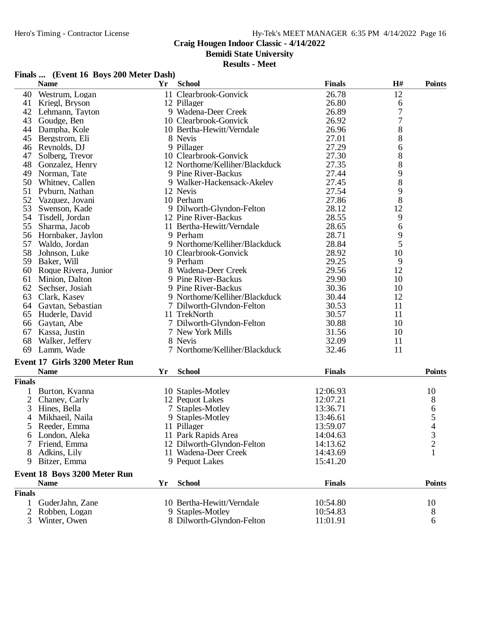#### **Craig Hougen Indoor Classic - 4/14/2022**

**Bemidi State University**

|  | Finals  (Event 16 Boys 200 Meter Dash) |
|--|----------------------------------------|
|  |                                        |

|                | <b>Name</b>                         | <b>Yr</b> | <b>School</b>                  | <b>Finals</b> | H#             | <b>Points</b>  |
|----------------|-------------------------------------|-----------|--------------------------------|---------------|----------------|----------------|
| 40             | Westrum, Logan                      |           | 11 Clearbrook-Gonvick          | 26.78         | 12             |                |
| 41             | Kriegl, Bryson                      |           | 12 Pillager                    | 26.80         | 6              |                |
| 42             | Lehmann, Tayton                     |           | 9 Wadena-Deer Creek            | 26.89         | $\sqrt{ }$     |                |
| 43             | Goudge, Ben                         |           | 10 Clearbrook-Gonvick          | 26.92         | 7              |                |
|                | 44 Dampha, Kole                     |           | 10 Bertha-Hewitt/Verndale      | 26.96         | 8              |                |
| 45             | Bergstrom, Eli                      |           | 8 Nevis                        | 27.01         | 8              |                |
| 46             | Reynolds, DJ                        |           | 9 Pillager                     | 27.29         | 6              |                |
| 47             | Solberg, Trevor                     |           | 10 Clearbrook-Gonvick          | 27.30         | 8              |                |
| 48             | Gonzalez, Henry                     |           | 12 Northome/Kelliher/Blackduck | 27.35         | 8              |                |
| 49             | Norman, Tate                        |           | 9 Pine River-Backus            | 27.44         | 9              |                |
| 50             | Whitney, Callen                     |           | 9 Walker-Hackensack-Akeley     | 27.45         | 8              |                |
| 51             | Pyburn, Nathan                      |           | 12 Nevis                       | 27.54         | 9              |                |
| 52             | Vazquez, Jovani                     |           | 10 Perham                      | 27.86         | 8              |                |
| 53             | Swenson, Kade                       |           | 9 Dilworth-Glyndon-Felton      | 28.12         | 12             |                |
| 54             | Tisdell, Jordan                     |           | 12 Pine River-Backus           | 28.55         | 9              |                |
| 55             | Sharma, Jacob                       |           | 11 Bertha-Hewitt/Verndale      | 28.65         | 6              |                |
|                | 56 Hornbaker, Jaylon                |           | 9 Perham                       | 28.71         | 9              |                |
| 57             | Waldo, Jordan                       |           | 9 Northome/Kelliher/Blackduck  | 28.84         | $\overline{5}$ |                |
| 58             | Johnson, Luke                       |           | 10 Clearbrook-Gonvick          | 28.92         | 10             |                |
| 59             | Baker, Will                         |           | 9 Perham                       | 29.25         | 9              |                |
|                | 60 Roque Rivera, Junior             |           | 8 Wadena-Deer Creek            | 29.56         | 12             |                |
| 61             | Minion, Dalton                      |           | 9 Pine River-Backus            | 29.90         | 10             |                |
| 62             | Sechser, Josiah                     |           | 9 Pine River-Backus            | 30.36         | 10             |                |
| 63             | Clark, Kasey                        |           | 9 Northome/Kelliher/Blackduck  | 30.44         | 12             |                |
| 64             | Gaytan, Sebastian                   |           | 7 Dilworth-Glyndon-Felton      | 30.53         | 11             |                |
| 65             | Huderle, David                      |           | 11 TrekNorth                   | 30.57         | 11             |                |
| 66             | Gaytan, Abe                         |           | 7 Dilworth-Glyndon-Felton      | 30.88         | 10             |                |
| 67             | Kassa, Justin                       |           | 7 New York Mills               | 31.56         | 10             |                |
| 68             | Walker, Jeffery                     |           | 8 Nevis                        | 32.09         | 11             |                |
| 69             | Lamm, Wade                          |           | 7 Northome/Kelliher/Blackduck  | 32.46         | 11             |                |
|                | Event 17 Girls 3200 Meter Run       |           |                                |               |                |                |
|                | <b>Name</b>                         | Yr        | <b>School</b>                  | <b>Finals</b> |                | <b>Points</b>  |
| <b>Finals</b>  |                                     |           |                                |               |                |                |
|                | Burton, Kyanna                      |           | 10 Staples-Motley              | 12:06.93      |                | 10             |
| $\overline{2}$ | Chaney, Carly                       |           | 12 Pequot Lakes                | 12:07.21      |                | 8              |
| 3              | Hines, Bella                        |           | 7 Staples-Motley               | 13:36.71      |                | 6              |
| 4              | Mikhaeil, Naila                     |           | 9 Staples-Motley               | 13:46.61      |                | 5              |
| 5              | Reeder, Emma                        |           | 11 Pillager                    | 13:59.07      |                | 4              |
| 6              | London, Aleka                       |           | 11 Park Rapids Area            | 14:04.63      |                | 3              |
|                | Friend, Emma                        |           | 12 Dilworth-Glyndon-Felton     | 14:13.62      |                | $\overline{c}$ |
|                | Adkins, Lily                        |           | 11 Wadena-Deer Creek           | 14:43.69      |                | $\mathbf{1}$   |
| 9              | Bitzer, Emma                        |           | 9 Pequot Lakes                 | 15:41.20      |                |                |
|                | <b>Event 18 Boys 3200 Meter Run</b> |           |                                |               |                |                |
|                | <b>Name</b>                         | Yr        | <b>School</b>                  | <b>Finals</b> |                | <b>Points</b>  |
| <b>Finals</b>  |                                     |           |                                |               |                |                |
| 1              | GuderJahn, Zane                     |           | 10 Bertha-Hewitt/Verndale      | 10:54.80      |                | 10             |
| 2              | Robben, Logan                       |           | 9 Staples-Motley               | 10:54.83      |                | 8              |
| 3              | Winter, Owen                        |           | 8 Dilworth-Glyndon-Felton      | 11:01.91      |                | 6              |
|                |                                     |           |                                |               |                |                |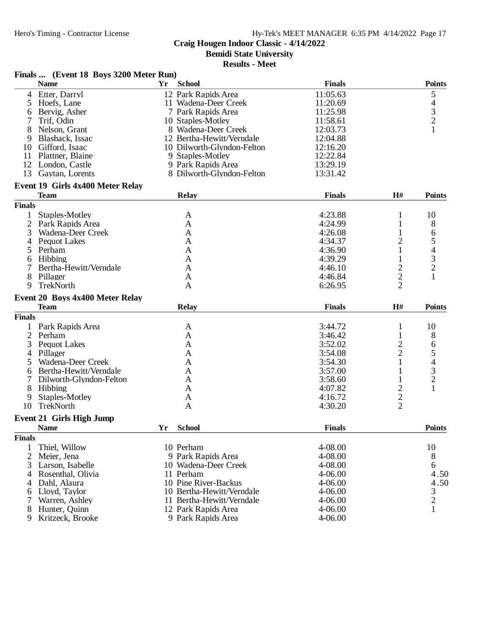# **Craig Hougen Indoor Classic - 4/14/2022**

**Bemidi State University**

|               | Finals  (Event 18 Boys 3200 Meter Run)         |                                           |                    |                              |                                                 |
|---------------|------------------------------------------------|-------------------------------------------|--------------------|------------------------------|-------------------------------------------------|
|               | <b>Name</b>                                    | <b>School</b><br>Yr                       | <b>Finals</b>      |                              | <b>Points</b>                                   |
|               | 4 Etter, Darryl                                | 12 Park Rapids Area                       | 11:05.63           |                              | 5                                               |
| 5             | Hoefs, Lane                                    | 11 Wadena-Deer Creek                      | 11:20.69           |                              |                                                 |
| 6             | Bervig, Asher                                  | 7 Park Rapids Area                        | 11:25.98           |                              | $\begin{array}{c} 4 \\ 3 \\ 2 \end{array}$      |
| 7             | Trif, Odin                                     | 10 Staples-Motley                         | 11:58.61           |                              |                                                 |
| 8             | Nelson, Grant                                  | 8 Wadena-Deer Creek                       | 12:03.73           |                              | $\mathbf{1}$                                    |
| 9             | Blashack, Issac                                | 12 Bertha-Hewitt/Verndale                 | 12:04.88           |                              |                                                 |
|               | 10 Gifford, Isaac                              | 10 Dilworth-Glyndon-Felton                | 12:16.20           |                              |                                                 |
| 11            | Plattner, Blaine                               | 9 Staples-Motley                          | 12:22.84           |                              |                                                 |
|               | 12 London, Castle                              | 9 Park Rapids Area                        | 13:29.19           |                              |                                                 |
| 13            | Gaytan, Lorents                                | 8 Dilworth-Glyndon-Felton                 | 13:31.42           |                              |                                                 |
|               | Event 19 Girls 4x400 Meter Relay               |                                           |                    |                              |                                                 |
|               | <b>Team</b>                                    | <b>Relay</b>                              | <b>Finals</b>      | H#                           | <b>Points</b>                                   |
| <b>Finals</b> |                                                |                                           |                    |                              |                                                 |
| 1             | Staples-Motley                                 | A                                         | 4:23.88            | $\mathbf{1}$                 | 10                                              |
| 2             | Park Rapids Area                               | A                                         | 4:24.99            | $\mathbf{1}$                 | 8                                               |
| 3             | Wadena-Deer Creek                              | $\mathbf{A}$                              | 4:26.08            | 1                            |                                                 |
| 4             | <b>Pequot Lakes</b>                            | A                                         | 4:34.37            | $\overline{c}$               | 6<br>5                                          |
|               |                                                |                                           |                    |                              |                                                 |
| 5             | Perham                                         | A                                         | 4:36.90            | 1                            | $\overline{\mathcal{A}}$                        |
| 6             | Hibbing                                        | A                                         | 4:39.29            | 1                            | $\frac{3}{2}$                                   |
| 7             | Bertha-Hewitt/Verndale                         | A                                         | 4:46.10            | $\overline{c}$               |                                                 |
| 8             | Pillager                                       | A                                         | 4:46.84            | $\overline{c}$               | $\mathbf{1}$                                    |
| 9             | TrekNorth                                      | A                                         | 6:26.95            | $\overline{2}$               |                                                 |
|               | Event 20 Boys 4x400 Meter Relay                |                                           |                    |                              |                                                 |
|               | <b>Team</b>                                    | <b>Relay</b>                              | <b>Finals</b>      | H#                           | <b>Points</b>                                   |
| <b>Finals</b> |                                                |                                           |                    |                              |                                                 |
|               | Park Rapids Area                               | A                                         | 3:44.72            | $\mathbf{1}$                 | 10                                              |
|               | Perham                                         | A                                         | 3:46.42            | $\mathbf{1}$                 | 8                                               |
| 2             |                                                |                                           |                    |                              |                                                 |
| 3             | <b>Pequot Lakes</b>                            | A                                         | 3:52.02            | 2                            | 6                                               |
| 4             | Pillager                                       | A                                         | 3:54.08            | $\overline{c}$               |                                                 |
| 5             | Wadena-Deer Creek                              | A                                         | 3:54.30            | $\mathbf{1}$                 |                                                 |
| 6             | Bertha-Hewitt/Verndale                         | A                                         | 3:57.00            | 1                            |                                                 |
|               | Dilworth-Glyndon-Felton                        | A                                         | 3:58.60            | $\mathbf{1}$                 | $\begin{array}{c} 5 \\ 4 \\ 3 \\ 2 \end{array}$ |
| 8             |                                                | A                                         | 4:07.82            |                              | $\mathbf{1}$                                    |
|               | Hibbing                                        |                                           |                    | $\overline{c}$               |                                                 |
| 9<br>10       | Staples-Motley<br>TrekNorth                    | A<br>$\mathbf{A}$                         | 4:16.72<br>4:30.20 | $\sqrt{2}$<br>$\overline{2}$ |                                                 |
|               |                                                |                                           |                    |                              |                                                 |
|               | <b>Event 21 Girls High Jump</b><br><b>Name</b> | Yr<br><b>School</b>                       | <b>Finals</b>      |                              | <b>Points</b>                                   |
| <b>Finals</b> |                                                |                                           |                    |                              |                                                 |
| 1             |                                                |                                           |                    |                              |                                                 |
|               | Thiel, Willow                                  | 10 Perham                                 | 4-08.00            |                              | 10                                              |
| 2             | Meier, Jena                                    | 9 Park Rapids Area                        | 4-08.00            |                              | 8                                               |
| 3             | Larson, Isabelle                               | 10 Wadena-Deer Creek                      | 4-08.00            |                              | 6                                               |
|               | 4 Rosenthal, Olivia                            | 11 Perham                                 | 4-06.00            |                              | 4.50                                            |
| 4             | Dahl, Alaura                                   | 10 Pine River-Backus                      | 4-06.00            |                              | 4.50                                            |
| 6             | Lloyd, Taylor                                  | 10 Bertha-Hewitt/Verndale                 | 4-06.00            |                              |                                                 |
| 7             | Warren, Ashley                                 | 11 Bertha-Hewitt/Verndale                 | 4-06.00            |                              | $\frac{3}{2}$                                   |
| 8<br>9        | Hunter, Quinn<br>Kritzeck, Brooke              | 12 Park Rapids Area<br>9 Park Rapids Area | 4-06.00<br>4-06.00 |                              | $\mathbf{1}$                                    |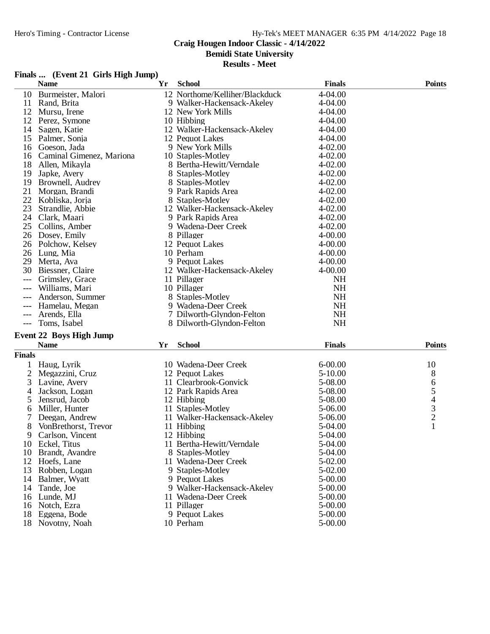# **Craig Hougen Indoor Classic - 4/14/2022**

**Bemidi State University**

**Results - Meet**

#### **Finals ... (Event 21 Girls High Jump)**

|       | <b>Name</b>                    | Yr | <b>School</b>                  | <b>Finals</b> | <b>Points</b> |
|-------|--------------------------------|----|--------------------------------|---------------|---------------|
| 10    | Burmeister, Malori             |    | 12 Northome/Kelliher/Blackduck | 4-04.00       |               |
| 11    | Rand, Brita                    |    | 9 Walker-Hackensack-Akeley     | $4 - 04.00$   |               |
| 12    | Mursu, Irene                   |    | 12 New York Mills              | 4-04.00       |               |
| 12    | Perez, Symone                  |    | 10 Hibbing                     | 4-04.00       |               |
| 14    | Sagen, Katie                   |    | 12 Walker-Hackensack-Akeley    | 4-04.00       |               |
| 15    | Palmer, Sonja                  |    | 12 Pequot Lakes                | 4-04.00       |               |
| 16    | Goeson. Jada                   |    | 9 New York Mills               | $4 - 02.00$   |               |
| 16    | Caminal Gimenez, Mariona       |    | 10 Staples-Motley              | $4 - 02.00$   |               |
| 18    | Allen, Mikayla                 |    | 8 Bertha-Hewitt/Verndale       | $4 - 02.00$   |               |
| 19    | Japke, Avery                   |    | 8 Staples-Motley               | $4 - 02.00$   |               |
| 19    | Brownell, Audrey               |    | 8 Staples-Motley               | $4 - 02.00$   |               |
| 21    | Morgan, Brandi                 |    | 9 Park Rapids Area             | $4 - 02.00$   |               |
| 22    | Kobliska. Joria                |    | 8 Staples-Motley               | $4 - 02.00$   |               |
| 23    | Strandlie, Abbie               |    | 12 Walker-Hackensack-Akeley    | $4 - 02.00$   |               |
| 24    | Clark, Maari                   |    | 9 Park Rapids Area             | $4 - 02.00$   |               |
| 25    | Collins, Amber                 |    | 9 Wadena-Deer Creek            | $4 - 02.00$   |               |
| 26    | Dosey, Emily                   |    | 8 Pillager                     | $4 - 00.00$   |               |
| 26    | Polchow, Kelsey                |    | 12 Pequot Lakes                | $4 - 00.00$   |               |
| 26    | Lung, Mia                      |    | 10 Perham                      | $4 - 00.00$   |               |
| 29    | Merta, Ava                     |    | 9 Pequot Lakes                 | $4 - 00.00$   |               |
| 30    | Biessner, Claire               |    | 12 Walker-Hackensack-Akeley    | $4 - 00.00$   |               |
|       | Grimsley, Grace                |    | 11 Pillager                    | <b>NH</b>     |               |
| $---$ | Williams, Mari                 |    | 10 Pillager                    | <b>NH</b>     |               |
| $---$ | Anderson, Summer               |    | 8 Staples-Motley               | <b>NH</b>     |               |
|       | Hamelau, Megan                 |    | 9 Wadena-Deer Creek            | <b>NH</b>     |               |
|       | Arends, Ella                   |    | 7 Dilworth-Glyndon-Felton      | <b>NH</b>     |               |
| $---$ | Toms, Isabel                   |    | 8 Dilworth-Glyndon-Felton      | <b>NH</b>     |               |
|       | <b>Event 22 Boys High Jump</b> |    |                                |               |               |
|       | <b>Name</b>                    | Yr | <b>School</b>                  | <b>Finals</b> | <b>Points</b> |

| <b>Finals</b> |                      |                             |             |                |
|---------------|----------------------|-----------------------------|-------------|----------------|
|               | Haug, Lyrik          | 10 Wadena-Deer Creek        | $6 - 00.00$ | 10             |
|               | Megazzini, Cruz      | 12 Pequot Lakes             | $5 - 10.00$ | 8              |
| 3             | Lavine, Avery        | 11 Clearbrook-Gonvick       | 5-08.00     | 6              |
| 4             | Jackson, Logan       | 12 Park Rapids Area         | 5-08.00     | 5              |
| 5             | Jensrud, Jacob       | 12 Hibbing                  | 5-08.00     | 4              |
| 6             | Miller, Hunter       | 11 Staples-Motley           | 5-06.00     | 3              |
|               | Deegan, Andrew       | 11 Walker-Hackensack-Akeley | 5-06.00     | $\overline{2}$ |
| 8             | VonBrethorst, Trevor | 11 Hibbing                  | 5-04.00     |                |
| 9             | Carlson, Vincent     | 12 Hibbing                  | 5-04.00     |                |
| 10            | Eckel. Titus         | 11 Bertha-Hewitt/Verndale   | 5-04.00     |                |
| 10            | Brandt, Avandre      | 8 Staples-Motley            | 5-04.00     |                |
| 12            | Hoefs, Lane          | 11 Wadena-Deer Creek        | 5-02.00     |                |
| 13            | Robben, Logan        | 9 Staples-Motley            | 5-02.00     |                |
| 14            | Balmer, Wyatt        | 9 Pequot Lakes              | 5-00.00     |                |
| 14            | Tande, Joe           | 9 Walker-Hackensack-Akeley  | $5 - 00.00$ |                |
| 16            | Lunde. MJ            | 11 Wadena-Deer Creek        | 5-00.00     |                |
| 16            | Notch, Ezra          | 11 Pillager                 | 5-00.00     |                |
| 18            | Eggena, Bode         | 9 Pequot Lakes              | 5-00.00     |                |
| 18            | Novotny, Noah        | 10 Perham                   | 5-00.00     |                |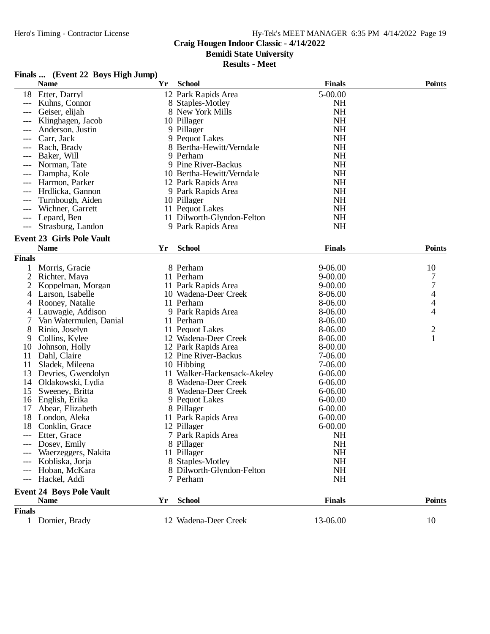# **Craig Hougen Indoor Classic - 4/14/2022**

**Bemidi State University**

**Results - Meet**

# **Finals ... (Event 22 Boys High Jump)**

|                      | <b>Name</b>                      | Yr | <b>School</b>               | <b>Finals</b> | <b>Points</b>  |
|----------------------|----------------------------------|----|-----------------------------|---------------|----------------|
| 18                   | Etter, Darryl                    |    | 12 Park Rapids Area         | 5-00.00       |                |
|                      | Kuhns, Connor                    |    | 8 Staples-Motley            | <b>NH</b>     |                |
|                      | Geiser, elijah                   |    | 8 New York Mills            | <b>NH</b>     |                |
|                      | Klinghagen, Jacob                |    | 10 Pillager                 | <b>NH</b>     |                |
|                      | Anderson, Justin                 |    | 9 Pillager                  | <b>NH</b>     |                |
|                      | Carr, Jack                       |    | 9 Pequot Lakes              | <b>NH</b>     |                |
|                      | Rach, Brady                      |    | 8 Bertha-Hewitt/Verndale    | NH            |                |
|                      | Baker, Will                      |    | 9 Perham                    | <b>NH</b>     |                |
| $---$                | Norman, Tate                     |    | 9 Pine River-Backus         | <b>NH</b>     |                |
| $---$                | Dampha, Kole                     |    | 10 Bertha-Hewitt/Verndale   | <b>NH</b>     |                |
|                      | Harmon, Parker                   |    | 12 Park Rapids Area         | <b>NH</b>     |                |
|                      | Hrdlicka, Gannon                 |    | 9 Park Rapids Area          | <b>NH</b>     |                |
|                      | Turnbough, Aiden                 |    | 10 Pillager                 | NH            |                |
|                      | Wichner, Garrett                 |    | 11 Pequot Lakes             | <b>NH</b>     |                |
|                      | Lepard, Ben                      |    | 11 Dilworth-Glyndon-Felton  | <b>NH</b>     |                |
| $---$                | Strasburg, Landon                |    | 9 Park Rapids Area          | <b>NH</b>     |                |
|                      | <b>Event 23 Girls Pole Vault</b> |    |                             |               |                |
|                      | <b>Name</b>                      | Yr | <b>School</b>               | <b>Finals</b> | <b>Points</b>  |
| <b>Finals</b>        |                                  |    |                             |               |                |
| 1                    | Morris, Gracie                   |    | 8 Perham                    | 9-06.00       | 10             |
| 2                    | Richter, Maya                    |    | 11 Perham                   | $9 - 00.00$   | 7              |
| 2                    | Koppelman, Morgan                |    | 11 Park Rapids Area         | $9 - 00.00$   | $\overline{7}$ |
| 4                    | Larson, Isabelle                 |    | 10 Wadena-Deer Creek        | 8-06.00       | 4              |
| 4                    | Rooney, Natalie                  |    | 11 Perham                   | 8-06.00       | 4              |
| 4                    | Lauwagie, Addison                |    | 9 Park Rapids Area          | 8-06.00       | 4              |
| 7                    | Van Watermulen, Danial           |    | 11 Perham                   | 8-06.00       |                |
| 8                    | Rinio, Joselyn                   |    | 11 Pequot Lakes             | 8-06.00       | $\overline{c}$ |
| 9                    | Collins, Kylee                   |    | 12 Wadena-Deer Creek        | 8-06.00       | 1              |
| 10                   | Johnson, Holly                   |    | 12 Park Rapids Area         | 8-00.00       |                |
| 11                   | Dahl, Claire                     |    | 12 Pine River-Backus        | 7-06.00       |                |
| 11                   | Sladek, Mileena                  |    | 10 Hibbing                  | 7-06.00       |                |
| 13                   | Devries, Gwendolyn               |    | 11 Walker-Hackensack-Akeley | 6-06.00       |                |
| 14                   | Oldakowski, Lydia                |    | 8 Wadena-Deer Creek         | 6-06.00       |                |
| 15                   | Sweeney, Britta                  |    | 8 Wadena-Deer Creek         | $6 - 06.00$   |                |
| 16                   | English, Erika                   |    | 9 Pequot Lakes              | $6 - 00.00$   |                |
| 17                   | Abear, Elizabeth                 |    | 8 Pillager                  | $6 - 00.00$   |                |
| 18                   | London, Aleka                    |    | 11 Park Rapids Area         | $6 - 00.00$   |                |
| 18                   | Conklin, Grace                   |    | 12 Pillager                 | $6 - 00.00$   |                |
| ---                  | Etter, Grace                     |    | 7 Park Rapids Area          | <b>NH</b>     |                |
|                      | Dosey, Emily                     |    | 8 Pillager                  | NH            |                |
|                      | Waerzeggers, Nakita              |    | 11 Pillager                 | NH            |                |
| $---$                | Kobliska, Jorja                  |    | 8 Staples-Motley            | <b>NH</b>     |                |
| $---$                | Hoban, McKara                    |    | 8 Dilworth-Glyndon-Felton   | <b>NH</b>     |                |
| $\hspace{0.05cm}---$ | Hackel, Addi                     |    | 7 Perham                    | <b>NH</b>     |                |
|                      | <b>Event 24 Boys Pole Vault</b>  |    |                             |               |                |
|                      | <b>Name</b>                      | Yr | <b>School</b>               | <b>Finals</b> | <b>Points</b>  |
| <b>Finals</b>        |                                  |    |                             |               |                |
|                      | 1 Domier, Brady                  |    | 12 Wadena-Deer Creek        | 13-06.00      | 10             |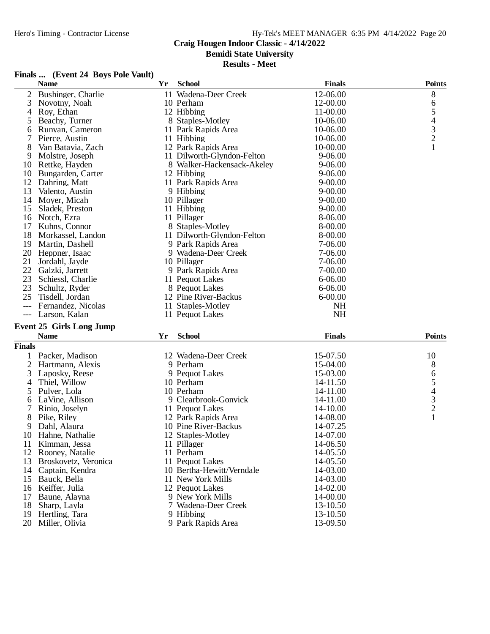# Hy-Tek's MEET MANAGER 6:35 PM 4/14/2022 Page 20

# **Craig Hougen Indoor Classic - 4/14/2022**

**Bemidi State University**

#### **Results - Meet**

# **Finals ... (Event 24 Boys Pole Vault)**

|               | <b>Name</b>                     | Yr | <b>School</b>              | <b>Finals</b> | <b>Points</b>                                   |
|---------------|---------------------------------|----|----------------------------|---------------|-------------------------------------------------|
| 2             | Bushinger, Charlie              |    | 11 Wadena-Deer Creek       | 12-06.00      | 8                                               |
| 3             | Novotny, Noah                   |    | 10 Perham                  | 12-00.00      | 6                                               |
| 4             | Roy, Ethan                      |    | 12 Hibbing                 | 11-00.00      |                                                 |
| 5             | Beachy, Turner                  |    | 8 Staples-Motley           | 10-06.00      | $\begin{array}{c} 5 \\ 4 \\ 3 \\ 2 \end{array}$ |
| 6             | Runyan, Cameron                 |    | 11 Park Rapids Area        | 10-06.00      |                                                 |
| 7             | Pierce, Austin                  |    | 11 Hibbing                 | 10-06.00      |                                                 |
| 8             | Van Batavia, Zach               |    | 12 Park Rapids Area        | 10-00.00      | $\mathbf{1}$                                    |
| 9             | Molstre, Joseph                 |    | 11 Dilworth-Glyndon-Felton | 9-06.00       |                                                 |
| 10            | Rettke, Hayden                  |    | 8 Walker-Hackensack-Akeley | 9-06.00       |                                                 |
| 10            | Bungarden, Carter               |    | 12 Hibbing                 | $9 - 06.00$   |                                                 |
| 12            | Dahring, Matt                   |    | 11 Park Rapids Area        | $9 - 00.00$   |                                                 |
| 13            | Valento, Austin                 |    | 9 Hibbing                  | $9 - 00.00$   |                                                 |
| 14            | Moyer, Micah                    |    | 10 Pillager                | $9 - 00.00$   |                                                 |
| 15            | Sladek, Preston                 |    | 11 Hibbing                 | $9 - 00.00$   |                                                 |
| 16            | Notch, Ezra                     |    | 11 Pillager                | 8-06.00       |                                                 |
| 17            | Kuhns, Connor                   |    | 8 Staples-Motley           | 8-00.00       |                                                 |
| 18            | Morkassel, Landon               |    | 11 Dilworth-Glyndon-Felton | 8-00.00       |                                                 |
| 19            | Martin, Dashell                 |    | 9 Park Rapids Area         | 7-06.00       |                                                 |
| 20            | Heppner, Isaac                  |    | 9 Wadena-Deer Creek        | 7-06.00       |                                                 |
| 21            | Jordahl, Jayde                  |    | 10 Pillager                | 7-06.00       |                                                 |
| 22            | Galzki, Jarrett                 |    | 9 Park Rapids Area         | 7-00.00       |                                                 |
| 23            | Schiessl, Charlie               |    | 11 Pequot Lakes            | 6-06.00       |                                                 |
| 23            | Schultz, Ryder                  |    | 8 Pequot Lakes             | 6-06.00       |                                                 |
| 25            | Tisdell, Jordan                 |    | 12 Pine River-Backus       | $6 - 00.00$   |                                                 |
| $---$         | Fernandez, Nicolas              |    | 11 Staples-Motley          | <b>NH</b>     |                                                 |
| $---$         | Larson, Kalan                   |    | 11 Pequot Lakes            | <b>NH</b>     |                                                 |
|               |                                 |    |                            |               |                                                 |
|               | <b>Event 25 Girls Long Jump</b> |    |                            |               |                                                 |
|               | <b>Name</b>                     | Yr | <b>School</b>              | <b>Finals</b> | <b>Points</b>                                   |
| <b>Finals</b> |                                 |    |                            |               |                                                 |
|               | Packer, Madison                 |    | 12 Wadena-Deer Creek       | 15-07.50      | 10                                              |
| 2             | Hartmann, Alexis                |    | 9 Perham                   | 15-04.00      | 8                                               |
| 3             | Laposky, Reese                  |    | 9 Pequot Lakes             | 15-03.00      | 6                                               |
| 4             | Thiel, Willow                   |    | 10 Perham                  | 14-11.50      | 5                                               |
| 5             | Pulver, Lola                    |    | 10 Perham                  | 14-11.00      |                                                 |
| 6             | LaVine, Allison                 |    | 9 Clearbrook-Gonvick       | 14-11.00      | $\begin{array}{c} 4 \\ 3 \\ 2 \end{array}$      |
| 7             | Rinio, Joselyn                  |    | 11 Pequot Lakes            | 14-10.00      |                                                 |
| 8             | Pike, Riley                     |    | 12 Park Rapids Area        | 14-08.00      | $\mathbf{1}$                                    |
| 9             | Dahl, Alaura                    |    | 10 Pine River-Backus       | 14-07.25      |                                                 |
| 10            | Hahne, Nathalie                 |    | 12 Staples-Motley          | 14-07.00      |                                                 |
| 11            | Kimman, Jessa                   |    | 11 Pillager                | 14-06.50      |                                                 |
| 12            | Rooney, Natalie                 |    | 11 Perham                  | 14-05.50      |                                                 |
| 13            | Broskovetz, Veronica            |    | 11 Pequot Lakes            | 14-05.50      |                                                 |
| 14            | Captain, Kendra                 |    | 10 Bertha-Hewitt/Verndale  | 14-03.00      |                                                 |
| 15            | Bauck, Bella                    |    | 11 New York Mills          | 14-03.00      |                                                 |
| 16            | Keiffer, Julia                  |    | 12 Pequot Lakes            | 14-02.00      |                                                 |
| 17            | Baune, Alayna                   |    | 9 New York Mills           | 14-00.00      |                                                 |
| 18            | Sharp, Layla                    |    | 7 Wadena-Deer Creek        | 13-10.50      |                                                 |
| 19            | Hertling, Tara                  |    | 9 Hibbing                  | 13-10.50      |                                                 |
| 20            | Miller, Olivia                  |    | 9 Park Rapids Area         | 13-09.50      |                                                 |
|               |                                 |    |                            |               |                                                 |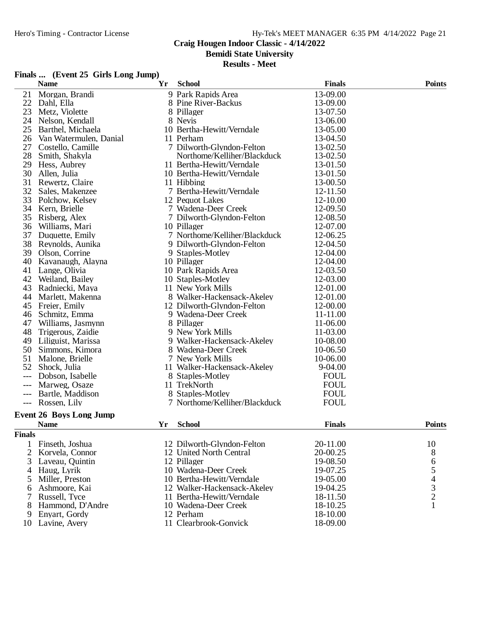# **Craig Hougen Indoor Classic - 4/14/2022**

**Bemidi State University**

**Results - Meet**

#### **Finals ... (Event 25 Girls Long Jump)**

|               | <b>Name</b>                    | Yr | <b>School</b>                 | <b>Finals</b> | <b>Points</b>                                   |
|---------------|--------------------------------|----|-------------------------------|---------------|-------------------------------------------------|
| 21            | Morgan, Brandi                 |    | 9 Park Rapids Area            | 13-09.00      |                                                 |
| 22            | Dahl, Ella                     |    | 8 Pine River-Backus           | 13-09.00      |                                                 |
| 23            | Metz, Violette                 |    | 8 Pillager                    | 13-07.50      |                                                 |
| 24            | Nelson, Kendall                |    | 8 Nevis                       | 13-06.00      |                                                 |
| 25            | Barthel, Michaela              |    | 10 Bertha-Hewitt/Verndale     | 13-05.00      |                                                 |
| 26            | Van Watermulen, Danial         |    | 11 Perham                     | 13-04.50      |                                                 |
| 27            | Costello, Camille              |    | 7 Dilworth-Glyndon-Felton     | 13-02.50      |                                                 |
| 28            | Smith, Shakyla                 |    | Northome/Kelliher/Blackduck   | 13-02.50      |                                                 |
| 29            | Hess, Aubrey                   |    | 11 Bertha-Hewitt/Verndale     | 13-01.50      |                                                 |
| 30            | Allen, Julia                   |    | 10 Bertha-Hewitt/Verndale     | 13-01.50      |                                                 |
| 31            | Rewertz, Claire                |    | 11 Hibbing                    | 13-00.50      |                                                 |
| 32            | Sales, Makenzee                |    | 7 Bertha-Hewitt/Verndale      | 12-11.50      |                                                 |
| 33            | Polchow, Kelsey                |    | 12 Pequot Lakes               | 12-10.00      |                                                 |
| 34            | Kern, Brielle                  |    | 7 Wadena-Deer Creek           | 12-09.50      |                                                 |
| 35            | Risberg, Alex                  |    | 7 Dilworth-Glyndon-Felton     | 12-08.50      |                                                 |
| 36            | Williams, Mari                 |    | 10 Pillager                   | 12-07.00      |                                                 |
| 37            | Duquette, Emily                |    | 7 Northome/Kelliher/Blackduck | 12-06.25      |                                                 |
| 38            | Reynolds, Aunika               |    | 9 Dilworth-Glyndon-Felton     | 12-04.50      |                                                 |
| 39            | Olson, Corrine                 |    | 9 Staples-Motley              | 12-04.00      |                                                 |
| 40            | Kavanaugh, Alayna              |    | 10 Pillager                   | 12-04.00      |                                                 |
| 41            | Lange, Olivia                  |    | 10 Park Rapids Area           | 12-03.50      |                                                 |
| 42            | Weiland, Bailey                |    | 10 Staples-Motley             | 12-03.00      |                                                 |
| 43            | Radniecki, Maya                |    | 11 New York Mills             | 12-01.00      |                                                 |
| 44            | Marlett, Makenna               |    | 8 Walker-Hackensack-Akeley    | 12-01.00      |                                                 |
| 45            | Freier, Emily                  |    | 12 Dilworth-Glyndon-Felton    | 12-00.00      |                                                 |
| 46            | Schmitz, Emma                  |    | 9 Wadena-Deer Creek           | 11-11.00      |                                                 |
| 47            | Williams, Jasmynn              |    | 8 Pillager                    | 11-06.00      |                                                 |
| 48            | Trigerous, Zaidie              |    | 9 New York Mills              | 11-03.00      |                                                 |
| 49            | Liliguist, Marissa             |    | 9 Walker-Hackensack-Akeley    | 10-08.00      |                                                 |
| 50            | Simmons, Kimora                |    | 8 Wadena-Deer Creek           | 10-06.50      |                                                 |
| 51            | Malone, Brielle                |    | 7 New York Mills              | 10-06.00      |                                                 |
| 52            | Shock, Julia                   |    | 11 Walker-Hackensack-Akeley   | 9-04.00       |                                                 |
|               | Dobson, Isabelle               |    | 8 Staples-Motley              | <b>FOUL</b>   |                                                 |
| $---$         | Marweg, Osaze                  |    | 11 TrekNorth                  | <b>FOUL</b>   |                                                 |
| $---$         | Bartle, Maddison               |    | 8 Staples-Motley              | <b>FOUL</b>   |                                                 |
| $---$         | Rossen, Lily                   |    | 7 Northome/Kelliher/Blackduck | <b>FOUL</b>   |                                                 |
|               | <b>Event 26 Boys Long Jump</b> |    |                               |               |                                                 |
|               | <b>Name</b>                    | Yr | <b>School</b>                 | <b>Finals</b> | <b>Points</b>                                   |
| <b>Finals</b> |                                |    |                               |               |                                                 |
| 1             | Finseth, Joshua                |    | 12 Dilworth-Glyndon-Felton    | 20-11.00      | 10                                              |
| 2             | Korvela, Connor                |    | 12 United North Central       | 20-00.25      | 8                                               |
| 3             | Laveau, Quintin                |    | 12 Pillager                   | 19-08.50      |                                                 |
| 4             | Haug, Lyrik                    |    | 10 Wadena-Deer Creek          | 19-07.25      | 6                                               |
| 5             | Miller, Preston                |    | 10 Bertha-Hewitt/Verndale     | 19-05.00      | $\begin{array}{c} 5 \\ 4 \\ 3 \\ 2 \end{array}$ |
| 6             | Ashmoore, Kai                  |    | 12 Walker-Hackensack-Akeley   | 19-04.25      |                                                 |
| 7             | Russell, Tyce                  |    | 11 Bertha-Hewitt/Verndale     | 18-11.50      |                                                 |
| 8             | Hammond, D'Andre               |    | 10 Wadena-Deer Creek          | 18-10.25      | $\mathbf{1}$                                    |
| 9             | Enyart, Gordy                  |    | 12 Perham                     | 18-10.00      |                                                 |
|               | 10 Lavine, Avery               |    | 11 Clearbrook-Gonvick         | 18-09.00      |                                                 |
|               |                                |    |                               |               |                                                 |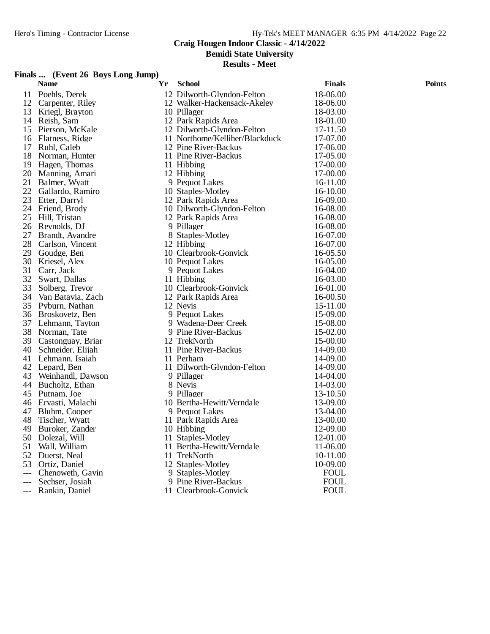# **Craig Hougen Indoor Classic - 4/14/2022**

**Bemidi State University**

#### **Results - Meet**

#### **Finals ... (Event 26 Boys Long Jump)**

|       | <b>Name</b>       | Yr | <b>School</b>                  | <b>Finals</b> | <b>Points</b> |
|-------|-------------------|----|--------------------------------|---------------|---------------|
| 11    | Poehls, Derek     |    | 12 Dilworth-Glyndon-Felton     | 18-06.00      |               |
| 12    | Carpenter, Riley  |    | 12 Walker-Hackensack-Akeley    | 18-06.00      |               |
| 13    | Kriegl, Brayton   |    | 10 Pillager                    | 18-03.00      |               |
| 14    | Reish, Sam        |    | 12 Park Rapids Area            | 18-01.00      |               |
| 15    | Pierson, McKale   |    | 12 Dilworth-Glyndon-Felton     | 17-11.50      |               |
| 16    | Flatness, Ridge   |    | 11 Northome/Kelliher/Blackduck | 17-07.00      |               |
| 17    | Ruhl, Caleb       |    | 12 Pine River-Backus           | 17-06.00      |               |
| 18    | Norman, Hunter    |    | 11 Pine River-Backus           | 17-05.00      |               |
| 19    | Hagen, Thomas     |    | 11 Hibbing                     | 17-00.00      |               |
| 20    | Manning, Amari    |    | 12 Hibbing                     | 17-00.00      |               |
| 21    | Balmer, Wyatt     |    | 9 Pequot Lakes                 | 16-11.00      |               |
| 22    | Gallardo, Ramiro  |    | 10 Staples-Motley              | 16-10.00      |               |
| 23    | Etter, Darryl     |    | 12 Park Rapids Area            | 16-09.00      |               |
| 24    | Friend, Brody     |    | 10 Dilworth-Glyndon-Felton     | 16-08.00      |               |
| 25    | Hill, Tristan     |    | 12 Park Rapids Area            | 16-08.00      |               |
| 26    | Reynolds, DJ      |    | 9 Pillager                     | 16-08.00      |               |
| 27    | Brandt, Avandre   |    | 8 Staples-Motley               | 16-07.00      |               |
| 28    | Carlson, Vincent  |    | 12 Hibbing                     | 16-07.00      |               |
| 29    | Goudge, Ben       |    | 10 Clearbrook-Gonvick          | 16-05.50      |               |
| 30    | Kriesel, Alex     |    | 10 Pequot Lakes                | 16-05.00      |               |
| 31    | Carr, Jack        |    | 9 Pequot Lakes                 | 16-04.00      |               |
| 32    | Swart, Dallas     |    | 11 Hibbing                     | 16-03.00      |               |
| 33    | Solberg, Trevor   |    | 10 Clearbrook-Gonvick          | 16-01.00      |               |
| 34    | Van Batavia, Zach |    | 12 Park Rapids Area            | 16-00.50      |               |
| 35    | Pyburn, Nathan    |    | 12 Nevis                       | 15-11.00      |               |
| 36    | Broskovetz, Ben   |    | 9 Pequot Lakes                 | 15-09.00      |               |
| 37    | Lehmann, Tayton   |    | 9 Wadena-Deer Creek            | 15-08.00      |               |
| 38    | Norman, Tate      |    | 9 Pine River-Backus            | 15-02.00      |               |
| 39    | Castonguay, Briar |    | 12 TrekNorth                   | 15-00.00      |               |
| 40    | Schneider, Elijah |    | 11 Pine River-Backus           | 14-09.00      |               |
| 41    | Lehmann, Isaiah   |    | 11 Perham                      | 14-09.00      |               |
| 42    | Lepard, Ben       |    | 11 Dilworth-Glyndon-Felton     | 14-09.00      |               |
| 43    | Weinhandl, Dawson |    | 9 Pillager                     | 14-04.00      |               |
| 44    | Bucholtz, Ethan   |    | 8 Nevis                        | 14-03.00      |               |
| 45    | Putnam, Joe       |    | 9 Pillager                     | 13-10.50      |               |
| 46    | Ervasti, Malachi  |    | 10 Bertha-Hewitt/Verndale      | 13-09.00      |               |
| 47    | Bluhm, Cooper     |    | 9 Pequot Lakes                 | 13-04.00      |               |
| 48    | Tischer, Wyatt    |    | 11 Park Rapids Area            | 13-00.00      |               |
| 49    | Buroker, Zander   |    | 10 Hibbing                     | 12-09.00      |               |
| 50    | Dolezal, Will     |    | 11 Staples-Motley              | 12-01.00      |               |
| 51    | Wall, William     |    | 11 Bertha-Hewitt/Verndale      | 11-06.00      |               |
| 52    | Duerst, Neal      |    | 11 TrekNorth                   | 10-11.00      |               |
| 53    | Ortiz, Daniel     |    | 12 Staples-Motley              | 10-09.00      |               |
| ---   | Chenoweth, Gavin  | 9  | Staples-Motley                 | <b>FOUL</b>   |               |
| $---$ | Sechser, Josiah   |    | 9 Pine River-Backus            | <b>FOUL</b>   |               |
|       | Rankin, Daniel    |    | 11 Clearbrook-Gonvick          | <b>FOUL</b>   |               |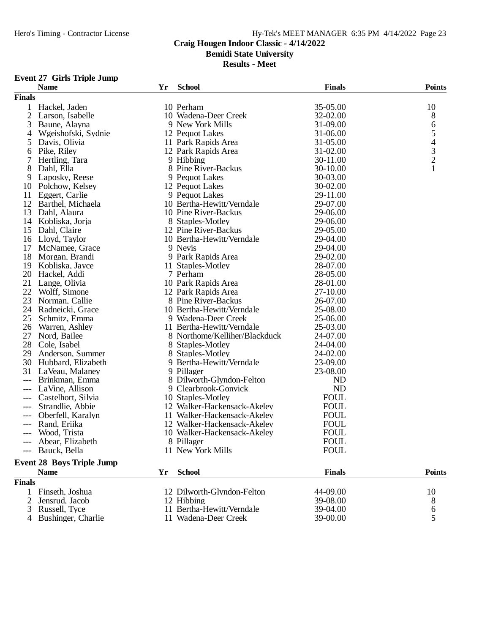# **Craig Hougen Indoor Classic - 4/14/2022**

**Bemidi State University**

**Results - Meet**

#### **Event 27 Girls Triple Jump**

|                | <b>Name</b>                      | Yr | <b>School</b>                 | <b>Finals</b> | <b>Points</b>                                   |
|----------------|----------------------------------|----|-------------------------------|---------------|-------------------------------------------------|
| <b>Finals</b>  |                                  |    |                               |               |                                                 |
|                | Hackel, Jaden                    |    | 10 Perham                     | 35-05.00      | 10                                              |
| 2              | Larson, Isabelle                 |    | 10 Wadena-Deer Creek          | 32-02.00      | 8                                               |
| 3              | Baune, Alayna                    |    | 9 New York Mills              | 31-09.00      | 6                                               |
| 4              | Wgeishofski, Sydnie              |    | 12 Pequot Lakes               | 31-06.00      |                                                 |
| 5              | Davis, Olivia                    |    | 11 Park Rapids Area           | 31-05.00      |                                                 |
| 6              | Pike, Riley                      |    | 12 Park Rapids Area           | 31-02.00      |                                                 |
| 7              | Hertling, Tara                   |    | 9 Hibbing                     | 30-11.00      | $\begin{array}{c} 5 \\ 4 \\ 3 \\ 2 \end{array}$ |
| 8              | Dahl, Ella                       |    | 8 Pine River-Backus           | 30-10.00      | $\mathbf{1}$                                    |
| 9              | Laposky, Reese                   |    | 9 Pequot Lakes                | 30-03.00      |                                                 |
| 10             | Polchow, Kelsey                  |    | 12 Pequot Lakes               | 30-02.00      |                                                 |
| 11             | Eggert, Carlie                   |    | 9 Pequot Lakes                | 29-11.00      |                                                 |
| 12             | Barthel, Michaela                |    | 10 Bertha-Hewitt/Verndale     | 29-07.00      |                                                 |
| 13             | Dahl, Alaura                     |    | 10 Pine River-Backus          | 29-06.00      |                                                 |
| 14             | Kobliska, Jorja                  |    | 8 Staples-Motley              | 29-06.00      |                                                 |
| 15             | Dahl, Claire                     |    | 12 Pine River-Backus          | 29-05.00      |                                                 |
| 16             | Lloyd, Taylor                    |    | 10 Bertha-Hewitt/Verndale     | 29-04.00      |                                                 |
| 17             | McNamee, Grace                   |    | 9 Nevis                       | 29-04.00      |                                                 |
| 18             | Morgan, Brandi                   |    | 9 Park Rapids Area            | 29-02.00      |                                                 |
| 19             | Kobliska, Jayce                  |    | 11 Staples-Motley             | 28-07.00      |                                                 |
| 20             | Hackel, Addi                     |    | 7 Perham                      | 28-05.00      |                                                 |
| 21             | Lange, Olivia                    |    | 10 Park Rapids Area           | 28-01.00      |                                                 |
| 22             | Wolff, Simone                    |    | 12 Park Rapids Area           | 27-10.00      |                                                 |
| 23             | Norman, Callie                   |    | 8 Pine River-Backus           | 26-07.00      |                                                 |
| 24             | Radneicki, Grace                 |    | 10 Bertha-Hewitt/Verndale     | 25-08.00      |                                                 |
| 25             | Schmitz, Emma                    |    | 9 Wadena-Deer Creek           | 25-06.00      |                                                 |
| 26             | Warren, Ashley                   |    | 11 Bertha-Hewitt/Verndale     | 25-03.00      |                                                 |
| 27             | Nord, Bailee                     |    | 8 Northome/Kelliher/Blackduck | 24-07.00      |                                                 |
| 28             | Cole, Isabel                     |    | 8 Staples-Motley              | 24-04.00      |                                                 |
| 29             | Anderson, Summer                 |    | 8 Staples-Motley              | 24-02.00      |                                                 |
| 30             | Hubbard, Elizabeth               |    | 9 Bertha-Hewitt/Verndale      | 23-09.00      |                                                 |
| 31             | LaVeau, Malaney                  |    | 9 Pillager                    | 23-08.00      |                                                 |
|                | Brinkman, Emma                   |    | 8 Dilworth-Glyndon-Felton     | ND            |                                                 |
| ---            | LaVine, Allison                  |    | 9 Clearbrook-Gonvick          | <b>ND</b>     |                                                 |
| $---$          | Castelhort, Silvia               |    | 10 Staples-Motley             | <b>FOUL</b>   |                                                 |
| $---$          | Strandlie, Abbie                 |    | 12 Walker-Hackensack-Akeley   | <b>FOUL</b>   |                                                 |
|                | Oberfell, Karalyn                |    | 11 Walker-Hackensack-Akeley   | <b>FOUL</b>   |                                                 |
|                | Rand, Eriika                     |    | 12 Walker-Hackensack-Akeley   | <b>FOUL</b>   |                                                 |
|                | Wood, Trista                     |    | 10 Walker-Hackensack-Akeley   | <b>FOUL</b>   |                                                 |
|                | Abear, Elizabeth                 |    | 8 Pillager                    | <b>FOUL</b>   |                                                 |
|                | --- Bauck, Bella                 |    | 11 New York Mills             | <b>FOUL</b>   |                                                 |
|                |                                  |    |                               |               |                                                 |
|                | <b>Event 28 Boys Triple Jump</b> |    |                               |               |                                                 |
|                | <b>Name</b>                      | Yr | <b>School</b>                 | <b>Finals</b> | <b>Points</b>                                   |
| <b>Finals</b>  |                                  |    |                               |               |                                                 |
|                | Finseth, Joshua                  |    | 12 Dilworth-Glyndon-Felton    | 44-09.00      | 10                                              |
| 2              | Jensrud, Jacob                   |    | 12 Hibbing                    | 39-08.00      | 8                                               |
| 3              | Russell, Tyce                    |    | 11 Bertha-Hewitt/Verndale     | 39-04.00      | $\boldsymbol{6}$                                |
| $\overline{4}$ | Bushinger, Charlie               |    | 11 Wadena-Deer Creek          | 39-00.00      | 5                                               |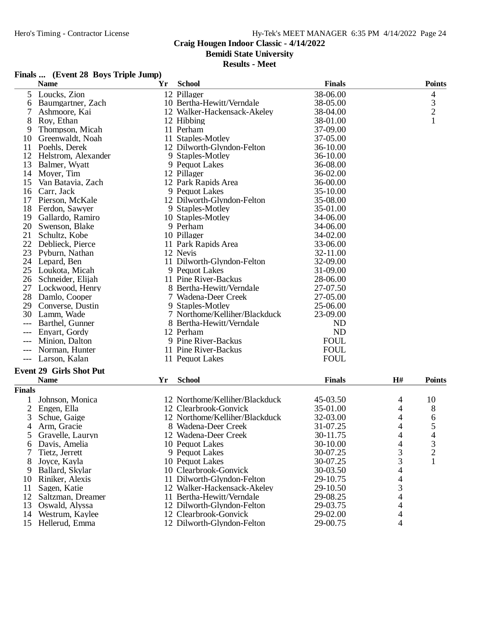# **Craig Hougen Indoor Classic - 4/14/2022**

**Bemidi State University**

#### **Results - Meet**

#### **Finals ... (Event 28 Boys Triple Jump)**

|                | <b>Name</b>                     | Yr | <b>School</b>                  | <b>Finals</b> |                          | <b>Points</b>  |
|----------------|---------------------------------|----|--------------------------------|---------------|--------------------------|----------------|
| 5              | Loucks, Zion                    |    | 12 Pillager                    | 38-06.00      |                          | 4              |
| 6              | Baumgartner, Zach               |    | 10 Bertha-Hewitt/Verndale      | 38-05.00      |                          | 3              |
| 7              | Ashmoore, Kai                   |    | 12 Walker-Hackensack-Akeley    | 38-04.00      |                          | $\overline{c}$ |
| 8              | Roy, Ethan                      |    | 12 Hibbing                     | 38-01.00      |                          | $\mathbf{1}$   |
| 9              | Thompson, Micah                 |    | 11 Perham                      | 37-09.00      |                          |                |
| 10             | Greenwaldt, Noah                |    | 11 Staples-Motley              | 37-05.00      |                          |                |
| 11             | Poehls, Derek                   |    | 12 Dilworth-Glyndon-Felton     | 36-10.00      |                          |                |
| 12             | Helstrom, Alexander             |    | 9 Staples-Motley               | 36-10.00      |                          |                |
| 13             | Balmer, Wyatt                   |    | 9 Pequot Lakes                 | 36-08.00      |                          |                |
| 14             | Moyer, Tim                      |    | 12 Pillager                    | 36-02.00      |                          |                |
| 15             | Van Batavia, Zach               |    | 12 Park Rapids Area            | 36-00.00      |                          |                |
| 16             | Carr, Jack                      |    | 9 Pequot Lakes                 | 35-10.00      |                          |                |
| 17             | Pierson, McKale                 |    | 12 Dilworth-Glyndon-Felton     | 35-08.00      |                          |                |
| 18             | Ferdon, Sawyer                  |    | 9 Staples-Motley               | 35-01.00      |                          |                |
| 19             | Gallardo, Ramiro                |    | 10 Staples-Motley              | 34-06.00      |                          |                |
| 20             | Swenson, Blake                  |    | 9 Perham                       | 34-06.00      |                          |                |
| 21             | Schultz, Kobe                   |    | 10 Pillager                    | 34-02.00      |                          |                |
| 22             | Deblieck, Pierce                |    | 11 Park Rapids Area            | 33-06.00      |                          |                |
| 23             | Pyburn, Nathan                  |    | 12 Nevis                       | 32-11.00      |                          |                |
|                |                                 |    |                                |               |                          |                |
|                | 24 Lepard, Ben                  |    | 11 Dilworth-Glyndon-Felton     | 32-09.00      |                          |                |
| 25             | Loukota, Micah                  |    | 9 Pequot Lakes                 | 31-09.00      |                          |                |
|                | 26 Schneider, Elijah            |    | 11 Pine River-Backus           | 28-06.00      |                          |                |
| 27             | Lockwood, Henry                 |    | 8 Bertha-Hewitt/Verndale       | 27-07.50      |                          |                |
| 28             | Damlo, Cooper                   |    | 7 Wadena-Deer Creek            | 27-05.00      |                          |                |
| 29             | Converse, Dustin                |    | 9 Staples-Motley               | 25-06.00      |                          |                |
|                | 30 Lamm, Wade                   |    | 7 Northome/Kelliher/Blackduck  | 23-09.00      |                          |                |
|                | Barthel, Gunner                 |    | 8 Bertha-Hewitt/Verndale       | <b>ND</b>     |                          |                |
|                | Enyart, Gordy                   |    | 12 Perham                      | <b>ND</b>     |                          |                |
| ---            | Minion, Dalton                  |    | 9 Pine River-Backus            | <b>FOUL</b>   |                          |                |
| $---$          | Norman, Hunter                  |    | 11 Pine River-Backus           | <b>FOUL</b>   |                          |                |
|                | Larson, Kalan                   |    | 11 Pequot Lakes                | <b>FOUL</b>   |                          |                |
|                | <b>Event 29 Girls Shot Put</b>  |    |                                |               |                          |                |
|                | <b>Name</b>                     | Yr | <b>School</b>                  | <b>Finals</b> | H#                       | <b>Points</b>  |
| <b>Finals</b>  |                                 |    |                                |               |                          |                |
| 1              | Johnson, Monica                 |    | 12 Northome/Kelliher/Blackduck | 45-03.50      | 4                        | 10             |
| $\overline{c}$ | Engen, Ella                     |    | 12 Clearbrook-Gonvick          | 35-01.00      | 4                        | 8              |
| 3              | Schue, Gaige                    |    | 12 Northome/Kelliher/Blackduck | 32-03.00      | 4                        | 6              |
| 4              | Arm, Gracie                     |    | 8 Wadena-Deer Creek            | 31-07.25      | 4                        | 5              |
| 5              | Gravelle, Lauryn                |    | 12 Wadena-Deer Creek           | 30-11.75      | 4                        | 4              |
| 6              | Davis, Amelia                   |    | 10 Pequot Lakes                | 30-10.00      |                          | 3              |
| 7              | Tietz, Jerrett                  |    | 9 Pequot Lakes                 | 30-07.25      | 4<br>3                   | $\overline{c}$ |
| 8              |                                 |    | 10 Pequot Lakes                | 30-07.25      |                          | $\mathbf{1}$   |
|                | Joyce, Kayla<br>Ballard, Skylar |    | 10 Clearbrook-Gonvick          | 30-03.50      | 3<br>$\overline{4}$      |                |
| 9              |                                 |    |                                |               |                          |                |
| 10             | Riniker, Alexis                 |    | 11 Dilworth-Glyndon-Felton     | 29-10.75      | $\overline{\mathcal{A}}$ |                |
| 11             | Sagen, Katie                    |    | 12 Walker-Hackensack-Akeley    | 29-10.50      | 3                        |                |
| 12             | Saltzman, Dreamer               |    | 11 Bertha-Hewitt/Verndale      | 29-08.25      | $\overline{4}$           |                |
| 13             | Oswald, Alyssa                  |    | 12 Dilworth-Glyndon-Felton     | 29-03.75      | 4                        |                |
| 14             | Westrum, Kaylee                 |    | 12 Clearbrook-Gonvick          | 29-02.00      | 4                        |                |
| 15             | Hellerud, Emma                  |    | 12 Dilworth-Glyndon-Felton     | 29-00.75      | 4                        |                |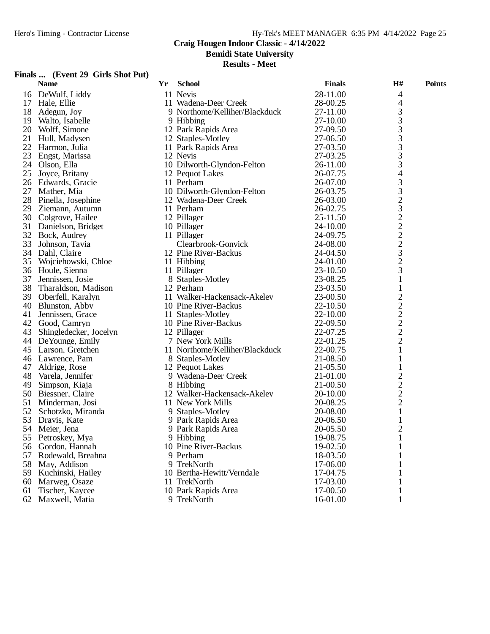# **Craig Hougen Indoor Classic - 4/14/2022**

**Bemidi State University**

**Results - Meet**

#### **Finals ... (Event 29 Girls Shot Put)**

|    | <b>Name</b>                | Yr | <b>School</b>                  | <b>Finals</b> | H#                                                | <b>Points</b> |
|----|----------------------------|----|--------------------------------|---------------|---------------------------------------------------|---------------|
|    | DeWulf, Liddy<br>16        |    | 11 Nevis                       | 28-11.00      | 4                                                 |               |
|    | 17<br>Hale, Ellie          |    | 11 Wadena-Deer Creek           | 28-00.25      | 4                                                 |               |
|    | 18<br>Adegun, Joy          |    | 9 Northome/Kelliher/Blackduck  | 27-11.00      | 3                                                 |               |
|    | Walto, Isabelle<br>19      |    | 9 Hibbing                      | 27-10.00      |                                                   |               |
|    | 20<br>Wolff, Simone        |    | 12 Park Rapids Area            | 27-09.50      | $\frac{3}{3}$                                     |               |
| 21 | Hull, Madysen              |    | 12 Staples-Motley              | 27-06.50      | 3                                                 |               |
|    | 22<br>Harmon, Julia        |    | 11 Park Rapids Area            | 27-03.50      | 3                                                 |               |
|    | 23<br>Engst, Marissa       |    | 12 Nevis                       | 27-03.25      | 3                                                 |               |
|    | 24<br>Olson, Ella          |    | 10 Dilworth-Glyndon-Felton     | 26-11.00      | 3                                                 |               |
|    | 25<br>Joyce, Britany       |    | 12 Pequot Lakes                | 26-07.75      |                                                   |               |
|    | 26<br>Edwards, Gracie      |    | 11 Perham                      | 26-07.00      | $\frac{4}{3}$<br>$\frac{3}{2}$<br>$\frac{2}{3}$   |               |
| 27 | Mather, Mia                |    | 10 Dilworth-Glyndon-Felton     | 26-03.75      |                                                   |               |
|    | 28<br>Pinella, Josephine   |    | 12 Wadena-Deer Creek           | 26-03.00      |                                                   |               |
|    | 29<br>Ziemann, Autumn      |    | 11 Perham                      | 26-02.75      |                                                   |               |
|    | 30<br>Colgrove, Hailee     |    | 12 Pillager                    | 25-11.50      |                                                   |               |
|    | 31<br>Danielson, Bridget   |    | 10 Pillager                    | 24-10.00      | $\frac{2}{2}$                                     |               |
|    | 32<br>Bock, Audrey         |    | 11 Pillager                    | 24-09.75      |                                                   |               |
|    | 33<br>Johnson, Tavia       |    | Clearbrook-Gonvick             | 24-08.00      |                                                   |               |
|    | 34<br>Dahl, Claire         |    | 12 Pine River-Backus           | 24-04.50      | $\frac{2}{3}$                                     |               |
|    | 35<br>Wojciehowski, Chloe  |    | 11 Hibbing                     | 24-01.00      |                                                   |               |
|    | 36 Houle, Sienna           |    | 11 Pillager                    | 23-10.50      | $\frac{2}{3}$                                     |               |
|    | 37<br>Jennissen, Josie     |    | 8 Staples-Motley               | 23-08.25      | $\mathbf{1}$                                      |               |
|    | 38<br>Tharaldson, Madison  |    | 12 Perham                      | 23-03.50      | $\mathbf{1}$                                      |               |
|    | 39<br>Oberfell, Karalyn    |    | 11 Walker-Hackensack-Akeley    | 23-00.50      |                                                   |               |
|    | 40<br>Blunston, Abby       |    | 10 Pine River-Backus           | 22-10.50      | $\begin{array}{c}\n2 \\ 2 \\ 2 \\ 2\n\end{array}$ |               |
| 41 | Jennissen, Grace           |    | 11 Staples-Motley              | 22-10.00      |                                                   |               |
|    | 42<br>Good, Camryn         |    | 10 Pine River-Backus           | 22-09.50      |                                                   |               |
| 43 | Shingledecker, Jocelyn     |    | 12 Pillager                    | 22-07.25      |                                                   |               |
|    | 44<br>De Younge, Emily     |    | 7 New York Mills               | 22-01.25      | $\overline{2}$                                    |               |
| 45 | Larson, Gretchen           |    | 11 Northome/Kelliher/Blackduck | 22-00.75      | $\mathbf{1}$                                      |               |
|    | Lawrence, Pam<br>46        |    | 8 Staples-Motley               | 21-08.50      | $\mathbf{1}$                                      |               |
| 47 | Aldrige, Rose              |    | 12 Pequot Lakes                | 21-05.50      | $\mathbf{1}$                                      |               |
| 48 | Varela, Jennifer           |    | 9 Wadena-Deer Creek            | 21-01.00      |                                                   |               |
|    | 49<br>Simpson, Kiaja       |    | 8 Hibbing                      | 21-00.50      |                                                   |               |
|    | 50<br>Biessner, Claire     |    | 12 Walker-Hackensack-Akeley    | 20-10.00      | $\frac{2}{2}$                                     |               |
| 51 | Minderman, Josi            |    | 11 New York Mills              | 20-08.25      | $\overline{c}$                                    |               |
|    | 52<br>Schotzko, Miranda    |    | 9 Staples-Motley               | 20-08.00      | $\mathbf{1}$                                      |               |
|    | 53<br>Dravis, Kate         |    | 9 Park Rapids Area             | 20-06.50      | $\mathbf{1}$                                      |               |
|    | 54<br>Meier, Jena          |    | 9 Park Rapids Area             | 20-05.50      | $\mathbf{2}$                                      |               |
|    | 55 Petroskey, Mya          |    | 9 Hibbing                      | 19-08.75      | $\mathbf{1}$                                      |               |
|    | 56 Gordon, Hannah          |    | 10 Pine River-Backus           | 19-02.50      |                                                   |               |
| 57 | Rodewald, Breahna          |    | 9 Perham                       | 18-03.50      |                                                   |               |
|    | 58<br>May, Addison         |    | 9 TrekNorth                    | 17-06.00      |                                                   |               |
|    | 59<br>Kuchinski, Hailey    |    | 10 Bertha-Hewitt/Verndale      | 17-04.75      |                                                   |               |
|    | 60<br>Marweg, Osaze        |    | 11 TrekNorth                   | 17-03.00      |                                                   |               |
|    | Tischer, Kaycee            |    | 10 Park Rapids Area            | 17-00.50      |                                                   |               |
|    | 61<br>62<br>Maxwell, Matia |    | 9 TrekNorth                    | 16-01.00      |                                                   |               |
|    |                            |    |                                |               |                                                   |               |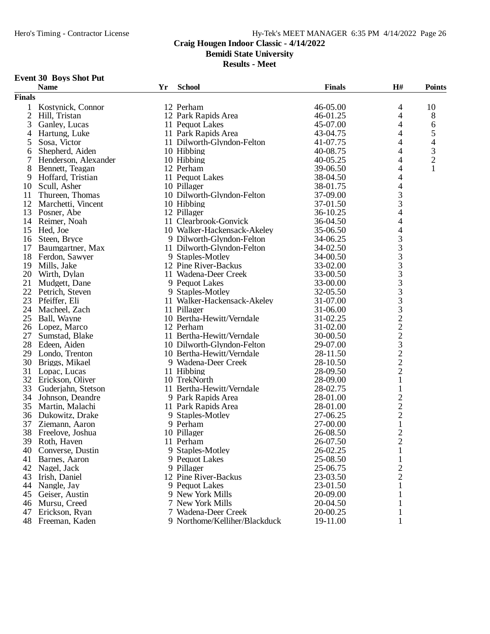**Bemidi State University**

**Results - Meet**

# **Event 30 Boys Shot Put**

| 12 Perham<br>46-05.00<br>10<br>Kostynick, Connor<br>4<br>1<br>$\overline{2}$<br>12 Park Rapids Area<br>46-01.25<br>4<br>$8\,$<br>Hill, Tristan<br>3<br>45-07.00<br>4<br>11 Pequot Lakes<br>6<br>Ganley, Lucas<br>5<br>4<br>Hartung, Luke<br>11 Park Rapids Area<br>43-04.75<br>4<br>$\overline{4}$<br>4<br>5<br>Sosa, Victor<br>11 Dilworth-Glyndon-Felton<br>41-07.75<br>$\ensuremath{\mathfrak{Z}}$<br>4<br>Shepherd, Aiden<br>10 Hibbing<br>40-08.75<br>6<br>$\overline{c}$<br>7<br>10 Hibbing<br>4<br>Henderson, Alexander<br>40-05.25<br>8<br>12 Perham<br>39-06.50<br>4<br>Bennett, Teagan<br>11 Pequot Lakes<br>38-04.50<br>4<br>9<br>Hoffard, Tristian<br>4<br>10<br>Scull, Asher<br>10 Pillager<br>38-01.75<br>3<br>11<br>Thureen, Thomas<br>10 Dilworth-Glyndon-Felton<br>37-09.00<br>3<br>12<br>Marchetti, Vincent<br>10 Hibbing<br>37-01.50<br>4<br>13<br>12 Pillager<br>36-10.25<br>Posner, Abe<br>11 Clearbrook-Gonvick<br>36-04.50<br>4<br>14<br>Reimer, Noah<br>4<br>35-06.50<br>15<br>Hed, Joe<br>10 Walker-Hackensack-Akeley<br>3<br>Steen, Bryce<br>9 Dilworth-Glyndon-Felton<br>16<br>34-06.25<br>$\mathfrak{Z}$<br>17<br>Baumgartner, Max<br>11 Dilworth-Glyndon-Felton<br>34-02.50<br>3<br>18<br>Ferdon, Sawyer<br>9 Staples-Motley<br>34-00.50<br>$\overline{3}$<br>33-02.00<br>19<br>Mills, Jake<br>12 Pine River-Backus<br>$\frac{3}{3}$<br>20<br>33-00.50<br>Wirth, Dylan<br>11 Wadena-Deer Creek<br>21<br>33-00.00<br>Mudgett, Dane<br>9 Pequot Lakes<br>3<br>22<br>Petrich, Steven<br>9 Staples-Motley<br>32-05.50<br>$\mathfrak{Z}$<br>23<br>31-07.00<br>Pfeiffer, Eli<br>11 Walker-Hackensack-Akeley<br>$\begin{array}{c} 3 \\ 2 \\ 2 \end{array}$<br>24<br>Macheel, Zach<br>11 Pillager<br>31-06.00<br>25<br>10 Bertha-Hewitt/Verndale<br>31-02.25<br>Ball, Wayne<br>26<br>12 Perham<br>31-02.00<br>Lopez, Marco<br>27<br>11 Bertha-Hewitt/Verndale<br>30-00.50<br>Sumstad, Blake<br>3<br>28<br>10 Dilworth-Glyndon-Felton<br>Edeen, Aiden<br>29-07.00<br>$\frac{2}{2}$<br>10 Bertha-Hewitt/Verndale<br>28-11.50<br>29<br>Londo, Trenton<br>30<br>Briggs, Mikael<br>9 Wadena-Deer Creek<br>28-10.50<br>$\overline{c}$<br>31<br>Lopac, Lucas<br>11 Hibbing<br>28-09.50<br>32 Erickson, Oliver<br>$\mathbf{1}$<br>10 TrekNorth<br>28-09.00<br>33<br>28-02.75<br>Guderjahn, Stetson<br>11 Bertha-Hewitt/Verndale<br>$\mathbf{1}$<br>$\frac{2}{2}$<br>34<br>Johnson, Deandre<br>9 Park Rapids Area<br>28-01.00<br>35<br>Martin, Malachi<br>11 Park Rapids Area<br>28-01.00<br>36<br>Dukowitz, Drake<br>27-06.25<br>9 Staples-Motley<br>$\mathbf 1$<br>37<br>27-00.00<br>Ziemann, Aaron<br>9 Perham<br>$\sqrt{2}$<br>38<br>10 Pillager<br>26-08.50<br>Freelove, Joshua<br>$\overline{2}$<br>39 Roth, Haven<br>11 Perham<br>26-07.50<br>9 Staples-Motley<br>26-02.25<br>Converse, Dustin<br>1<br>40<br>25-08.50<br>41<br>Barnes, Aaron<br>9 Pequot Lakes<br>1<br>2<br>42<br>9 Pillager<br>25-06.75<br>Nagel, Jack<br>2<br>12 Pine River-Backus<br>43<br>Irish, Daniel<br>23-03.50<br>44<br>Nangle, Jay<br>9 Pequot Lakes<br>23-01.50<br>45<br>9 New York Mills<br>20-09.00<br>Geiser, Austin<br>7 New York Mills |               | <b>Name</b>  | Yr | <b>School</b> | <b>Finals</b> | H# | <b>Points</b> |
|-------------------------------------------------------------------------------------------------------------------------------------------------------------------------------------------------------------------------------------------------------------------------------------------------------------------------------------------------------------------------------------------------------------------------------------------------------------------------------------------------------------------------------------------------------------------------------------------------------------------------------------------------------------------------------------------------------------------------------------------------------------------------------------------------------------------------------------------------------------------------------------------------------------------------------------------------------------------------------------------------------------------------------------------------------------------------------------------------------------------------------------------------------------------------------------------------------------------------------------------------------------------------------------------------------------------------------------------------------------------------------------------------------------------------------------------------------------------------------------------------------------------------------------------------------------------------------------------------------------------------------------------------------------------------------------------------------------------------------------------------------------------------------------------------------------------------------------------------------------------------------------------------------------------------------------------------------------------------------------------------------------------------------------------------------------------------------------------------------------------------------------------------------------------------------------------------------------------------------------------------------------------------------------------------------------------------------------------------------------------------------------------------------------------------------------------------------------------------------------------------------------------------------------------------------------------------------------------------------------------------------------------------------------------------------------------------------------------------------------------------------------------------------------------------------------------------------------------------------------------------------------------------------------------------------------------------------------------------------------------------------------------------------------------------------------------------------------------------------------------------------------------|---------------|--------------|----|---------------|---------------|----|---------------|
|                                                                                                                                                                                                                                                                                                                                                                                                                                                                                                                                                                                                                                                                                                                                                                                                                                                                                                                                                                                                                                                                                                                                                                                                                                                                                                                                                                                                                                                                                                                                                                                                                                                                                                                                                                                                                                                                                                                                                                                                                                                                                                                                                                                                                                                                                                                                                                                                                                                                                                                                                                                                                                                                                                                                                                                                                                                                                                                                                                                                                                                                                                                                           | <b>Finals</b> |              |    |               |               |    |               |
|                                                                                                                                                                                                                                                                                                                                                                                                                                                                                                                                                                                                                                                                                                                                                                                                                                                                                                                                                                                                                                                                                                                                                                                                                                                                                                                                                                                                                                                                                                                                                                                                                                                                                                                                                                                                                                                                                                                                                                                                                                                                                                                                                                                                                                                                                                                                                                                                                                                                                                                                                                                                                                                                                                                                                                                                                                                                                                                                                                                                                                                                                                                                           |               |              |    |               |               |    |               |
|                                                                                                                                                                                                                                                                                                                                                                                                                                                                                                                                                                                                                                                                                                                                                                                                                                                                                                                                                                                                                                                                                                                                                                                                                                                                                                                                                                                                                                                                                                                                                                                                                                                                                                                                                                                                                                                                                                                                                                                                                                                                                                                                                                                                                                                                                                                                                                                                                                                                                                                                                                                                                                                                                                                                                                                                                                                                                                                                                                                                                                                                                                                                           |               |              |    |               |               |    |               |
|                                                                                                                                                                                                                                                                                                                                                                                                                                                                                                                                                                                                                                                                                                                                                                                                                                                                                                                                                                                                                                                                                                                                                                                                                                                                                                                                                                                                                                                                                                                                                                                                                                                                                                                                                                                                                                                                                                                                                                                                                                                                                                                                                                                                                                                                                                                                                                                                                                                                                                                                                                                                                                                                                                                                                                                                                                                                                                                                                                                                                                                                                                                                           |               |              |    |               |               |    |               |
|                                                                                                                                                                                                                                                                                                                                                                                                                                                                                                                                                                                                                                                                                                                                                                                                                                                                                                                                                                                                                                                                                                                                                                                                                                                                                                                                                                                                                                                                                                                                                                                                                                                                                                                                                                                                                                                                                                                                                                                                                                                                                                                                                                                                                                                                                                                                                                                                                                                                                                                                                                                                                                                                                                                                                                                                                                                                                                                                                                                                                                                                                                                                           |               |              |    |               |               |    |               |
|                                                                                                                                                                                                                                                                                                                                                                                                                                                                                                                                                                                                                                                                                                                                                                                                                                                                                                                                                                                                                                                                                                                                                                                                                                                                                                                                                                                                                                                                                                                                                                                                                                                                                                                                                                                                                                                                                                                                                                                                                                                                                                                                                                                                                                                                                                                                                                                                                                                                                                                                                                                                                                                                                                                                                                                                                                                                                                                                                                                                                                                                                                                                           |               |              |    |               |               |    |               |
|                                                                                                                                                                                                                                                                                                                                                                                                                                                                                                                                                                                                                                                                                                                                                                                                                                                                                                                                                                                                                                                                                                                                                                                                                                                                                                                                                                                                                                                                                                                                                                                                                                                                                                                                                                                                                                                                                                                                                                                                                                                                                                                                                                                                                                                                                                                                                                                                                                                                                                                                                                                                                                                                                                                                                                                                                                                                                                                                                                                                                                                                                                                                           |               |              |    |               |               |    |               |
|                                                                                                                                                                                                                                                                                                                                                                                                                                                                                                                                                                                                                                                                                                                                                                                                                                                                                                                                                                                                                                                                                                                                                                                                                                                                                                                                                                                                                                                                                                                                                                                                                                                                                                                                                                                                                                                                                                                                                                                                                                                                                                                                                                                                                                                                                                                                                                                                                                                                                                                                                                                                                                                                                                                                                                                                                                                                                                                                                                                                                                                                                                                                           |               |              |    |               |               |    |               |
|                                                                                                                                                                                                                                                                                                                                                                                                                                                                                                                                                                                                                                                                                                                                                                                                                                                                                                                                                                                                                                                                                                                                                                                                                                                                                                                                                                                                                                                                                                                                                                                                                                                                                                                                                                                                                                                                                                                                                                                                                                                                                                                                                                                                                                                                                                                                                                                                                                                                                                                                                                                                                                                                                                                                                                                                                                                                                                                                                                                                                                                                                                                                           |               |              |    |               |               |    |               |
|                                                                                                                                                                                                                                                                                                                                                                                                                                                                                                                                                                                                                                                                                                                                                                                                                                                                                                                                                                                                                                                                                                                                                                                                                                                                                                                                                                                                                                                                                                                                                                                                                                                                                                                                                                                                                                                                                                                                                                                                                                                                                                                                                                                                                                                                                                                                                                                                                                                                                                                                                                                                                                                                                                                                                                                                                                                                                                                                                                                                                                                                                                                                           |               |              |    |               |               |    |               |
|                                                                                                                                                                                                                                                                                                                                                                                                                                                                                                                                                                                                                                                                                                                                                                                                                                                                                                                                                                                                                                                                                                                                                                                                                                                                                                                                                                                                                                                                                                                                                                                                                                                                                                                                                                                                                                                                                                                                                                                                                                                                                                                                                                                                                                                                                                                                                                                                                                                                                                                                                                                                                                                                                                                                                                                                                                                                                                                                                                                                                                                                                                                                           |               |              |    |               |               |    |               |
|                                                                                                                                                                                                                                                                                                                                                                                                                                                                                                                                                                                                                                                                                                                                                                                                                                                                                                                                                                                                                                                                                                                                                                                                                                                                                                                                                                                                                                                                                                                                                                                                                                                                                                                                                                                                                                                                                                                                                                                                                                                                                                                                                                                                                                                                                                                                                                                                                                                                                                                                                                                                                                                                                                                                                                                                                                                                                                                                                                                                                                                                                                                                           |               |              |    |               |               |    |               |
|                                                                                                                                                                                                                                                                                                                                                                                                                                                                                                                                                                                                                                                                                                                                                                                                                                                                                                                                                                                                                                                                                                                                                                                                                                                                                                                                                                                                                                                                                                                                                                                                                                                                                                                                                                                                                                                                                                                                                                                                                                                                                                                                                                                                                                                                                                                                                                                                                                                                                                                                                                                                                                                                                                                                                                                                                                                                                                                                                                                                                                                                                                                                           |               |              |    |               |               |    |               |
|                                                                                                                                                                                                                                                                                                                                                                                                                                                                                                                                                                                                                                                                                                                                                                                                                                                                                                                                                                                                                                                                                                                                                                                                                                                                                                                                                                                                                                                                                                                                                                                                                                                                                                                                                                                                                                                                                                                                                                                                                                                                                                                                                                                                                                                                                                                                                                                                                                                                                                                                                                                                                                                                                                                                                                                                                                                                                                                                                                                                                                                                                                                                           |               |              |    |               |               |    |               |
|                                                                                                                                                                                                                                                                                                                                                                                                                                                                                                                                                                                                                                                                                                                                                                                                                                                                                                                                                                                                                                                                                                                                                                                                                                                                                                                                                                                                                                                                                                                                                                                                                                                                                                                                                                                                                                                                                                                                                                                                                                                                                                                                                                                                                                                                                                                                                                                                                                                                                                                                                                                                                                                                                                                                                                                                                                                                                                                                                                                                                                                                                                                                           |               |              |    |               |               |    |               |
|                                                                                                                                                                                                                                                                                                                                                                                                                                                                                                                                                                                                                                                                                                                                                                                                                                                                                                                                                                                                                                                                                                                                                                                                                                                                                                                                                                                                                                                                                                                                                                                                                                                                                                                                                                                                                                                                                                                                                                                                                                                                                                                                                                                                                                                                                                                                                                                                                                                                                                                                                                                                                                                                                                                                                                                                                                                                                                                                                                                                                                                                                                                                           |               |              |    |               |               |    |               |
|                                                                                                                                                                                                                                                                                                                                                                                                                                                                                                                                                                                                                                                                                                                                                                                                                                                                                                                                                                                                                                                                                                                                                                                                                                                                                                                                                                                                                                                                                                                                                                                                                                                                                                                                                                                                                                                                                                                                                                                                                                                                                                                                                                                                                                                                                                                                                                                                                                                                                                                                                                                                                                                                                                                                                                                                                                                                                                                                                                                                                                                                                                                                           |               |              |    |               |               |    |               |
|                                                                                                                                                                                                                                                                                                                                                                                                                                                                                                                                                                                                                                                                                                                                                                                                                                                                                                                                                                                                                                                                                                                                                                                                                                                                                                                                                                                                                                                                                                                                                                                                                                                                                                                                                                                                                                                                                                                                                                                                                                                                                                                                                                                                                                                                                                                                                                                                                                                                                                                                                                                                                                                                                                                                                                                                                                                                                                                                                                                                                                                                                                                                           |               |              |    |               |               |    |               |
|                                                                                                                                                                                                                                                                                                                                                                                                                                                                                                                                                                                                                                                                                                                                                                                                                                                                                                                                                                                                                                                                                                                                                                                                                                                                                                                                                                                                                                                                                                                                                                                                                                                                                                                                                                                                                                                                                                                                                                                                                                                                                                                                                                                                                                                                                                                                                                                                                                                                                                                                                                                                                                                                                                                                                                                                                                                                                                                                                                                                                                                                                                                                           |               |              |    |               |               |    |               |
|                                                                                                                                                                                                                                                                                                                                                                                                                                                                                                                                                                                                                                                                                                                                                                                                                                                                                                                                                                                                                                                                                                                                                                                                                                                                                                                                                                                                                                                                                                                                                                                                                                                                                                                                                                                                                                                                                                                                                                                                                                                                                                                                                                                                                                                                                                                                                                                                                                                                                                                                                                                                                                                                                                                                                                                                                                                                                                                                                                                                                                                                                                                                           |               |              |    |               |               |    |               |
|                                                                                                                                                                                                                                                                                                                                                                                                                                                                                                                                                                                                                                                                                                                                                                                                                                                                                                                                                                                                                                                                                                                                                                                                                                                                                                                                                                                                                                                                                                                                                                                                                                                                                                                                                                                                                                                                                                                                                                                                                                                                                                                                                                                                                                                                                                                                                                                                                                                                                                                                                                                                                                                                                                                                                                                                                                                                                                                                                                                                                                                                                                                                           |               |              |    |               |               |    |               |
|                                                                                                                                                                                                                                                                                                                                                                                                                                                                                                                                                                                                                                                                                                                                                                                                                                                                                                                                                                                                                                                                                                                                                                                                                                                                                                                                                                                                                                                                                                                                                                                                                                                                                                                                                                                                                                                                                                                                                                                                                                                                                                                                                                                                                                                                                                                                                                                                                                                                                                                                                                                                                                                                                                                                                                                                                                                                                                                                                                                                                                                                                                                                           |               |              |    |               |               |    |               |
|                                                                                                                                                                                                                                                                                                                                                                                                                                                                                                                                                                                                                                                                                                                                                                                                                                                                                                                                                                                                                                                                                                                                                                                                                                                                                                                                                                                                                                                                                                                                                                                                                                                                                                                                                                                                                                                                                                                                                                                                                                                                                                                                                                                                                                                                                                                                                                                                                                                                                                                                                                                                                                                                                                                                                                                                                                                                                                                                                                                                                                                                                                                                           |               |              |    |               |               |    |               |
|                                                                                                                                                                                                                                                                                                                                                                                                                                                                                                                                                                                                                                                                                                                                                                                                                                                                                                                                                                                                                                                                                                                                                                                                                                                                                                                                                                                                                                                                                                                                                                                                                                                                                                                                                                                                                                                                                                                                                                                                                                                                                                                                                                                                                                                                                                                                                                                                                                                                                                                                                                                                                                                                                                                                                                                                                                                                                                                                                                                                                                                                                                                                           |               |              |    |               |               |    |               |
|                                                                                                                                                                                                                                                                                                                                                                                                                                                                                                                                                                                                                                                                                                                                                                                                                                                                                                                                                                                                                                                                                                                                                                                                                                                                                                                                                                                                                                                                                                                                                                                                                                                                                                                                                                                                                                                                                                                                                                                                                                                                                                                                                                                                                                                                                                                                                                                                                                                                                                                                                                                                                                                                                                                                                                                                                                                                                                                                                                                                                                                                                                                                           |               |              |    |               |               |    |               |
|                                                                                                                                                                                                                                                                                                                                                                                                                                                                                                                                                                                                                                                                                                                                                                                                                                                                                                                                                                                                                                                                                                                                                                                                                                                                                                                                                                                                                                                                                                                                                                                                                                                                                                                                                                                                                                                                                                                                                                                                                                                                                                                                                                                                                                                                                                                                                                                                                                                                                                                                                                                                                                                                                                                                                                                                                                                                                                                                                                                                                                                                                                                                           |               |              |    |               |               |    |               |
|                                                                                                                                                                                                                                                                                                                                                                                                                                                                                                                                                                                                                                                                                                                                                                                                                                                                                                                                                                                                                                                                                                                                                                                                                                                                                                                                                                                                                                                                                                                                                                                                                                                                                                                                                                                                                                                                                                                                                                                                                                                                                                                                                                                                                                                                                                                                                                                                                                                                                                                                                                                                                                                                                                                                                                                                                                                                                                                                                                                                                                                                                                                                           |               |              |    |               |               |    |               |
|                                                                                                                                                                                                                                                                                                                                                                                                                                                                                                                                                                                                                                                                                                                                                                                                                                                                                                                                                                                                                                                                                                                                                                                                                                                                                                                                                                                                                                                                                                                                                                                                                                                                                                                                                                                                                                                                                                                                                                                                                                                                                                                                                                                                                                                                                                                                                                                                                                                                                                                                                                                                                                                                                                                                                                                                                                                                                                                                                                                                                                                                                                                                           |               |              |    |               |               |    |               |
|                                                                                                                                                                                                                                                                                                                                                                                                                                                                                                                                                                                                                                                                                                                                                                                                                                                                                                                                                                                                                                                                                                                                                                                                                                                                                                                                                                                                                                                                                                                                                                                                                                                                                                                                                                                                                                                                                                                                                                                                                                                                                                                                                                                                                                                                                                                                                                                                                                                                                                                                                                                                                                                                                                                                                                                                                                                                                                                                                                                                                                                                                                                                           |               |              |    |               |               |    |               |
|                                                                                                                                                                                                                                                                                                                                                                                                                                                                                                                                                                                                                                                                                                                                                                                                                                                                                                                                                                                                                                                                                                                                                                                                                                                                                                                                                                                                                                                                                                                                                                                                                                                                                                                                                                                                                                                                                                                                                                                                                                                                                                                                                                                                                                                                                                                                                                                                                                                                                                                                                                                                                                                                                                                                                                                                                                                                                                                                                                                                                                                                                                                                           |               |              |    |               |               |    |               |
|                                                                                                                                                                                                                                                                                                                                                                                                                                                                                                                                                                                                                                                                                                                                                                                                                                                                                                                                                                                                                                                                                                                                                                                                                                                                                                                                                                                                                                                                                                                                                                                                                                                                                                                                                                                                                                                                                                                                                                                                                                                                                                                                                                                                                                                                                                                                                                                                                                                                                                                                                                                                                                                                                                                                                                                                                                                                                                                                                                                                                                                                                                                                           |               |              |    |               |               |    |               |
|                                                                                                                                                                                                                                                                                                                                                                                                                                                                                                                                                                                                                                                                                                                                                                                                                                                                                                                                                                                                                                                                                                                                                                                                                                                                                                                                                                                                                                                                                                                                                                                                                                                                                                                                                                                                                                                                                                                                                                                                                                                                                                                                                                                                                                                                                                                                                                                                                                                                                                                                                                                                                                                                                                                                                                                                                                                                                                                                                                                                                                                                                                                                           |               |              |    |               |               |    |               |
|                                                                                                                                                                                                                                                                                                                                                                                                                                                                                                                                                                                                                                                                                                                                                                                                                                                                                                                                                                                                                                                                                                                                                                                                                                                                                                                                                                                                                                                                                                                                                                                                                                                                                                                                                                                                                                                                                                                                                                                                                                                                                                                                                                                                                                                                                                                                                                                                                                                                                                                                                                                                                                                                                                                                                                                                                                                                                                                                                                                                                                                                                                                                           |               |              |    |               |               |    |               |
|                                                                                                                                                                                                                                                                                                                                                                                                                                                                                                                                                                                                                                                                                                                                                                                                                                                                                                                                                                                                                                                                                                                                                                                                                                                                                                                                                                                                                                                                                                                                                                                                                                                                                                                                                                                                                                                                                                                                                                                                                                                                                                                                                                                                                                                                                                                                                                                                                                                                                                                                                                                                                                                                                                                                                                                                                                                                                                                                                                                                                                                                                                                                           |               |              |    |               |               |    |               |
|                                                                                                                                                                                                                                                                                                                                                                                                                                                                                                                                                                                                                                                                                                                                                                                                                                                                                                                                                                                                                                                                                                                                                                                                                                                                                                                                                                                                                                                                                                                                                                                                                                                                                                                                                                                                                                                                                                                                                                                                                                                                                                                                                                                                                                                                                                                                                                                                                                                                                                                                                                                                                                                                                                                                                                                                                                                                                                                                                                                                                                                                                                                                           |               |              |    |               |               |    |               |
|                                                                                                                                                                                                                                                                                                                                                                                                                                                                                                                                                                                                                                                                                                                                                                                                                                                                                                                                                                                                                                                                                                                                                                                                                                                                                                                                                                                                                                                                                                                                                                                                                                                                                                                                                                                                                                                                                                                                                                                                                                                                                                                                                                                                                                                                                                                                                                                                                                                                                                                                                                                                                                                                                                                                                                                                                                                                                                                                                                                                                                                                                                                                           |               |              |    |               |               |    |               |
|                                                                                                                                                                                                                                                                                                                                                                                                                                                                                                                                                                                                                                                                                                                                                                                                                                                                                                                                                                                                                                                                                                                                                                                                                                                                                                                                                                                                                                                                                                                                                                                                                                                                                                                                                                                                                                                                                                                                                                                                                                                                                                                                                                                                                                                                                                                                                                                                                                                                                                                                                                                                                                                                                                                                                                                                                                                                                                                                                                                                                                                                                                                                           |               |              |    |               |               |    |               |
|                                                                                                                                                                                                                                                                                                                                                                                                                                                                                                                                                                                                                                                                                                                                                                                                                                                                                                                                                                                                                                                                                                                                                                                                                                                                                                                                                                                                                                                                                                                                                                                                                                                                                                                                                                                                                                                                                                                                                                                                                                                                                                                                                                                                                                                                                                                                                                                                                                                                                                                                                                                                                                                                                                                                                                                                                                                                                                                                                                                                                                                                                                                                           |               |              |    |               |               |    |               |
|                                                                                                                                                                                                                                                                                                                                                                                                                                                                                                                                                                                                                                                                                                                                                                                                                                                                                                                                                                                                                                                                                                                                                                                                                                                                                                                                                                                                                                                                                                                                                                                                                                                                                                                                                                                                                                                                                                                                                                                                                                                                                                                                                                                                                                                                                                                                                                                                                                                                                                                                                                                                                                                                                                                                                                                                                                                                                                                                                                                                                                                                                                                                           |               |              |    |               |               |    |               |
|                                                                                                                                                                                                                                                                                                                                                                                                                                                                                                                                                                                                                                                                                                                                                                                                                                                                                                                                                                                                                                                                                                                                                                                                                                                                                                                                                                                                                                                                                                                                                                                                                                                                                                                                                                                                                                                                                                                                                                                                                                                                                                                                                                                                                                                                                                                                                                                                                                                                                                                                                                                                                                                                                                                                                                                                                                                                                                                                                                                                                                                                                                                                           |               |              |    |               |               |    |               |
|                                                                                                                                                                                                                                                                                                                                                                                                                                                                                                                                                                                                                                                                                                                                                                                                                                                                                                                                                                                                                                                                                                                                                                                                                                                                                                                                                                                                                                                                                                                                                                                                                                                                                                                                                                                                                                                                                                                                                                                                                                                                                                                                                                                                                                                                                                                                                                                                                                                                                                                                                                                                                                                                                                                                                                                                                                                                                                                                                                                                                                                                                                                                           |               |              |    |               |               |    |               |
|                                                                                                                                                                                                                                                                                                                                                                                                                                                                                                                                                                                                                                                                                                                                                                                                                                                                                                                                                                                                                                                                                                                                                                                                                                                                                                                                                                                                                                                                                                                                                                                                                                                                                                                                                                                                                                                                                                                                                                                                                                                                                                                                                                                                                                                                                                                                                                                                                                                                                                                                                                                                                                                                                                                                                                                                                                                                                                                                                                                                                                                                                                                                           |               |              |    |               |               |    |               |
|                                                                                                                                                                                                                                                                                                                                                                                                                                                                                                                                                                                                                                                                                                                                                                                                                                                                                                                                                                                                                                                                                                                                                                                                                                                                                                                                                                                                                                                                                                                                                                                                                                                                                                                                                                                                                                                                                                                                                                                                                                                                                                                                                                                                                                                                                                                                                                                                                                                                                                                                                                                                                                                                                                                                                                                                                                                                                                                                                                                                                                                                                                                                           |               |              |    |               |               |    |               |
|                                                                                                                                                                                                                                                                                                                                                                                                                                                                                                                                                                                                                                                                                                                                                                                                                                                                                                                                                                                                                                                                                                                                                                                                                                                                                                                                                                                                                                                                                                                                                                                                                                                                                                                                                                                                                                                                                                                                                                                                                                                                                                                                                                                                                                                                                                                                                                                                                                                                                                                                                                                                                                                                                                                                                                                                                                                                                                                                                                                                                                                                                                                                           |               |              |    |               |               |    |               |
|                                                                                                                                                                                                                                                                                                                                                                                                                                                                                                                                                                                                                                                                                                                                                                                                                                                                                                                                                                                                                                                                                                                                                                                                                                                                                                                                                                                                                                                                                                                                                                                                                                                                                                                                                                                                                                                                                                                                                                                                                                                                                                                                                                                                                                                                                                                                                                                                                                                                                                                                                                                                                                                                                                                                                                                                                                                                                                                                                                                                                                                                                                                                           |               |              |    |               |               |    |               |
|                                                                                                                                                                                                                                                                                                                                                                                                                                                                                                                                                                                                                                                                                                                                                                                                                                                                                                                                                                                                                                                                                                                                                                                                                                                                                                                                                                                                                                                                                                                                                                                                                                                                                                                                                                                                                                                                                                                                                                                                                                                                                                                                                                                                                                                                                                                                                                                                                                                                                                                                                                                                                                                                                                                                                                                                                                                                                                                                                                                                                                                                                                                                           |               |              |    |               |               |    |               |
|                                                                                                                                                                                                                                                                                                                                                                                                                                                                                                                                                                                                                                                                                                                                                                                                                                                                                                                                                                                                                                                                                                                                                                                                                                                                                                                                                                                                                                                                                                                                                                                                                                                                                                                                                                                                                                                                                                                                                                                                                                                                                                                                                                                                                                                                                                                                                                                                                                                                                                                                                                                                                                                                                                                                                                                                                                                                                                                                                                                                                                                                                                                                           |               |              |    |               |               |    |               |
|                                                                                                                                                                                                                                                                                                                                                                                                                                                                                                                                                                                                                                                                                                                                                                                                                                                                                                                                                                                                                                                                                                                                                                                                                                                                                                                                                                                                                                                                                                                                                                                                                                                                                                                                                                                                                                                                                                                                                                                                                                                                                                                                                                                                                                                                                                                                                                                                                                                                                                                                                                                                                                                                                                                                                                                                                                                                                                                                                                                                                                                                                                                                           | 46            | Mursu, Creed |    |               | 20-04.50      |    |               |
| 47<br>7 Wadena-Deer Creek<br>20-00.25<br>Erickson, Ryan<br>1                                                                                                                                                                                                                                                                                                                                                                                                                                                                                                                                                                                                                                                                                                                                                                                                                                                                                                                                                                                                                                                                                                                                                                                                                                                                                                                                                                                                                                                                                                                                                                                                                                                                                                                                                                                                                                                                                                                                                                                                                                                                                                                                                                                                                                                                                                                                                                                                                                                                                                                                                                                                                                                                                                                                                                                                                                                                                                                                                                                                                                                                              |               |              |    |               |               |    |               |
| 48 Freeman, Kaden<br>9 Northome/Kelliher/Blackduck<br>19-11.00                                                                                                                                                                                                                                                                                                                                                                                                                                                                                                                                                                                                                                                                                                                                                                                                                                                                                                                                                                                                                                                                                                                                                                                                                                                                                                                                                                                                                                                                                                                                                                                                                                                                                                                                                                                                                                                                                                                                                                                                                                                                                                                                                                                                                                                                                                                                                                                                                                                                                                                                                                                                                                                                                                                                                                                                                                                                                                                                                                                                                                                                            |               |              |    |               |               |    |               |